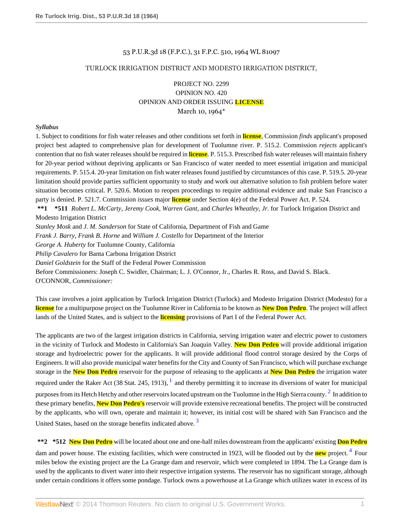# 53 P.U.R.3d 18 (F.P.C.), 31 F.P.C. 510, 1964 WL 81097

### TURLOCK IRRIGATION DISTRICT AND MODESTO IRRIGATION DISTRICT,

# PROJECT NO. 2299 OPINION NO. 420 OPINION AND ORDER ISSUING **LICENSE** March 10, 1964\*

### *Syllabus*

1. Subject to conditions for fish water releases and other conditions set forth in **license**, Commission *finds* applicant's proposed project best adapted to comprehensive plan for development of Tuolumne river. P. 515.2. Commission *rejects* applicant's contention that no fish water releases should be required in **license**. P. 515.3. Prescribed fish water releases will maintain fishery for 20-year period without depriving applicants or San Francisco of water needed to meet essential irrigation and municipal requirements. P. 515.4. 20-year limitation on fish water releases found justified by circumstances of this case. P. 519.5. 20-year limitation should provide parties sufficient opportunity to study and work out alternative solution to fish problem before water situation becomes critical. P. 520.6. Motion to reopen proceedings to require additional evidence and make San Francisco a party is denied. P. 521.7. Commission *issues* major **license** under Section 4(e) of the Federal Power Act. P. 524.

**\*\*1 \*511** *Robert L. McCarty, Jeremy Cook, Warren Gant*, and *Charles Wheatley, Jr.* for Turlock Irrigation District and Modesto Irrigation District

*Stanley Mosk* and *J. M. Sanderson* for State of California, Department of Fish and Game

*Frank J. Barry, Frank B. Horne* and *William J. Costello* for Department of the Interior

*George A. Huberty* for Tuolumne County, California

*Philip Cavalero* for Banta Carbona Irrigation District

*Daniel Goldstein* for the Staff of the Federal Power Commission

Before Commissioners: Joseph C. Swidler, Chairman; L. J. O'Connor, Jr., Charles R. Ross, and David S. Black.

O'CONNOR, *Commissioner:*

This case involves a joint application by Turlock Irrigation District (Turlock) and Modesto Irrigation District (Modesto) for a **license** for a multipurpose project on the Tuolumne River in California to be known as **New Don Pedro**. The project will affect lands of the United States, and is subject to the **licensing** provisions of Part I of the Federal Power Act.

<span id="page-0-0"></span>The applicants are two of the largest irrigation districts in California, serving irrigation water and electric power to customers in the vicinity of Turlock and Modesto in California's San Joaquin Valley. **New Don Pedro** will provide additional irrigation storage and hydroelectric power for the applicants. It will provide additional flood control storage desired by the Corps of Engineers. It will also provide municipal water benefits for the City and County of San Francisco, which will purchase exchange storage in the **New Don Pedro** reservoir for the purpose of releasing to the applicants at **New Don Pedro** the irrigation water required under the Raker Act (38 Stat. 245, [1](#page-55-0)913),  $^1$  and thereby permitting it to increase its diversions of water for municipal purposes from its Hetch Hetchy and other reservoirs located upstream on the Tuolumne in the High Sierra county.  $^2$  $^2$  In addition to these primary benefits, **New Don Pedro's** reservoir will provide extensive recreational benefits. The project will be constructed by the applicants, who will own, operate and maintain it; however, its initial cost will be shared with San Francisco and the United States, based on the storage benefits indicated above.<sup>[3](#page-55-2)</sup>

<span id="page-0-3"></span><span id="page-0-2"></span><span id="page-0-1"></span>**\*\*2 \*512 New Don Pedro** will be located about one and one-half miles downstream from the applicants' existing **Don Pedro** dam and power house. The existing facilities, which were constructed in 1923, will be flooded out by the **new** project.<sup>[4](#page-56-0)</sup> Four miles below the existing project are the La Grange dam and reservoir, which were completed in 1894. The La Grange dam is used by the applicants to divert water into their respective irrigation systems. The reservoir has no significant storage, although under certain conditions it offers some pondage. Turlock owns a powerhouse at La Grange which utilizes water in excess of its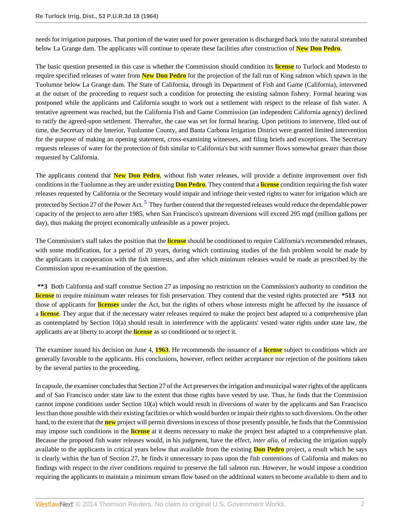needs for irrigation purposes. That portion of the water used for power generation is discharged back into the natural streambed below La Grange dam. The applicants will continue to operate these facilities after construction of **New Don Pedro**.

The basic question presented in this case is whether the Commission should condition its **license** to Turlock and Modesto to require specified releases of water from **New Don Pedro** for the projection of the fall run of King salmon which spawn in the Tuolumne below La Grange dam. The State of California, through its Department of Fish and Game (California), intervened at the outset of the proceeding to request such a condition for protecting the existing salmon fishery. Formal hearing was postponed while the applicants and California sought to work out a settlement with respect to the release of fish water. A tentative agreement was reached, but the California Fish and Game Commission (an independent California agency) declined to ratify the agreed-upon settlement. Thereafter, the case was set for formal hearing. Upon petitions to intervene, filed out of time, the Secretary of the Interior, Tuolumne County, and Banta Carbona Irrigation District were granted limited intervention for the purpose of making an opening statement, cross-examining witnesses, and filing briefs and exceptions. The Secretary requests releases of water for the protection of fish similar to California's but with summer flows somewhat greater than those requested by California.

<span id="page-1-0"></span>The applicants contend that **New Don Pedro**, without fish water releases, will provide a definite improvement over fish conditions in the Tuolumne as they are under existing **Don Pedro**. They contend that a **license** condition requiring the fish water releases requested by California or the Secretary would impair and infringe their vested rights to water for irrigation which are protected by Section 27 of the Power Act. <sup>[5](#page-56-1)</sup> They further contend that the requested releases would reduce the dependable power capacity of the project to zero after 1985, when San Francisco's upstream diversions will exceed 295 mgd (million gallons per day), thus making the project economically unfeasible as a power project.

The Commission's staff takes the position that the **license** should be conditioned to require California's recommended releases, with some modification, for a period of 20 years, during which continuing studies of the fish problem would be made by the applicants in cooperation with the fish interests, and after which minimum releases would be made as prescribed by the Commission upon re-examination of the question.

**\*\*3** Both California and staff construe Section 27 as imposing no restriction on the Commission's authority to condition the **license** to require minimum water releases for fish preservation. They contend that the vested rights protected are **\*513** not those of applicants for **licenses** under the Act, but the rights of others whose interests might be affected by the issuance of a **license**. They argue that if the necessary water releases required to make the project best adapted to a comprehensive plan as contemplated by Section 10(a) should result in interference with the applicants' vested water rights under state law, the applicants are at liberty to accept the **license** as so conditioned or to reject it.

The examiner issued his decision on June 4, **1963**. He recommends the issuance of a **license** subject to conditions which are generally favorable to the applicants. His conclusions, however, reflect neither acceptance nor rejection of the positions taken by the several parties to the proceeding.

In capsule, the examiner concludes that Section 27 of the Act preserves the irrigation and municipal water rights of the applicants and of San Francisco under state law to the extent that those rights have vested by use. Thus, he finds that the Commission cannot impose conditions under Section 10(a) which would result in diversions of water by the applicants and San Francisco less than those possible with their existing facilities or which would burden or impair their rights to such diversions. On the other hand, to the extent that the **new** project will permit diversions in excess of those presently possible, he finds that the Commission may impose such conditions in the **license** at it deems necessary to make the project best adapted to a comprehensive plan. Because the proposed fish water releases would, in his judgment, have the effect, *inter alia*, of reducing the irrigation supply available to the applicants in critical years below that available from the existing **Don Pedro** project, a result which he says is clearly within the ban of Section 27, he finds it unnecessary to pass upon the fish contentions of California and makes no findings with respect to the river conditions required to preserve the fall salmon run. However, he would impose a condition requiring the applicants to maintain a minimum stream flow based on the additional waters to become available to them and to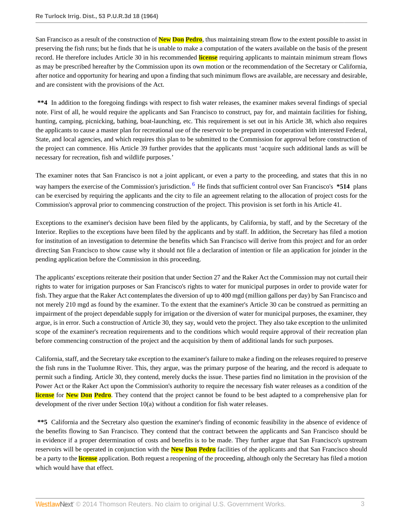San Francisco as a result of the construction of **New Don Pedro**, thus maintaining stream flow to the extent possible to assist in preserving the fish runs; but he finds that he is unable to make a computation of the waters available on the basis of the present record. He therefore includes Article 30 in his recommended **license** requiring applicants to maintain minimum stream flows as may be prescribed hereafter by the Commission upon its own motion or the recommendation of the Secretary or California, after notice and opportunity for hearing and upon a finding that such minimum flows are available, are necessary and desirable, and are consistent with the provisions of the Act.

**\*\*4** In addition to the foregoing findings with respect to fish water releases, the examiner makes several findings of special note. First of all, he would require the applicants and San Francisco to construct, pay for, and maintain facilities for fishing, hunting, camping, picnicking, bathing, boat-launching, etc. This requirement is set out in his Article 38, which also requires the applicants to cause a master plan for recreational use of the reservoir to be prepared in cooperation with interested Federal, State, and local agencies, and which requires this plan to be submitted to the Commission for approval before construction of the project can commence. His Article 39 further provides that the applicants must 'acquire such additional lands as will be necessary for recreation, fish and wildlife purposes.'

<span id="page-2-0"></span>The examiner notes that San Francisco is not a joint applicant, or even a party to the proceeding, and states that this in no way hampers the exercise of the Commission's jurisdiction. <sup>[6](#page-56-2)</sup> He finds that sufficient control over San Francisco's \*514 plans can be exercised by requiring the applicants and the city to file an agreement relating to the allocation of project costs for the Commission's approval prior to commencing construction of the project. This provision is set forth in his Article 41.

Exceptions to the examiner's decision have been filed by the applicants, by California, by staff, and by the Secretary of the Interior. Replies to the exceptions have been filed by the applicants and by staff. In addition, the Secretary has filed a motion for institution of an investigation to determine the benefits which San Francisco will derive from this project and for an order directing San Francisco to show cause why it should not file a declaration of intention or file an application for joinder in the pending application before the Commission in this proceeding.

The applicants' exceptions reiterate their position that under Section 27 and the Raker Act the Commission may not curtail their rights to water for irrigation purposes or San Francisco's rights to water for municipal purposes in order to provide water for fish. They argue that the Raker Act contemplates the diversion of up to 400 mgd (million gallons per day) by San Francisco and not merely 210 mgd as found by the examiner. To the extent that the examiner's Article 30 can be construed as permitting an impairment of the project dependable supply for irrigation or the diversion of water for municipal purposes, the examiner, they argue, is in error. Such a construction of Article 30, they say, would veto the project. They also take exception to the unlimited scope of the examiner's recreation requirements and to the conditions which would require approval of their recreation plan before commencing construction of the project and the acquisition by them of additional lands for such purposes.

California, staff, and the Secretary take exception to the examiner's failure to make a finding on the releases required to preserve the fish runs in the Tuolumne River. This, they argue, was the primary purpose of the hearing, and the record is adequate to permit such a finding. Article 30, they contend, merely ducks the issue. These parties find no limitation in the provision of the Power Act or the Raker Act upon the Commission's authority to require the necessary fish water releases as a condition of the **license** for **New Don Pedro**. They contend that the project cannot be found to be best adapted to a comprehensive plan for development of the river under Section 10(a) without a condition for fish water releases.

**\*\*5** California and the Secretary also question the examiner's finding of economic feasibility in the absence of evidence of the benefits flowing to San Francisco. They contend that the contract between the applicants and San Francisco should be in evidence if a proper determination of costs and benefits is to be made. They further argue that San Francisco's upstream reservoirs will be operated in conjunction with the **New Don Pedro** facilities of the applicants and that San Francisco should be a party to the **license** application. Both request a reopening of the proceeding, although only the Secretary has filed a motion which would have that effect.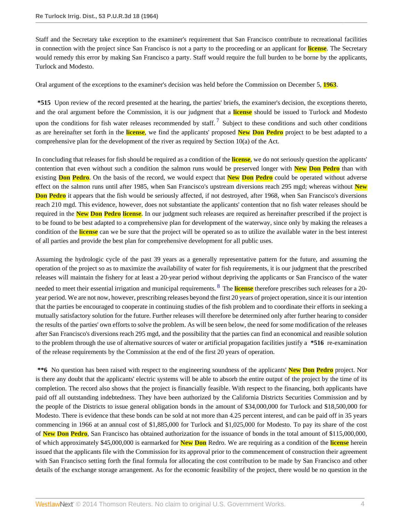Staff and the Secretary take exception to the examiner's requirement that San Francisco contribute to recreational facilities in connection with the project since San Francisco is not a party to the proceeding or an applicant for **license**. The Secretary would remedy this error by making San Francisco a party. Staff would require the full burden to be borne by the applicants, Turlock and Modesto.

Oral argument of the exceptions to the examiner's decision was held before the Commission on December 5, **1963**.

<span id="page-3-0"></span>**\*515** Upon review of the record presented at the hearing, the parties' briefs, the examiner's decision, the exceptions thereto, and the oral argument before the Commission, it is our judgment that a **license** should be issued to Turlock and Modesto upon the conditions for fish water releases recommended by staff.  $\frac{7}{1}$  $\frac{7}{1}$  $\frac{7}{1}$  Subject to these conditions and such other conditions as are hereinafter set forth in the **license**, we find the applicants' proposed **New Don Pedro** project to be best adapted to a comprehensive plan for the development of the river as required by Section 10(a) of the Act.

In concluding that releases for fish should be required as a condition of the **license**, we do not seriously question the applicants' contention that even without such a condition the salmon runs would be preserved longer with **New Don Pedro** than with existing **Don Pedro**. On the basis of the record, we would expect that **New Don Pedro** could be operated without adverse effect on the salmon runs until after 1985, when San Francisco's upstream diversions reach 295 mgd; whereas without **New Don Pedro** it appears that the fish would be seriously affected, if not destroyed, after 1968, when San Francisco's diversions reach 210 mgd. This evidence, however, does not substantiate the applicants' contention that no fish water releases should be required in the **New Don Pedro license**. In our judgment such releases are required as hereinafter prescribed if the project is to be found to be best adapted to a comprehensive plan for development of the waterway, since only by making the releases a condition of the **license** can we be sure that the project will be operated so as to utilize the available water in the best interest of all parties and provide the best plan for comprehensive development for all public uses.

<span id="page-3-1"></span>Assuming the hydrologic cycle of the past 39 years as a generally representative pattern for the future, and assuming the operation of the project so as to maximize the availability of water for fish requirements, it is our judgment that the prescribed releases will maintain the fishery for at least a 20-year period without depriving the applicants or San Francisco of the water needed to meet their essential irrigation and municipal requirements. [8](#page-56-4) The **license** therefore prescribes such releases for a 20 year period. We are not now, however, prescribing releases beyond the first 20 years of project operation, since it is our intention that the parties be encouraged to cooperate in continuing studies of the fish problem and to coordinate their efforts in seeking a mutually satisfactory solution for the future. Further releases will therefore be determined only after further hearing to consider the results of the parties' own efforts to solve the problem. As will be seen below, the need for some modification of the releases after San Francisco's diversions reach 295 mgd, and the possibility that the parties can find an economical and reasible solution to the problem through the use of alternative sources of water or artificial propagation facilities justify a **\*516** re-examination of the release requirements by the Commission at the end of the first 20 years of operation.

**\*\*6** No question has been raised with respect to the engineering soundness of the applicants' **New Don Pedro** project. Nor is there any doubt that the applicants' electric systems will be able to absorb the entire output of the project by the time of its completion. The record also shows that the project is financially feasible. With respect to the financing, both applicants have paid off all outstanding indebtedness. They have been authorized by the California Districts Securities Commission and by the people of the Districts to issue general obligation bonds in the amount of \$34,000,000 for Turlock and \$18,500,000 for Modesto. There is evidence that these bonds can be sold at not more than 4.25 percent interest, and can be paid off in 35 years commencing in 1966 at an annual cost of \$1,885,000 for Turlock and \$1,025,000 for Modesto. To pay its share of the cost of **New Don Pedro**, San Francisco has obtained authorization for the issuance of bonds in the total amount of \$115,000,000, of which approximately \$45,000,000 is earmarked for **New Don** Redro. We are requiring as a condition of the **license** herein issued that the applicants file with the Commission for its approval prior to the commencement of construction their agreement with San Francisco setting forth the final formula for allocating the cost contribution to be made by San Francisco and other details of the exchange storage arrangement. As for the economic feasibility of the project, there would be no question in the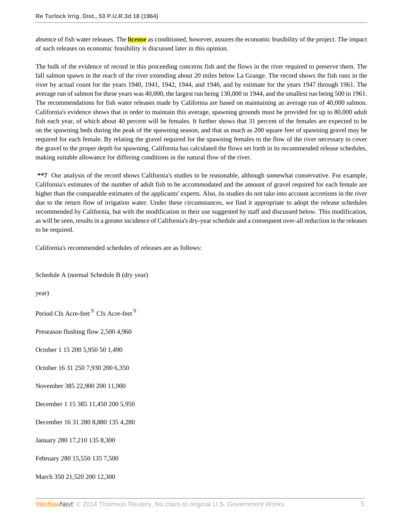absence of fish water releases. The **license** as conditioned, however, assures the economic feasibility of the project. The impact of such releases on economic feasibility is discussed later in this opinion.

The bulk of the evidence of record in this proceeding concerns fish and the flows in the river required to preserve them. The fall salmon spawn in the reach of the river extending about 20 miles below La Grange. The record shows the fish runs in the river by actual count for the years 1940, 1941, 1942, 1944, and 1946, and by estimate for the years 1947 through 1961. The average run of salmon for these years was 40,000, the largest run being 130,000 in 1944, and the smallest run being 500 in 1961. The recommendations for fish water releases made by California are based on maintaining an average run of 40,000 salmon. California's evidence shows that in order to maintain this average, spawning grounds must be provided for up to 80,000 adult fish each year, of which about 40 percent will be females. It further shows that 31 percent of the females are expected to be on the spawning beds during the peak of the spawning season, and that as much as 200 square feet of spawning gravel may be required for each female. By relating the gravel required for the spawning females to the flow of the river necessary to cover the gravel to the proper depth for spawning, California has calculated the flows set forth in its recommended release schedules, making suitable allowance for differing conditions in the natural flow of the river.

**\*\*7** Our analysis of the record shows California's studies to be reasonable, although somewhat conservative. For example, California's estimates of the number of adult fish to be accommodated and the amount of gravel required for each female are higher than the comparable estimates of the applicants' experts. Also, its studies do not take into account accretions in the river due to the return flow of irrigation water. Under these circumstances, we find it appropriate to adopt the release schedules recommended by California, but with the modification in their use suggested by staff and discussed below. This modification, as will be seen, results in a greater incidence of California's dry-year schedule and a consequent over-all reduction in the releases to be required.

California's recommended schedules of releases are as follows:

Schedule A (normal Schedule B (dry year)

year)

<span id="page-4-0"></span>Period Cfs Acre-feet <sup>[9](#page-56-5)</sup> Cfs Acre-feet <sup>9</sup>

Preseason flushing flow 2,500 4,960

October 1 15 200 5,950 50 1,490

October 16 31 250 7,930 200 6,350

November 385 22,900 200 11,900

December 1 15 385 11,450 200 5,950

December 16 31 280 8,880 135 4,280

January 280 17,210 135 8,300

February 280 15,550 135 7,500

March 350 21,520 200 12,300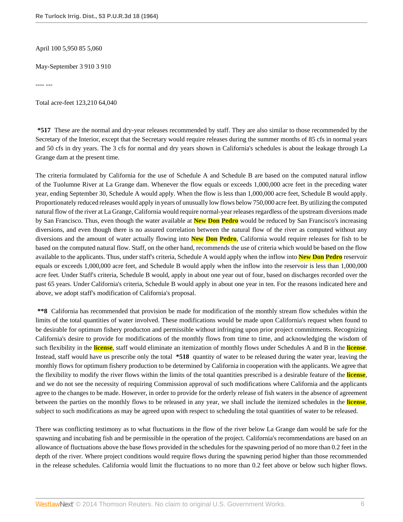April 100 5,950 85 5,060

May-September 3 910 3 910

---- ---

Total acre-feet 123,210 64,040

**\*517** These are the normal and dry-year releases recommended by staff. They are also similar to those recommended by the Secretary of the Interior, except that the Secretary would require releases during the summer months of 85 cfs in normal years and 50 cfs in dry years. The 3 cfs for normal and dry years shown in California's schedules is about the leakage through La Grange dam at the present time.

The criteria formulated by California for the use of Schedule A and Schedule B are based on the computed natural inflow of the Tuolumne River at La Grange dam. Whenever the flow equals or exceeds 1,000,000 acre feet in the preceding water year, ending September 30, Schedule A would apply. When the flow is less than 1,000,000 acre feet, Schedule B would apply. Proportionately reduced releases would apply in years of unusually low flows below 750,000 acre feet. By utilizing the computed natural flow of the river at La Grange, California would require normal-year releases regardless of the upstream diversions made by San Francisco. Thus, even though the water available at **New Don Pedro** would be reduced by San Francisco's increasing diversions, and even though there is no assured correlation between the natural flow of the river as computed without any diversions and the amount of water actually flowing into **New Don Pedro**, California would require releases for fish to be based on the computed natural flow. Staff, on the other hand, recommends the use of criteria which would be based on the flow available to the applicants. Thus, under staff's criteria, Schedule A would apply when the inflow into **New Don Pedro** reservoir equals or exceeds 1,000,000 acre feet, and Schedule B would apply when the inflow into the reservoir is less than 1,000,000 acre feet. Under Staff's criteria, Schedule B would, apply in about one year out of four, based on discharges recorded over the past 65 years. Under California's criteria, Schedule B would apply in about one year in ten. For the reasons indicated here and above, we adopt staff's modification of California's proposal.

**\*\*8** California has recommended that provision be made for modification of the monthly stream flow schedules within the limits of the total quantities of water involved. These modifications would be made upon California's request when found to be desirable for optimum fishery producton and permissible without infringing upon prior project commitments. Recognizing California's desire to provide for modifications of the monthly flows from time to time, and acknowledging the wisdom of such flexibility in the **license**, staff would eliminate an itemization of monthly flows under Schedules A and B in the **license**. Instead, staff would have us prescribe only the total **\*518** quantity of water to be released during the water year, leaving the monthly flows for optimum fishery production to be determined by California in cooperation with the applicants. We agree that the flexibility to modify the river flows within the limits of the total quantities prescribed is a desirable feature of the **license**, and we do not see the necessity of requiring Commission approval of such modifications where California and the applicants agree to the changes to be made. However, in order to provide for the orderly release of fish waters in the absence of agreement between the parties on the monthly flows to be released in any year, we shall include the itemized schedules in the **license**, subject to such modifications as may be agreed upon with respect to scheduling the total quantities of water to be released.

There was conflicting testimony as to what fluctuations in the flow of the river below La Grange dam would be safe for the spawning and incubating fish and be permissible in the operation of the project. California's recommendations are based on an allowance of fluctuations above the base flows provided in the schedules for the spawning period of no more than 0.2 feet in the depth of the river. Where project conditions would require flows during the spawning period higher than those recommended in the release schedules. California would limit the fluctuations to no more than 0.2 feet above or below such higher flows.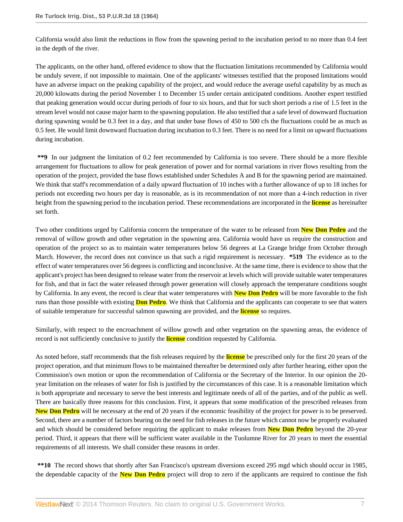California would also limit the reductions in flow from the spawning period to the incubation period to no more than 0.4 feet in the depth of the river.

The applicants, on the other hand, offered evidence to show that the fluctuation limitations recommended by California would be unduly severe, if not impossible to maintain. One of the applicants' witnesses testified that the proposed limitations would have an adverse impact on the peaking capability of the project, and would reduce the average useful capability by as much as 20,000 kilowatts during the period November 1 to December 15 under certain anticipated conditions. Another expert testified that peaking generation would occur during periods of four to six hours, and that for such short periods a rise of 1.5 feet in the stream level would not cause major harm to the spawning population. He also testified that a safe level of downward fluctuation during spawning would be 0.3 feet in a day, and that under base flows of 450 to 500 cfs the fluctuations could be as much as 0.5 feet. He would limit downward fluctuation during incubation to 0.3 feet. There is no need for a limit on upward fluctuations during incubation.

**\*\*9** In our judgment the limitation of 0.2 feet recommended by California is too severe. There should be a more flexible arrangement for fluctuations to allow for peak generation of power and for normal variations in river flows resulting from the operation of the project, provided the base flows established under Schedules A and B for the spawning period are maintained. We think that staff's recommendation of a daily upward fluctuation of 10 inches with a further allowance of up to 18 inches for periods not exceeding two hours per day is reasonable, as is its recommendation of not more than a 4-inch reduction in river height from the spawning period to the incubation period. These recommendations are incorporated in the **license** as hereinafter set forth.

Two other conditions urged by California concern the temperature of the water to be released from **New Don Pedro** and the removal of willow growth and other vegetation in the spawning area. California would have us require the construction and operation of the project so as to maintain water temperatures below 56 degrees at La Grange bridge from October through March. However, the record does not convince us that such a rigid requirement is necessary. **\*519** The evidence as to the effect of water temperatures over 56 degrees is conflicting and inconclusive. At the same time, there is evidence to show that the applicant's project has been designed to release water from the reservoir at levels which will provide suitable water temperatures for fish, and that in fact the water released through power generation will closely approach the temperature conditions sought by California. In any event, the record is clear that water temperatures with **New Don Pedro** will be more favorable to the fish runs than those possible with existing **Don Pedro**. We think that California and the applicants can cooperate to see that waters of suitable temperature for successful salmon spawning are provided, and the **license** so requires.

Similarly, with respect to the encroachment of willow growth and other vegetation on the spawning areas, the evidence of record is not sufficiently conclusive to justify the **license** condition requested by California.

As noted before, staff recommends that the fish releases required by the **license** be prescribed only for the first 20 years of the project operation, and that minimum flows to be maintained thereafter be determined only after further hearing, either upon the Commission's own motion or upon the recommendation of California or the Secretary of the Interior. In our opinion the 20 year limitation on the releases of water for fish is justified by the circumstances of this case. It is a reasonable limitation which is both appropriate and necessary to serve the best interests and legitimate needs of all of the parties, and of the public as well. There are basically three reasons for this conclusion. First, it appears that some modification of the prescribed releases from **New Don Pedro** will be necessary at the end of 20 years if the economic feasibility of the project for power is to be preserved. Second, there are a number of factors bearing on the need for fish releases in the future which cannot now be properly evaluated and which should be considered before requiring the applicant to make releases from **New Don Pedro** beyond the 20-year period. Third, it appears that there will be sufficient water available in the Tuolumne River for 20 years to meet the essential requirements of all interests. We shall consider these reasons in order.

**\*\*10** The record shows that shortly after San Francisco's upstream diversions exceed 295 mgd which should occur in 1985, the dependable capacity of the **New Don Pedro** project will drop to zero if the applicants are required to continue the fish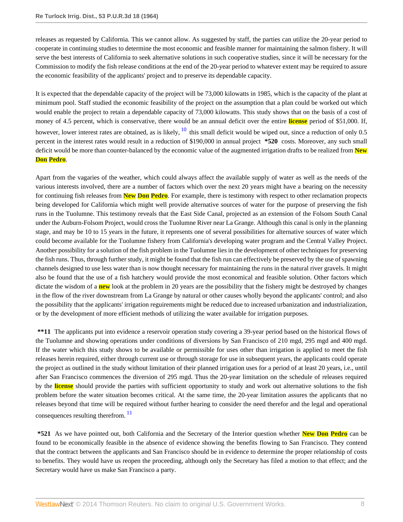releases as requested by California. This we cannot allow. As suggested by staff, the parties can utilize the 20-year period to cooperate in continuing studies to determine the most economic and feasible manner for maintaining the salmon fishery. It will serve the best interests of California to seek alternative solutions in such cooperative studies, since it will be necessary for the Commission to modify the fish release conditions at the end of the 20-year period to whatever extent may be required to assure the economic feasibility of the applicants' project and to preserve its dependable capacity.

<span id="page-7-0"></span>It is expected that the dependable capacity of the project will be 73,000 kilowatts in 1985, which is the capacity of the plant at minimum pool. Staff studied the economic feasibility of the project on the assumption that a plan could be worked out which would enable the project to retain a dependable capacity of 73,000 kilowatts. This study shows that on the basis of a cost of money of 4.5 percent, which is conservative, there would be an annual deficit over the entire **license** period of \$51,000. If, however, lower interest rates are obtained, as is likely,  $\frac{10}{10}$  $\frac{10}{10}$  $\frac{10}{10}$  this small deficit would be wiped out, since a reduction of only 0.5 percent in the interest rates would result in a reduction of \$190,000 in annual project **\*520** costs. Moreover, any such small deficit would be more than counter-balanced by the economic value of the augmented irrigation drafts to be realized from **New Don Pedro**.

Apart from the vagaries of the weather, which could always affect the available supply of water as well as the needs of the various interests involved, there are a number of factors which over the next 20 years might have a bearing on the necessity for continuing fish releases from **New Don Pedro**. For example, there is testimony with respect to other reclamation propects being developed for California which might well provide alternative sources of water for the purpose of preserving the fish runs in the Tuolumne. This testimony reveals that the East Side Canal, projected as an extension of the Folsom South Canal under the Auburn-Folsom Project, would cross the Tuolumne River near La Grange. Although this canal is only in the planning stage, and may be 10 to 15 years in the future, it represents one of several possibilities for alternative sources of water which could become available for the Tuolumne fishery from California's developing water program and the Central Valley Project. Another possibility for a solution of the fish problem in the Tuolumne lies in the development of other techniques for preserving the fish runs. Thus, through further study, it might be found that the fish run can effectively be preserved by the use of spawning channels designed to use less water than is now thought necessary for maintaining the runs in the natural river gravels. It might also be found that the use of a fish hatchery would provide the most economical and feasible solution. Other factors which dictate the wisdom of a **new** look at the problem in 20 years are the possibility that the fishery might be destroyed by changes in the flow of the river downstream from La Grange by natural or other causes wholly beyond the applicants' control; and also the possibility that the applicants' irrigation reguirements might be reduced due to increased urbanization and industrialization, or by the development of more efficient methods of utilizing the water available for irrigation purposes.

**\*\*11** The applicants put into evidence a reservoir operation study covering a 39-year period based on the historical flows of the Tuolumne and showing operations under conditions of diversions by San Francisco of 210 mgd, 295 mgd and 400 mgd. If the water which this study shows to be available or permissible for uses other than irrigation is applied to meet the fish releases herein required, either through current use or through storage for use in subsequent years, the applicants could operate the project as outlined in the study without limitation of their planned irrigation uses for a period of at least 20 years, i.e., until after San Francisco commences the diversion of 295 mgd. Thus the 20-year limitation on the schedule of releases required by the **license** should provide the parties with sufficient opportunity to study and work out alternative solutions to the fish problem before the water situation becomes critical. At the same time, the 20-year limitation assures the applicants that no releases beyond that time will be required without further hearing to consider the need therefor and the legal and operational consequences resulting therefrom.<sup>[11](#page-56-7)</sup>

<span id="page-7-1"></span>**\*521** As we have pointed out, both California and the Secretary of the Interior question whether **New Don Pedro** can be found to be economically feasible in the absence of evidence showing the benefits flowing to San Francisco. They contend that the contract between the applicants and San Francisco should be in evidence to determine the proper relationship of costs to benefits. They would have us reopen the proceeding, although only the Secretary has filed a motion to that effect; and the Secretary would have us make San Francisco a party.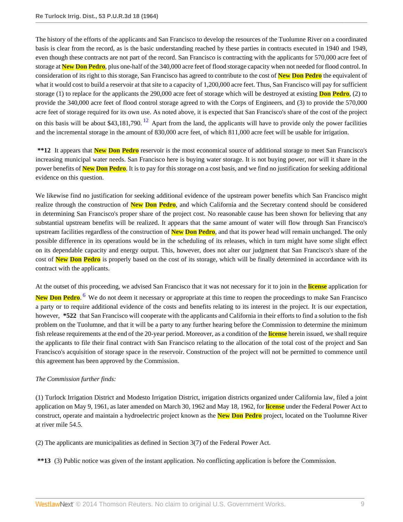The history of the efforts of the applicants and San Francisco to develop the resources of the Tuolumne River on a coordinated basis is clear from the record, as is the basic understanding reached by these parties in contracts executed in 1940 and 1949, even though these contracts are not part of the record. San Francisco is contracting with the applicants for 570,000 acre feet of storage at **New Don Pedro**, plus one-half of the 340,000 acre feet of flood storage capacity when not needed for flood control. In consideration of its right to this storage, San Francisco has agreed to contribute to the cost of **New Don Pedro** the equivalent of what it would cost to build a reservoir at that site to a capacity of 1,200,000 acre feet. Thus, San Francisco will pay for sufficient storage (1) to replace for the applicants the 290,000 acre feet of storage which will be destroyed at existing **Don Pedro**, (2) to provide the 340,000 acre feet of flood control storage agreed to with the Corps of Engineers, and (3) to provide the 570,000 acre feet of storage required for its own use. As noted above, it is expected that San Francisco's share of the cost of the project on this basis will be about \$43,181,790.<sup>[12](#page-56-8)</sup> Apart from the land, the applicants will have to provide only the power facilities and the incremental storage in the amount of 830,000 acre feet, of which 811,000 acre feet will be usable for irrigation.

<span id="page-8-0"></span>**\*\*12** It appears that **New Don Pedro** reservoir is the most economical source of additional storage to meet San Francisco's increasing municipal water needs. San Francisco here is buying water storage. It is not buying power, nor will it share in the power benefits of **New Don Pedro**. It is to pay for this storage on a cost basis, and we find no justification for seeking additional evidence on this question.

We likewise find no justification for seeking additional evidence of the upstream power benefits which San Francisco might realize through the construction of **New Don Pedro**, and which California and the Secretary contend should be considered in determining San Francisco's proper share of the project cost. No reasonable cause has been shown for believing that any substantial upstream benefits will be realized. It appears that the same amount of water will flow through San Francisco's upstream facilities regardless of the construction of **New Don Pedro**, and that its power head will remain unchanged. The only possible difference in its operations would be in the scheduling of its releases, which in turn might have some slight effect on its dependable capacity and energy output. This, however, does not alter our judgment that San Francisco's share of the cost of **New Don Pedro** is properly based on the cost of its storage, which will be finally determined in accordance with its contract with the applicants.

At the outset of this proceeding, we advised San Francisco that it was not necessary for it to join in the **license** application for

**New Don Pedro**. [6](#page-56-2) We do not deem it necessary or appropriate at this time to reopen the proceedings to make San Francisco a party or to require additional evidence of the costs and benefits relating to its interest in the project. It is our expectation, however, **\*522** that San Francisco will cooperate with the applicants and California in their efforts to find a solution to the fish problem on the Tuolumne, and that it will be a party to any further hearing before the Commission to determine the minimum fish release requirements at the end of the 20-year period. Moreover, as a condition of the **license** herein issued, we shall require the applicants to file their final contract with San Francisco relating to the allocation of the total cost of the project and San Francisco's acquisition of storage space in the reservoir. Construction of the project will not be permitted to commence until this agreement has been approved by the Commission.

# *The Commission further finds:*

(1) Turlock Irrigation District and Modesto Irrigation District, irrigation districts organized under California law, filed a joint application on May 9, 1961, as later amended on March 30, 1962 and May 18, 1962, for **license** under the Federal Power Act to construct, operate and maintain a hydroelectric project known as the **New Don Pedro** project, located on the Tuolumne River at river mile 54.5.

(2) The applicants are municipalities as defined in Section 3(7) of the Federal Power Act.

**\*\*13** (3) Public notice was given of the instant application. No conflicting application is before the Commission.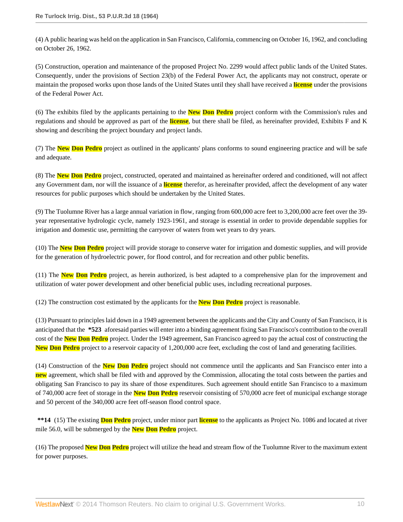(4) A public hearing was held on the application in San Francisco, California, commencing on October 16, 1962, and concluding on October 26, 1962.

(5) Construction, operation and maintenance of the proposed Project No. 2299 would affect public lands of the United States. Consequently, under the provisions of Section 23(b) of the Federal Power Act, the applicants may not construct, operate or maintain the proposed works upon those lands of the United States until they shall have received a **license** under the provisions of the Federal Power Act.

(6) The exhibits filed by the applicants pertaining to the **New Don Pedro** project conform with the Commission's rules and regulations and should be approved as part of the **license**, but there shall be filed, as hereinafter provided, Exhibits F and K showing and describing the project boundary and project lands.

(7) The **New Don Pedro** project as outlined in the applicants' plans conforms to sound engineering practice and will be safe and adequate.

(8) The **New Don Pedro** project, constructed, operated and maintained as hereinafter ordered and conditioned, will not affect any Government dam, nor will the issuance of a **license** therefor, as hereinafter provided, affect the development of any water resources for public purposes which should be undertaken by the United States.

(9) The Tuolumne River has a large annual variation in flow, ranging from 600,000 acre feet to 3,200,000 acre feet over the 39 year representative hydrologic cycle, namely 1923-1961, and storage is essential in order to provide dependable supplies for irrigation and domestic use, permitting the carryover of waters from wet years to dry years.

(10) The **New Don Pedro** project will provide storage to conserve water for irrigation and domestic supplies, and will provide for the generation of hydroelectric power, for flood control, and for recreation and other public benefits.

(11) The **New Don Pedro** project, as herein authorized, is best adapted to a comprehensive plan for the improvement and utilization of water power development and other beneficial public uses, including recreational purposes.

(12) The construction cost estimated by the applicants for the **New Don Pedro** project is reasonable.

(13) Pursuant to principles laid down in a 1949 agreement between the applicants and the City and County of San Francisco, it is anticipated that the **\*523** aforesaid parties will enter into a binding agreement fixing San Francisco's contribution to the overall cost of the **New Don Pedro** project. Under the 1949 agreement, San Francisco agreed to pay the actual cost of constructing the **New Don Pedro** project to a reservoir capacity of 1,200,000 acre feet, excluding the cost of land and generating facilities.

(14) Construction of the **New Don Pedro** project should not commence until the applicants and San Francisco enter into a **new** agreement, which shall be filed with and approved by the Commission, allocating the total costs between the parties and obligating San Francisco to pay its share of those expenditures. Such agreement should entitle San Francisco to a maximum of 740,000 acre feet of storage in the **New Don Pedro** reservoir consisting of 570,000 acre feet of municipal exchange storage and 50 percent of the 340,000 acre feet off-season flood control space.

**\*\*14** (15) The existing **Don Pedro** project, under minor part **license** to the applicants as Project No. 1086 and located at river mile 56.0, will be submerged by the **New Don Pedro** project.

(16) The proposed **New Don Pedro** project will utilize the head and stream flow of the Tuolumne River to the maximum extent for power purposes.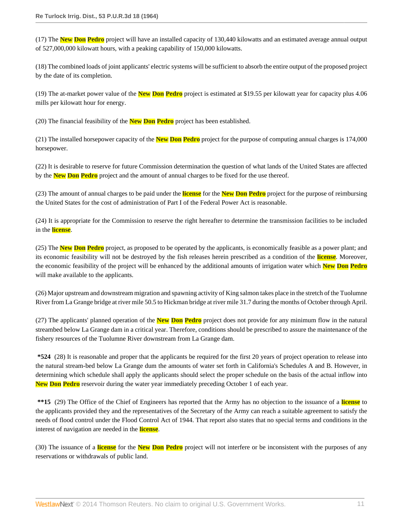(17) The **New Don Pedro** project will have an installed capacity of 130,440 kilowatts and an estimated average annual output of 527,000,000 kilowatt hours, with a peaking capability of 150,000 kilowatts.

(18) The combined loads of joint applicants' electric systems will be sufficient to absorb the entire output of the proposed project by the date of its completion.

(19) The at-market power value of the **New Don Pedro** project is estimated at \$19.55 per kilowatt year for capacity plus 4.06 mills per kilowatt hour for energy.

(20) The financial feasibility of the **New Don Pedro** project has been established.

(21) The installed horsepower capacity of the **New Don Pedro** project for the purpose of computing annual charges is 174,000 horsepower.

(22) It is desirable to reserve for future Commission determination the question of what lands of the United States are affected by the **New Don Pedro** project and the amount of annual charges to be fixed for the use thereof.

(23) The amount of annual charges to be paid under the **license** for the **New Don Pedro** project for the purpose of reimbursing the United States for the cost of administration of Part I of the Federal Power Act is reasonable.

(24) It is appropriate for the Commission to reserve the right hereafter to determine the transmission facilities to be included in the **license**.

(25) The **New Don Pedro** project, as proposed to be operated by the applicants, is economically feasible as a power plant; and its economic feasibility will not be destroyed by the fish releases herein prescribed as a condition of the **license**. Moreover, the economic feasibility of the project will be enhanced by the additional amounts of irrigation water which **New Don Pedro** will make available to the applicants.

(26) Major upstream and downstream migration and spawning activity of King salmon takes place in the stretch of the Tuolumne River from La Grange bridge at river mile 50.5 to Hickman bridge at river mile 31.7 during the months of October through April.

(27) The applicants' planned operation of the **New Don Pedro** project does not provide for any minimum flow in the natural streambed below La Grange dam in a critical year. Therefore, conditions should be prescribed to assure the maintenance of the fishery resources of the Tuolumne River downstream from La Grange dam.

**\*524** (28) It is reasonable and proper that the applicants be required for the first 20 years of project operation to release into the natural stream-bed below La Grange dum the amounts of water set forth in California's Schedules A and B. However, in determining which schedule shall apply the applicants should select the proper schedule on the basis of the actual inflow into **New Don Pedro** reservoir during the water year immediately preceding October 1 of each year.

**\*\*15** (29) The Office of the Chief of Engineers has reported that the Army has no objection to the issuance of a **license** to the applicants provided they and the representatives of the Secretary of the Army can reach a suitable agreement to satisfy the needs of flood control under the Flood Control Act of 1944. That report also states that no special terms and conditions in the interest of navigation are needed in the **license**.

(30) The issuance of a **license** for the **New Don Pedro** project will not interfere or be inconsistent with the purposes of any reservations or withdrawals of public land.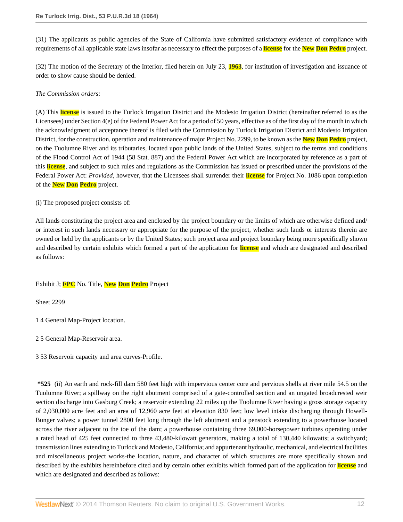(31) The applicants as public agencies of the State of California have submitted satisfactory evidence of compliance with requirements of all applicable state laws insofar as necessary to effect the purposes of a **license** for the **New Don Pedro** project.

(32) The motion of the Secretary of the Interior, filed herein on July 23, **1963**, for institution of investigation and issuance of order to show cause should be denied.

# *The Commission orders:*

(A) This **license** is issued to the Turlock Irrigation District and the Modesto Irrigation District (hereinafter referred to as the Licensees) under Section 4(e) of the Federal Power Act for a period of 50 years, effective as of the first day of the month in which the acknowledgment of acceptance thereof is filed with the Commission by Turlock Irrigation District and Modesto Irrigation District, for the construction, operation and maintenance of major Project No. 2299, to be known as the **New Don Pedro** project, on the Tuolumne River and its tributaries, located upon public lands of the United States, subject to the terms and conditions of the Flood Control Act of 1944 (58 Stat. 887) and the Federal Power Act which are incorporated by reference as a part of this **license**, and subject to such rules and regulations as the Commission has issued or prescribed under the provisions of the Federal Power Act: *Provided*, however, that the Licensees shall surrender their **license** for Project No. 1086 upon completion of the **New Don Pedro** project.

(i) The proposed project consists of:

All lands constituting the project area and enclosed by the project boundary or the limits of which are otherwise defined and/ or interest in such lands necessary or appropriate for the purpose of the project, whether such lands or interests therein are owned or held by the applicants or by the United States; such project area and project boundary being more specifically shown and described by certain exhibits which formed a part of the application for **license** and which are designated and described as follows:

# Exhibit J; **FPC** No. Title, **New Don Pedro** Project

Sheet 2299

- 1 4 General Map-Project location.
- 2 5 General Map-Reservoir area.
- 3 53 Reservoir capacity and area curves-Profile.

**\*525** (ii) An earth and rock-fill dam 580 feet high with impervious center core and pervious shells at river mile 54.5 on the Tuolumne River; a spillway on the right abutment comprised of a gate-controlled section and an ungated broadcrested weir section discharge into Gasburg Creek; a reservoir extending 22 miles up the Tuolumne River having a gross storage capacity of 2,030,000 acre feet and an area of 12,960 acre feet at elevation 830 feet; low level intake discharging through Howell-Bunger valves; a power tunnel 2800 feet long through the left abutment and a penstock extending to a powerhouse located across the river adjacent to the toe of the dam; a powerhouse containing three 69,000-horsepower turbines operating under a rated head of 425 feet connected to three 43,480-kilowatt generators, making a total of 130,440 kilowatts; a switchyard; transmission lines extending to Turlock and Modesto, California; and appurtenant hydraulic, mechanical, and electrical facilities and miscellaneous project works-the location, nature, and character of which structures are more specifically shown and described by the exhibits hereinbefore cited and by certain other exhibits which formed part of the application for **license** and which are designated and described as follows: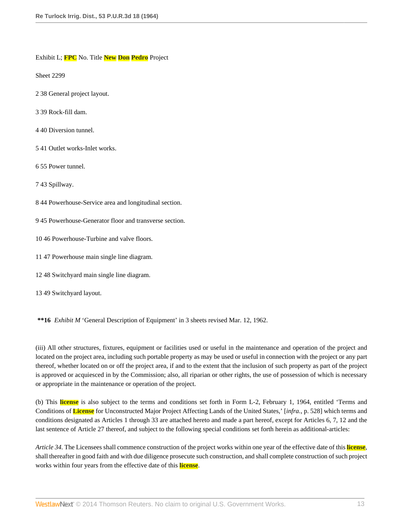Exhibit L; **FPC** No. Title **New Don Pedro** Project

Sheet 2299

- 2 38 General project layout.
- 3 39 Rock-fill dam.
- 4 40 Diversion tunnel.
- 5 41 Outlet works-Inlet works.
- 6 55 Power tunnel.
- 7 43 Spillway.
- 8 44 Powerhouse-Service area and longitudinal section.
- 9 45 Powerhouse-Generator floor and transverse section.
- 10 46 Powerhouse-Turbine and valve floors.
- 11 47 Powerhouse main single line diagram.
- 12 48 Switchyard main single line diagram.
- 13 49 Switchyard layout.

**\*\*16** *Exhibit M* 'General Description of Equipment' in 3 sheets revised Mar. 12, 1962.

(iii) All other structures, fixtures, equipment or facilities used or useful in the maintenance and operation of the project and located on the project area, including such portable property as may be used or useful in connection with the project or any part thereof, whether located on or off the project area, if and to the extent that the inclusion of such property as part of the project is approved or acquiesced in by the Commission; also, all riparian or other rights, the use of possession of which is necessary or appropriate in the maintenance or operation of the project.

(b) This **license** is also subject to the terms and conditions set forth in Form L-2, February 1, 1964, entitled 'Terms and Conditions of **License** for Unconstructed Major Project Affecting Lands of the United States,' [*infra.*, p. 528] which terms and conditions designated as Articles 1 through 33 are attached hereto and made a part hereof, except for Articles 6, 7, 12 and the last sentence of Article 27 thereof, and subject to the following special conditions set forth herein as additional-articles:

*Article 34*. The Licensees shall commence construction of the project works within one year of the effective date of this **license**, shall thereafter in good faith and with due diligence prosecute such construction, and shall complete construction of such project works within four years from the effective date of this **license**.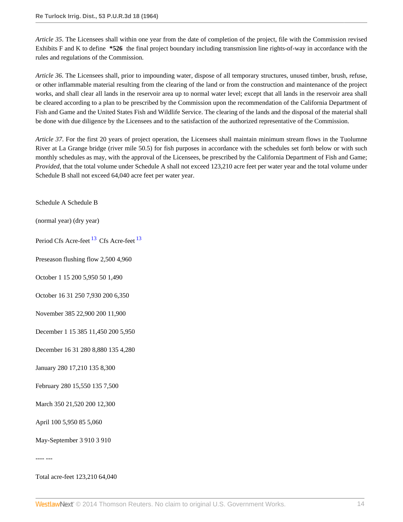*Article 35*. The Licensees shall within one year from the date of completion of the project, file with the Commission revised Exhibits F and K to define **\*526** the final project boundary including transmission line rights-of-way in accordance with the rules and regulations of the Commission.

*Article 36*. The Licensees shall, prior to impounding water, dispose of all temporary structures, unused timber, brush, refuse, or other inflammable material resulting from the clearing of the land or from the construction and maintenance of the project works, and shall clear all lands in the reservoir area up to normal water level; except that all lands in the reservoir area shall be cleared according to a plan to be prescribed by the Commission upon the recommendation of the California Department of Fish and Game and the United States Fish and Wildlife Service. The clearing of the lands and the disposal of the material shall be done with due diligence by the Licensees and to the satisfaction of the authorized representative of the Commission.

*Article 37*. For the first 20 years of project operation, the Licensees shall maintain minimum stream flows in the Tuolumne River at La Grange bridge (river mile 50.5) for fish purposes in accordance with the schedules set forth below or with such monthly schedules as may, with the approval of the Licensees, be prescribed by the California Department of Fish and Game; *Provided*, that the total volume under Schedule A shall not exceed 123,210 acre feet per water year and the total volume under Schedule B shall not exceed 64,040 acre feet per water year.

Schedule A Schedule B

(normal year) (dry year)

<span id="page-13-0"></span>Period Cfs Acre-feet<sup>[13](#page-56-9)</sup> Cfs Acre-feet<sup>13</sup>

Preseason flushing flow 2,500 4,960

October 1 15 200 5,950 50 1,490

October 16 31 250 7,930 200 6,350

November 385 22,900 200 11,900

December 1 15 385 11,450 200 5,950

December 16 31 280 8,880 135 4,280

January 280 17,210 135 8,300

February 280 15,550 135 7,500

March 350 21,520 200 12,300

April 100 5,950 85 5,060

May-September 3 910 3 910

---- ---

Total acre-feet 123,210 64,040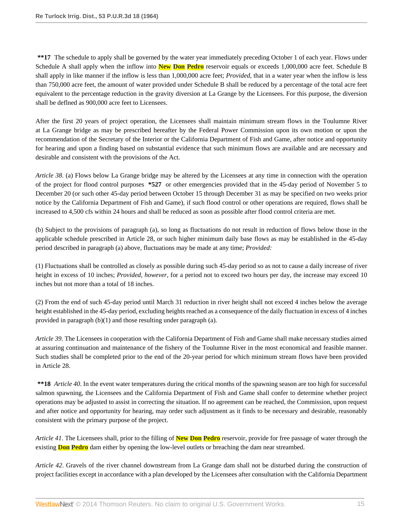**\*\*17** The schedule to apply shall be governed by the water year immediately preceding October 1 of each year. Flows under Schedule A shall apply when the inflow into **New Don Pedro** reservoir equals or exceeds 1,000,000 acre feet. Schedule B shall apply in like manner if the inflow is less than 1,000,000 acre feet; *Provided*, that in a water year when the inflow is less than 750,000 acre feet, the amount of water provided under Schedule B shall be reduced by a percentage of the total acre feet equivalent to the percentage reduction in the gravity diversion at La Grange by the Licensees. For this purpose, the diversion shall be deflned as 900,000 acre feet to Licensees.

After the first 20 years of project operation, the Licensees shall maintain minimum stream flows in the Toulumne River at La Grange bridge as may be prescribed hereafter by the Federal Power Commission upon its own motion or upon the recommendation of the Secretary of the Interior or the California Department of Fish and Game, after notice and opportunity for hearing and upon a finding based on substantial evidence that such minimum flows are available and are necessary and desirable and consistent with the provisions of the Act.

*Article 38*. (a) Flows below La Grange bridge may be altered by the Licensees at any time in connection with the operation of the project for flood control purposes **\*527** or other emergencies provided that in the 45-day period of November 5 to December 20 (or such other 45-day period between October 15 through December 31 as may be specified on two weeks prior notice by the California Department of Fish and Game), if such flood control or other operations are required, flows shall be increased to 4,500 cfs within 24 hours and shall be reduced as soon as possible after flood control criteria are met.

(b) Subject to the provisions of paragraph (a), so long as fluctuations do not result in reduction of flows below those in the applicable schedule prescribed in Article 28, or such higher minimum daily base flows as may be established in the 45-day period described in paragraph (a) above, fluctuations may be made at any time; *Provided:*

(1) Fluctuations shall be controlled as closely as possible during such 45-day period so as not to cause a daily increase of river height in excess of 10 inches; *Provided, however*, for a period not to exceed two hours per day, the increase may exceed 10 inches but not more than a total of 18 inches.

(2) From the end of such 45-day period until March 31 reduction in river height shall not exceed 4 inches below the average height established in the 45-day period, excluding heights reached as a consequence of the daily fluctuation in excess of 4 inches provided in paragraph (b)(1) and those resulting under paragraph (a).

*Article 39*. The Licensees in cooperation with the California Department of Fish and Game shall make necessary studies aimed at assuring continuation and maintenance of the fishery of the Toulumne River in the most economical and feasible manner. Such studies shall be completed prior to the end of the 20-year period for which minimum stream flows have been provided in Article 28.

**\*\*18** *Article 40*. In the event water temperatures during the critical months of the spawning season are too high for successful salmon spawning, the Licensees and the California Department of Fish and Game shall confer to determine whether project operations may be adjusted to assist in correcting the situation. If no agreement can be reached, the Commission, upon request and after notice and opportunity for hearing, may order such adjustment as it finds to be necessary and desirable, reasonably consistent with the primary purpose of the project.

*Article 41*. The Licensees shall, prior to the filling of **New Don Pedro** reservoir, provide for free passage of water through the existing **Don Pedro** dam either by opening the low-level outlets or breaching the dam near streambed.

*Article 42*. Gravels of the river channel downstream from La Grange dam shall not be disturbed during the construction of project facilities except in accordance with a plan developed by the Licensees after consultation with the California Department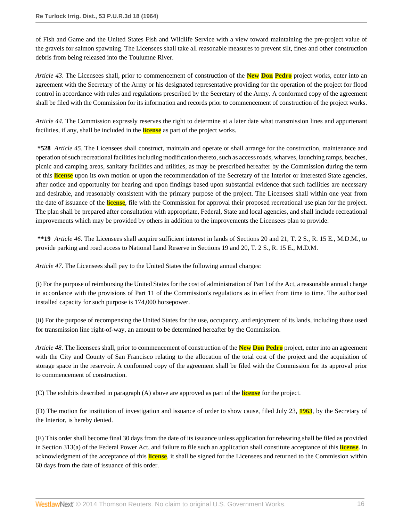of Fish and Game and the United States Fish and Wildlife Service with a view toward maintaining the pre-project value of the gravels for salmon spawning. The Licensees shall take all reasonable measures to prevent silt, fines and other construction debris from being released into the Toulumne River.

*Article 43*. The Licensees shall, prior to commencement of construction of the **New Don Pedro** project works, enter into an agreement with the Secretary of the Army or his designated representative providing for the operation of the project for flood control in accordance with rules and regulations prescribed by the Secretary of the Army. A conformed copy of the agreement shall be filed with the Commission for its information and records prior to commencement of construction of the project works.

*Article 44*. The Commission expressly reserves the right to determine at a later date what transmission lines and appurtenant facilities, if any, shall be included in the **license** as part of the project works.

**\*528** *Article 45*. The Licensees shall construct, maintain and operate or shall arrange for the construction, maintenance and operation of such recreational facilities including modification thereto, such as access roads, wharves, launching ramps, beaches, picnic and camping areas, sanitary facilities and utilities, as may be prescribed hereafter by the Commission during the term of this **license** upon its own motion or upon the recommendation of the Secretary of the Interior or interested State agencies, after notice and opportunity for hearing and upon findings based upon substantial evidence that such facilities are necessary and desirable, and reasonably consistent with the primary purpose of the project. The Licensees shall within one year from the date of issuance of the **license**, file with the Commission for approval their proposed recreational use plan for the project. The plan shall be prepared after consultation with appropriate, Federal, State and local agencies, and shall include recreational improvements which may be provided by others in addition to the improvements the Licensees plan to provide.

**\*\*19** *Article 46*. The Licensees shall acquire sufficient interest in lands of Sections 20 and 21, T. 2 S., R. 15 E., M.D.M., to provide parking and road access to National Land Reserve in Sections 19 and 20, T. 2 S., R. 15 E., M.D.M.

*Article 47*. The Licensees shall pay to the United States the following annual charges:

(i) For the purpose of reimbursing the United States for the cost of administration of Part I of the Act, a reasonable annual charge in accordance with the provisions of Part 11 of the Commission's regulations as in effect from time to time. The authorized installed capacity for such purpose is 174,000 horsepower.

(ii) For the purpose of recompensing the United States for the use, occupancy, and enjoyment of its lands, including those used for transmission line right-of-way, an amount to be determined hereafter by the Commission.

*Article 48*. The licensees shall, prior to commencement of construction of the **New Don Pedro** project, enter into an agreement with the City and County of San Francisco relating to the allocation of the total cost of the project and the acquisition of storage space in the reservoir. A conformed copy of the agreement shall be filed with the Commission for its approval prior to commencement of construction.

(C) The exhibits described in paragraph (A) above are approved as part of the **license** for the project.

(D) The motion for institution of investigation and issuance of order to show cause, filed July 23, **1963**, by the Secretary of the Interior, is hereby denied.

(E) This order shall become final 30 days from the date of its issuance unless application for rehearing shall be filed as provided in Section 313(a) of the Federal Power Act, and failure to file such an application shall constitute acceptance of this **license**. In acknowledgment of the acceptance of this **license**, it shall be signed for the Licensees and returned to the Commission within 60 days from the date of issuance of this order.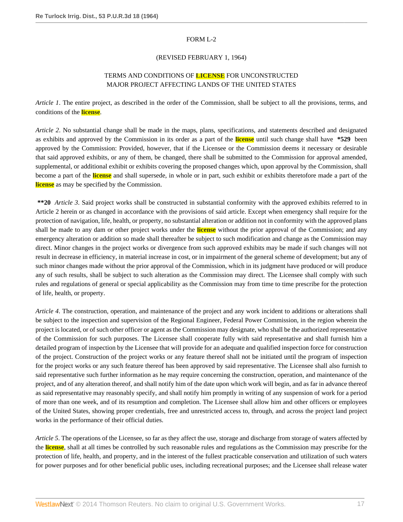### FORM L-2

### (REVISED FEBRUARY 1, 1964)

# TERMS AND CONDITIONS OF **LICENSE** FOR UNCONSTRUCTED MAJOR PROJECT AFFECTING LANDS OF THE UNITED STATES

*Article 1*. The entire project, as described in the order of the Commission, shall be subject to all the provisions, terms, and conditions of the **license**.

*Article 2*. No substantial change shall be made in the maps, plans, specifications, and statements described and designated as exhibits and approved by the Commission in its order as a part of the **license** until such change shall have **\*529** been approved by the Commission: Provided, however, that if the Licensee or the Commission deems it necessary or desirable that said approved exhibits, or any of them, be changed, there shall be submitted to the Commission for approval amended, supplemental, or additional exhibit or exhibits covering the proposed changes which, upon approval by the Commission, shall become a part of the **license** and shall supersede, in whole or in part, such exhibit or exhibits theretofore made a part of the **license** as may be specified by the Commission.

**\*\*20** *Article 3*. Said project works shall be constructed in substantial conformity with the approved exhibits referred to in Article 2 herein or as changed in accordance with the provisions of said article. Except when emergency shall require for the protection of navigation, life, health, or property, no substantial alteration or addition not in conformity with the approved plans shall be made to any dam or other project works under the **license** without the prior approval of the Commission; and any emergency alteration or addition so made shall thereafter be subject to such modification and change as the Commission may direct. Minor changes in the project works or divergence from such approved exhibits may be made if such changes will not result in decrease in efficiency, in material increase in cost, or in impairment of the general scheme of development; but any of such minor changes made without the prior approval of the Commission, which in its judgment have produced or will produce any of such results, shall be subject to such alteration as the Commission may direct. The Licensee shall comply with such rules and regulations of general or special applicability as the Commission may from time to time prescribe for the protection of life, health, or property.

*Article 4*. The construction, operation, and maintenance of the project and any work incident to additions or alterations shall be subject to the inspection and supervision of the Regional Engineer, Federal Power Commission, in the region wherein the project is located, or of such other officer or agent as the Commission may designate, who shall be the authorized representative of the Commission for such purposes. The Licensee shall cooperate fully with said representative and shall furnish him a detailed program of inspection by the Licensee that will provide for an adequate and qualified inspection force for construction of the project. Construction of the project works or any feature thereof shall not be initiated until the program of inspection for the project works or any such feature thereof has been approved by said representative. The Licensee shall also furnish to said representative such further information as he may require concerning the construction, operation, and maintenance of the project, and of any alteration thereof, and shall notify him of the date upon which work will begin, and as far in advance thereof as said representative may reasonably specify, and shall notify him promptly in writing of any suspension of work for a period of more than one week, and of its resumption and completion. The Licensee shall allow him and other officers or employees of the United States, showing proper credentials, free and unrestricted access to, through, and across the project land project works in the performance of their official duties.

*Article 5*. The operations of the Licensee, so far as they affect the use, storage and discharge from storage of waters affected by the **license**, shall at all times be controlled by such reasonable rules and regulations as the Commission may prescribe for the protection of life, health, and property, and in the interest of the fullest practicable conservation and utilization of such waters for power purposes and for other beneficial public uses, including recreational purposes; and the Licensee shall release water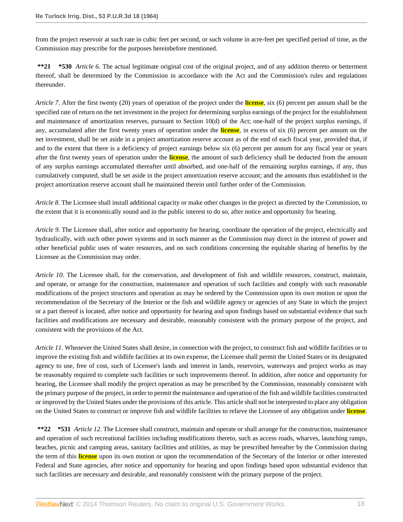from the project reservoir at such rate in cubic feet per second, or such volume in acre-feet per specified period of time, as the Commission may prescribe for the purposes hereinbefore mentioned.

**\*\*21 \*530** *Article 6*. The actual legitimate original cost of the original project, and of any addition thereto or betterment thereof, shall be determined by the Commission in accordance with the Act and the Commission's rules and regulations thereunder.

*Article 7*. After the first twenty (20) years of operation of the project under the **license**, six (6) percent per annum shall be the specified rate of return on the net investment in the project for determining surplus earnings of the project for the establishment and maintenance of amortization reserves, pursuant to Section 10(d) of the Act; one-half of the project surplus earnings, if any, accumulated after the first twenty years of operation under the **license**, in excess of six (6) percent per annum on the net investment, shall be set aside in a project amortization reserve account as of the end of each fiscal year, provided that, if and to the extent that there is a deficiency of project earnings below six (6) percent per annum for any fiscal year or years after the first twenty years of operation under the **license**, the amount of such deficiency shall be deducted from the amount of any surplus earnings accumulated thereafter until absorbed, and one-half of the remaining surplus earnings, if any, thus cumulatively computed, shall be set aside in the project amortization reserve account; and the amounts thus established in the project amortization reserve account shall be maintained therein until further order of the Commission.

*Article 8*. The Licensee shall install additional capacity or make other changes in the project as directed by the Commission, to the extent that it is economically sound and in the public interest to do so, after notice and opportunity for hearing.

*Article 9*. The Licensee shall, after notice and opportunity for hearing, coordinate the operation of the project, electrically and hydraulically, with such other power systems and in such manner as the Commission may direct in the interest of power and other beneficial public uses of water resources, and on such conditions concerning the equitable sharing of benefits by the Licensee as the Commission may order.

*Article 10*. The Licensee shall, for the conservation, and development of fish and wildlife resources, construct, maintain, and operate, or arrange for the construction, maintenance and operation of such facilities and comply with such reasonable modifications of the project structures and operation as may be ordered by the Commission upon its own motion or upon the recommendation of the Secretary of the Interior or the fish and wildlife agency or agencies of any State in which the project or a part thereof is located, after notice and opportunity for hearing and upon findings based on substantial evidence that such facilities and modifications are necessary and desirable, reasonably consistent with the primary purpose of the project, and consistent with the provisions of the Act.

*Article 11*. Whenever the United States shall desire, in connection with the project, to construct fish and wildlife facilities or to improve the existing fish and wildlife facilities at its own expense, the Licensee shall permit the United States or its designated agency to use, free of cost, such of Licensee's lands and interest in lands, reservoirs, waterways and project works as may be reasonably required to complete such facilities or such improvements thereof. In addition, after notice and opportunity for hearing, the Licensee shall modify the project operation as may be prescribed by the Commission, reasonably consistent with the primary purpose of the project, in order to permit the maintenance and operation of the fish and wildlife facilities constructed or improved by the United States under the provisions of this article. This article shall not be interprested to place any obligation on the United States to construct or improve fish and wildlife facilities to relieve the Licensee of any obligation under **license**.

**\*\*22 \*531** *Article 12*. The Licensee shall construct, maintain and operate or shall arrange for the construction, maintenance and operation of such recreational facilities including modifications thereto, such as access roads, wharves, launching ramps, beaches, picnic and camping areas, sanitary facilities and utilities, as may be prescribed hereafter by the Commission during the term of this **license** upon its own motion or upon the recommendation of the Secretary of the Interior or other interested Federal and State agencies, after notice and opportunity for hearing and upon findings based upon substantial evidence that such facilities are necessary and desirable, and reasonably consistent with the primary purpose of the project.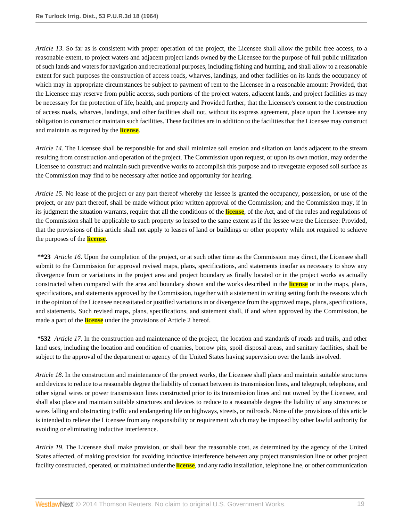*Article 13*. So far as is consistent with proper operation of the project, the Licensee shall allow the public free access, to a reasonable extent, to project waters and adjacent project lands owned by the Licensee for the purpose of full public utilization of such lands and waters for navigation and recreational purposes, including fishing and hunting, and shall allow to a reasonable extent for such purposes the construction of access roads, wharves, landings, and other facilities on its lands the occupancy of which may in appropriate circumstances be subject to payment of rent to the Licensee in a reasonable amount: Provided, that the Licensee may reserve from public access, such portions of the project waters, adjacent lands, and project facilities as may be necessary for the protection of life, health, and property and Provided further, that the Licensee's consent to the construction of access roads, wharves, landings, and other facilities shall not, without its express agreement, place upon the Licensee any obligation to construct or maintain such facilities. These facilities are in addition to the facilities that the Licensee may construct and maintain as required by the **license**.

*Article 14*. The Licensee shall be responsible for and shall minimize soil erosion and siltation on lands adjacent to the stream resulting from construction and operation of the project. The Commission upon request, or upon its own motion, may order the Licensee to construct and maintain such preventive works to accomplish this purpose and to revegetate exposed soil surface as the Commission may find to be necessary after notice and opportunity for hearing.

*Article 15*. No lease of the project or any part thereof whereby the lessee is granted the occupancy, possession, or use of the project, or any part thereof, shall be made without prior written approval of the Commission; and the Commission may, if in its judgment the situation warrants, require that all the conditions of the **license**, of the Act, and of the rules and regulations of the Commission shall be applicable to such property so leased to the same extent as if the lessee were the Licensee: Provided, that the provisions of this article shall not apply to leases of land or buildings or other property while not required to schieve the purposes of the **license**.

**\*\*23** *Article 16*. Upon the completion of the project, or at such other time as the Commission may direct, the Licensee shall submit to the Commission for approval revised maps, plans, specifications, and statements insofar as necessary to show any divergence from or variations in the project area and project boundary as finally located or in the project works as actually constructed when compared with the area and boundary shown and the works described in the **license** or in the maps, plans, specifications, and statements approved by the Commission, together with a statement in writing setting forth the reasons which in the opinion of the Licensee necessitated or justified variations in or divergence from the approved maps, plans, specifications, and statements. Such revised maps, plans, specifications, and statement shall, if and when approved by the Commission, be made a part of the **license** under the provisions of Article 2 hereof.

**\*532** *Article 17*. In the construction and maintenance of the project, the location and standards of roads and trails, and other land uses, including the location and condition of quarries, borrow pits, spoil disposal areas, and sanitary facilities, shall be subject to the approval of the department or agency of the United States having supervision over the lands involved.

*Article 18*. In the construction and maintenance of the project works, the Licensee shall place and maintain suitable structures and devices to reduce to a reasonable degree the liability of contact between its transmission lines, and telegraph, telephone, and other signal wires or power transmission lines constructed prior to its transmission lines and not owned by the Licensee, and shall also place and maintain suitable structures and devices to reduce to a reasonable degree the liability of any structures or wires falling and obstructing traffic and endangering life on highways, streets, or railroads. None of the provisions of this article is intended to relieve the Licensee from any responsibility or requirement which may be imposed by other lawful authority for avoiding or eliminating inductive interference.

*Article 19*. The Licensee shall make provision, or shall bear the reasonable cost, as determined by the agency of the United States affected, of making provision for avoiding inductive interference between any project transmission line or other project facility constructed, operated, or maintained under the **license**, and any radio installation, telephone line, or other communication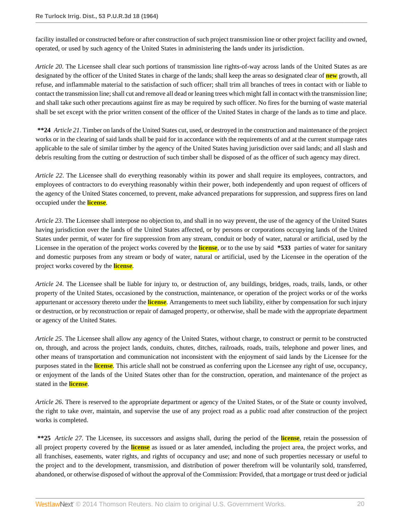facility installed or constructed before or after construction of such project transmission line or other project facility and owned, operated, or used by such agency of the United States in administering the lands under its jurisdiction.

*Article 20*. The Licensee shall clear such portions of transmission line rights-of-way across lands of the United States as are designated by the officer of the United States in charge of the lands; shall keep the areas so designated clear of **new** growth, all refuse, and inflammable material to the satisfaction of such officer; shall trim all branches of trees in contact with or liable to contact the transmission line; shall cut and remove all dead or leaning trees which might fall in contact with the transmission line; and shall take such other precautions against fire as may be required by such officer. No fires for the burning of waste material shall be set except with the prior written consent of the officer of the United States in charge of the lands as to time and place.

**\*\*24** *Article 21*. Timber on lands of the United States cut, used, or destroyed in the construction and maintenance of the project works or in the clearing of said lands shall be paid for in accordance with the requirements of and at the current stumpage rates applicable to the sale of similar timber by the agency of the United States having jurisdiction over said lands; and all slash and debris resulting from the cutting or destruction of such timber shall be disposed of as the officer of such agency may direct.

*Article 22*. The Licensee shall do everything reasonably within its power and shall require its employees, contractors, and employees of contractors to do everything reasonably within their power, both independently and upon request of officers of the agency of the United States concerned, to prevent, make advanced preparations for suppression, and suppress fires on land occupied under the **license**.

*Article 23*. The Licensee shall interpose no objection to, and shall in no way prevent, the use of the agency of the United States having jurisdiction over the lands of the United States affected, or by persons or corporations occupying lands of the United States under permit, of water for fire suppression from any stream, conduit or body of water, natural or artificial, used by the Licensee in the operation of the project works covered by the **license**, or to the use by said **\*533** parties of water for sanitary and domestic purposes from any stream or body of water, natural or artificial, used by the Licensee in the operation of the project works covered by the **license**.

*Article 24*. The Licensee shall be liable for injury to, or destruction of, any buildings, bridges, roads, trails, lands, or other property of the United States, occasioned by the construction, maintenance, or operation of the project works or of the works appurtenant or accessory thereto under the **license**. Arrangements to meet such liability, either by compensation for such injury or destruction, or by reconstruction or repair of damaged property, or otherwise, shall be made with the appropriate department or agency of the United States.

*Article 25*. The Licensee shall allow any agency of the United States, without charge, to construct or permit to be constructed on, through, and across the project lands, conduits, chutes, ditches, railroads, roads, trails, telephone and power lines, and other means of transportation and communication not inconsistent with the enjoyment of said lands by the Licensee for the purposes stated in the **license**. This article shall not be construed as conferring upon the Licensee any right of use, occupancy, or enjoyment of the lands of the United States other than for the construction, operation, and maintenance of the project as stated in the **license**.

*Article 26*. There is reserved to the appropriate department or agency of the United States, or of the State or county involved, the right to take over, maintain, and supervise the use of any project road as a public road after construction of the project works is completed.

**\*\*25** *Article 27*. The Licensee, its successors and assigns shall, during the period of the **license**, retain the possession of all project property covered by the **license** as issued or as later amended, including the project area, the project works, and all franchises, easements, water rights, and rights of occupancy and use; and none of such properties necessary or useful to the project and to the development, transmission, and distribution of power therefrom will be voluntarily sold, transferred, abandoned, or otherwise disposed of without the approval of the Commission: Provided, that a mortgage or trust deed or judicial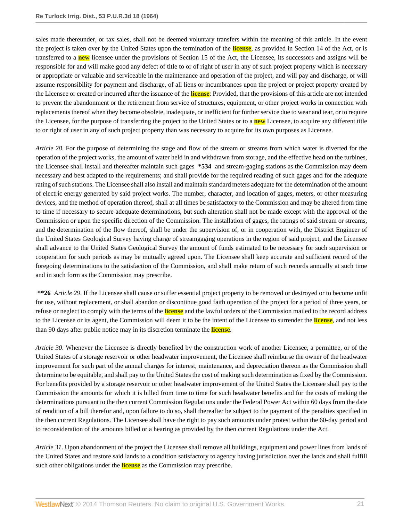sales made thereunder, or tax sales, shall not be deemed voluntary transfers within the meaning of this article. In the event the project is taken over by the United States upon the termination of the **license**, as provided in Section 14 of the Act, or is transferred to a **new** licensee under the provisions of Section 15 of the Act, the Licensee, its successors and assigns will be responsible for and will make good any defect of title to or of right of user in any of such project property which is necessary or appropriate or valuable and serviceable in the maintenance and operation of the project, and will pay and discharge, or will assume responsibility for payment and discharge, of all liens or incumbrances upon the project or project property created by the Licensee or created or incurred after the issuance of the **license**: Provided, that the provisions of this article are not intended to prevent the abandonment or the retirement from service of structures, equipment, or other project works in connection with replacements thereof when they become obsolete, inadequate, or inefficient for further service due to wear and tear, or to require the Licensee, for the purpose of transferring the project to the United States or to a **new** Licensee, to acquire any different title to or right of user in any of such project property than was necessary to acquire for its own purposes as Licensee.

*Article 28*. For the purpose of determining the stage and flow of the stream or streams from which water is diverted for the operation of the project works, the amount of water held in and withdrawn from storage, and the effective head on the turbines, the Licensee shall install and thereafter maintain such gages **\*534** and stream-gaging stations as the Commission may deem necessary and best adapted to the requirements; and shall provide for the required reading of such gages and for the adequate rating of such stations. The Licensee shall also install and maintain standard meters adequate for the determination of the amount of electric energy generated by said project works. The number, character, and location of gages, meters, or other measuring devices, and the method of operation thereof, shall at all times be satisfactory to the Commission and may be altered from time to time if necessary to secure adequate determinations, but such alteration shall not be made except with the approval of the Commission or upon the specific direction of the Commission. The installation of gages, the ratings of said stream or streams, and the determination of the flow thereof, shall be under the supervision of, or in cooperation with, the District Engineer of the United States Geological Survey having charge of streamgaging operations in the region of said project, and the Licensee shall advance to the United States Geological Survey the amount of funds estimated to be necessary for such supervision or cooperation for such periods as may be mutually agreed upon. The Licensee shall keep accurate and sufficient record of the foregoing determinations to the satisfaction of the Commission, and shall make return of such records annually at such time and in such form as the Commission may prescribe.

**\*\*26** *Article 29*. If the Licensee shall cause or suffer essential project property to be removed or destroyed or to become unfit for use, without replacement, or shall abandon or discontinue good faith operation of the project for a period of three years, or refuse or neglect to comply with the terms of the **license** and the lawful orders of the Commission mailed to the record address to the Licensee or its agent, the Commission will deem it to be the intent of the Licensee to surrender the **license**, and not less than 90 days after public notice may in its discretion terminate the **license**.

*Article 30*. Whenever the Licensee is directly benefited by the construction work of another Licensee, a permittee, or of the United States of a storage reservoir or other headwater improvement, the Licensee shall reimburse the owner of the headwater improvement for such part of the annual charges for interest, maintenance, and depreciation thereon as the Commission shall determine to be equitable, and shall pay to the United States the cost of making such determination as fixed by the Commission. For benefits provided by a storage reservoir or other headwater improvement of the United States the Licensee shall pay to the Commission the amounts for which it is billed from time to time for such headwater benefits and for the costs of making the determinations pursuant to the then current Commission Regulations under the Federal Power Act within 60 days from the date of rendition of a bill therefor and, upon failure to do so, shall thereafter be subject to the payment of the penalties specified in the then current Regulations. The Licensee shall have the right to pay such amounts under protest within the 60-day period and to reconsideration of the amounts billed or a hearing as provided by the then current Regulations under the Act.

*Article 31*. Upon abandonment of the project the Licensee shall remove all buildings, equipment and power lines from lands of the United States and restore said lands to a condition satisfactory to agency having jurisdiction over the lands and shall fulfill such other obligations under the **license** as the Commission may prescribe.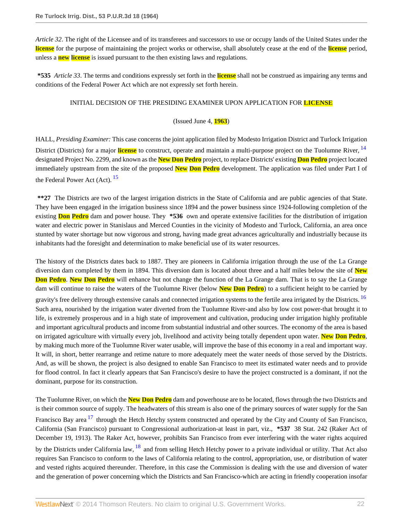*Article 32*. The right of the Licensee and of its transferees and successors to use or occupy lands of the United States under the **license** for the purpose of maintaining the project works or otherwise, shall absolutely cease at the end of the **license** period, unless a **new license** is issued pursuant to the then existing laws and regulations.

**\*535** *Article 33*. The terms and conditions expressly set forth in the **license** shall not be construed as impairing any terms and conditions of the Federal Power Act which are not expressly set forth herein.

# INITIAL DECISION OF THE PRESIDING EXAMINER UPON APPLICATION FOR **LICENSE**

### <span id="page-21-2"></span><span id="page-21-0"></span>(Issued June 4, **1963**)

HALL, *Presiding Examiner:* This case concerns the joint application filed by Modesto Irrigation District and Turlock Irrigation District (Districts) for a major **license** to construct, operate and maintain a multi-purpose project on the Tuolumne River, <sup>[14](#page-56-10)</sup> designated Project No. 2299, and known as the **New Don Pedro** project, to replace Districts' existing **Don Pedro** project located immediately upstream from the site of the proposed **New Don Pedro** development. The application was filed under Part I of the Federal Power Act (Act).  $15$ 

<span id="page-21-1"></span>**\*\*27** The Districts are two of the largest irrigation districts in the State of California and are public agencies of that State. They have been engaged in the irrigation business since 1894 and the power business since 1924-following completion of the existing **Don Pedro** dam and power house. They **\*536** own and operate extensive facilities for the distribution of irrigation water and electric power in Stanislaus and Merced Counties in the vicinity of Modesto and Turlock, California, an area once stunted by water shortage but now vigorous and strong, having made great advances agriculturally and industrially because its inhabitants had the foresight and determination to make beneficial use of its water resources.

The history of the Districts dates back to 1887. They are pioneers in California irrigation through the use of the La Grange diversion dam completed by them in 1894. This diversion dam is located about three and a half miles below the site of **New Don Pedro**. **New Don Pedro** will enhance but not change the function of the La Grange dam. That is to say the La Grange dam will continue to raise the waters of the Tuolumne River (below **New Don Pedro**) to a sufficient height to be carried by gravity's free delivery through extensive canals and connected irrigation systems to the fertile area irrigated by the Districts. <sup>[16](#page-57-0)</sup> Such area, nourished by the irrigation water diverted from the Tuolumne River-and also by low cost power-that brought it to life, is extremely prosperous and in a high state of improvement and cultivation, producing under irrigation highly profitable and important agricultural products and income from substantial industrial and other sources. The economy of the area is based on irrigated agriculture with virtually every job, livelihood and activity being totally dependent upon water. **New Don Pedro**, by making much more of the Tuolumne River water usable, will improve the base of this economy in a real and important way. It will, in short, better rearrange and retime nature to more adequately meet the water needs of those served by the Districts. And, as will be shown, the project is also designed to enable San Francisco to meet its estimated water needs and to provide for flood control. In fact it clearly appears that San Francisco's desire to have the project constructed is a dominant, if not the dominant, purpose for its construction.

<span id="page-21-4"></span><span id="page-21-3"></span>The Tuolumne River, on which the **New Don Pedro** dam and powerhouse are to be located, flows through the two Districts and is their common source of supply. The headwaters of this stream is also one of the primary sources of water supply for the San Francisco Bav area <sup>[17](#page-57-1)</sup> through the Hetch Hetchy system constructed and operated by the City and County of San Francisco, California (San Francisco) pursuant to Congressional authorization-at least in part, viz., **\*537** 38 Stat. 242 (Raker Act of December 19, 1913). The Raker Act, however, prohibits San Francisco from ever interfering with the water rights acquired by the Districts under California law, <sup>[18](#page-57-2)</sup> and from selling Hetch Hetchy power to a private individual or utility. That Act also requires San Francisco to conform to the laws of California relating to the control, appropriation, use, or distribution of water and vested rights acquired thereunder. Therefore, in this case the Commission is dealing with the use and diversion of water and the generation of power concerning which the Districts and San Francisco-which are acting in friendly cooperation insofar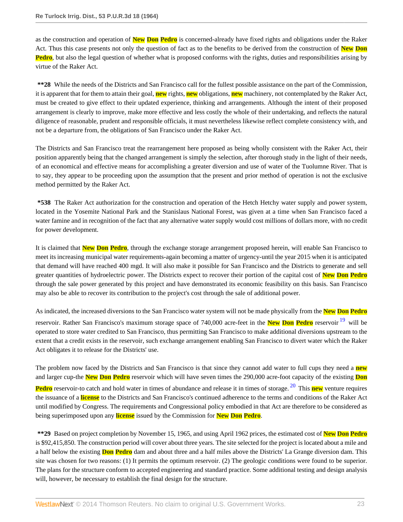as the construction and operation of **New Don Pedro** is concerned-already have fixed rights and obligations under the Raker Act. Thus this case presents not only the question of fact as to the benefits to be derived from the construction of **New Don Pedro**, but also the legal question of whether what is proposed conforms with the rights, duties and responsibilities arising by virtue of the Raker Act.

**\*\*28** While the needs of the Districts and San Francisco call for the fullest possible assistance on the part of the Commission, it is apparent that for them to attain their goal, **new** rights, **new** obligations, **new** machinery, not contemplated by the Raker Act, must be created to give effect to their updated experience, thinking and arrangements. Although the intent of their proposed arrangement is clearly to improve, make more effective and less costly the whole of their undertaking, and reflects the natural diligence of reasonable, prudent and responsible officials, it must nevertheless likewise reflect complete consistency with, and not be a departure from, the obligations of San Francisco under the Raker Act.

The Districts and San Francisco treat the rearrangement here proposed as being wholly consistent with the Raker Act, their position apparently being that the changed arrangement is simply the selection, after thorough study in the light of their needs, of an economical and effective means for accomplishing a greater diversion and use of water of the Tuolumne River. That is to say, they appear to be proceeding upon the assumption that the present and prior method of operation is not the exclusive method permitted by the Raker Act.

**\*538** The Raker Act authorization for the construction and operation of the Hetch Hetchy water supply and power system, located in the Yosemite National Park and the Stanislaus National Forest, was given at a time when San Francisco faced a water famine and in recognition of the fact that any alternative water supply would cost millions of dollars more, with no credit for power development.

It is claimed that **New Don Pedro**, through the exchange storage arrangement proposed herein, will enable San Francisco to meet its increasing municipal water requirements-again becoming a matter of urgency-until the year 2015 when it is anticipated that demand will have reached 400 mgd. It will also make it possible for San Francisco and the Districts to generate and sell greater quantities of hydroelectric power. The Districts expect to recover their portion of the capital cost of **New Don Pedro** through the sale power generated by this project and have demonstrated its economic feasibility on this basis. San Francisco may also be able to recover its contribution to the project's cost through the sale of additional power.

As indicated, the increased diversions to the San Francisco water system will not be made physically from the **New Don Pedro**

<span id="page-22-0"></span>reservoir. Rather San Francisco's maximum storage space of 740,000 acre-feet in the **New Don Pedro** reservoir [19](#page-57-3) will be operated to store water credited to San Francisco, thus permitting San Francisco to make additional diversions upstream to the extent that a credit exists in the reservoir, such exchange arrangement enabling San Francisco to divert water which the Raker Act obligates it to release for the Districts' use.

The problem now faced by the Districts and San Francisco is that since they cannot add water to full cups they need a **new** and larger cup-the **New Don Pedro** reservoir which will have seven times the 290,000 acre-foot capacity of the existing **Don**

<span id="page-22-1"></span>**Pedro** reservoir-to catch and hold water in times of abundance and release it in times of storage. <sup>[20](#page-57-4)</sup> This **new** venture requires the issuance of a **license** to the Districts and San Francisco's continued adherence to the terms and conditions of the Raker Act until modified by Congress. The requirements and Congressional policy embodied in that Act are therefore to be considered as being superimposed upon any **license** issued by the Commission for **New Don Pedro**.

**\*\*29** Based on project completion by November 15, 1965, and using April 1962 prices, the estimated cost of **New Don Pedro** is \$92,415,850. The construction period will cover about three years. The site selected for the project is located about a mile and a half below the existing **Don Pedro** dam and about three and a half miles above the Districts' La Grange diversion dam. This site was chosen for two reasons: (1) It permits the optimum reservoir. (2) The geologic conditions were found to be superior. The plans for the structure conform to accepted engineering and standard practice. Some additional testing and design analysis will, however, be necessary to establish the final design for the structure.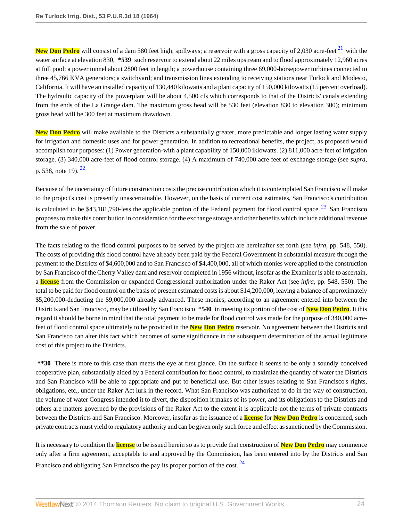<span id="page-23-0"></span>New Don Pedro will consist of a dam 580 feet high; spillways; a reservoir with a gross capacity of 2,030 acre-feet <sup>[21](#page-57-5)</sup> with the water surface at elevation 830, **\*539** such reservoir to extend about 22 miles upstream and to flood approximately 12,960 acres at full pool; a power tunnel about 2800 feet in length; a powerhouse containing three 69,000-horsepower turbines connected to three 45,766 KVA generators; a switchyard; and transmission lines extending to receiving stations near Turlock and Modesto, California. It will have an installed capacity of 130,440 kilowatts and a plant capacity of 150,000 kilowatts (15 percent overload). The hydraulic capacity of the powerplant will be about 4,500 cfs which corresponds to that of the Districts' canals extending from the ends of the La Grange dam. The maximum gross head will be 530 feet (elevation 830 to elevation 300); minimum gross head will be 300 feet at maximum drawdown.

**New Don Pedro** will make available to the Districts a substantially greater, more predictable and longer lasting water supply for irrigation and domestic uses and for power generation. In addition to recreational benefits, the project, as proposed would accomplish four purposes: (1) Power generation-with a plant capability of 150,000 iklowatts. (2) 811,000 acre-feet of irrigation storage. (3) 340,000 acre-feet of flood control storage. (4) A maximum of 740,000 acre feet of exchange storage (see *supra*, p. 538, note 19).  $^{22}$  $^{22}$  $^{22}$ 

<span id="page-23-2"></span><span id="page-23-1"></span>Because of the uncertainty of future construction costs the precise contribution which it is contemplated San Francisco will make to the project's cost is presently unascertainable. However, on the basis of current cost estimates, San Francisco's contribution is calculated to be \$43,181,790-less the applicable portion of the Federal payment for flood control space.  $^{23}$  $^{23}$  $^{23}$  San Francisco proposes to make this contribution in consideration for the exchange storage and other benefits which include additional revenue from the sale of power.

The facts relating to the flood control purposes to be served by the project are hereinafter set forth (see *infra*, pp. 548, 550). The costs of providing this flood control have already been paid by the Federal Government in substantial measure through the payment to the Districts of \$4,600,000 and to San Francisco of \$4,400,000, all of which monies were applied to the construction by San Francisco of the Cherry Valley dam and reservoir completed in 1956 without, insofar as the Examiner is able to ascertain, a **license** from the Commission or expanded Congressional authorization under the Raker Act (see *infra*, pp. 548, 550). The total to be paid for flood control on the basis of present estimated costs is about \$14,200,000, leaving a balance of approximately \$5,200,000-deducting the \$9,000,000 already advanced. These monies, according to an agreement entered into between the Districts and San Francisco, may be utilized by San Francisco **\*540** in meeting its portion of the cost of **New Don Pedro**. It this regard it should be borne in mind that the total payment to be made for flood control was made for the purpose of 340,000 acrefeet of flood control space ultimately to be provided in the **New Don Pedro** reservoir. No agreement between the Districts and San Francisco can alter this fact which becomes of some significance in the subsequent determination of the actual legitimate cost of this project to the Districts.

**\*\*30** There is more to this case than meets the eye at first glance. On the surface it seems to be only a soundly conceived cooperative plan, substantially aided by a Federal contribution for flood control, to maximize the quantity of water the Districts and San Francisco will be able to appropriate and put to beneficial use. But other issues relating to San Francisco's rights, obligations, etc., under the Raker Act lurk in the record. What San Francisco was authorized to do in the way of construction, the volume of water Congress intended it to divert, the disposition it makes of its power, and its obligations to the Districts and others are matters governed by the provisions of the Raker Act to the extent it is applicable-not the terms of private contracts between the Districts and San Francisco. Moreover, insofar as the issuance of a **license** for **New Don Pedro** is concerned, such private contracts must yield to regulatory authority and can be given only such force and effect as sanctioned by the Commission.

<span id="page-23-3"></span>It is necessary to condition the **license** to be issued herein so as to provide that construction of **New Don Pedro** may commence only after a firm agreement, acceptable to and approved by the Commission, has been entered into by the Districts and San Francisco and obligating San Francisco the pay its proper portion of the cost.  $^{24}$  $^{24}$  $^{24}$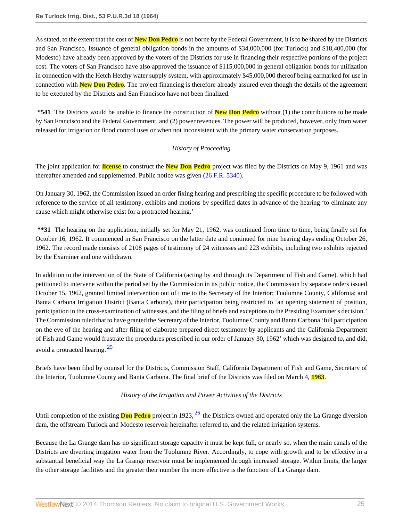As stated, to the extent that the cost of **New Don Pedro** is not borne by the Federal Government, it is to be shared by the Districts and San Francisco. Issuance of general obligation bonds in the amounts of \$34,000,000 (for Turlock) and \$18,400,000 (for Modesto) have already been approved by the voters of the Districts for use in financing their respective portions of the project cost. The voters of San Francisco have also approved the issuance of \$115,000,000 in general obligation bonds for utilization in connection with the Hetch Hetchy water supply system, with approximately \$45,000,000 thereof being earmarked for use in connection with **New Don Pedro**. The project financing is therefore already assured even though the details of the agreement to be executed by the Districts and San Francisco have not been finalized.

**\*541** The Districts would be unable to finance the construction of **New Don Pedro** without (1) the contributions to be made by San Francisco and the Federal Government, and (2) power revenues. The power will be produced, however, only from water released for irrigation or flood control uses or when not inconsistent with the primary water conservation purposes.

# *History of Proceeding*

The joint application for **license** to construct the **New Don Pedro** project was filed by the Districts on May 9, 1961 and was thereafter amended and supplemented. Public notice was given [\(26 F.R. 5340\).](http://www.westlaw.com/Link/Document/FullText?findType=Y&pubNum=1037&cite=26FR5340&originationContext=document&vr=3.0&rs=cblt1.0&transitionType=DocumentItem&contextData=(sc.Search))

On January 30, 1962, the Commission issued an order fixing hearing and prescribing the specific procedure to be followed with reference to the service of all testimony, exhibits and motions by specified dates in advance of the hearing 'to eliminate any cause which might otherwise exist for a protracted hearing.'

**\*\*31** The hearing on the application, initially set for May 21, 1962, was continued from time to time, being finally set for October 16, 1962. It commenced in San Francisco on the latter date and continued for nine hearing days ending October 26, 1962. The record made consists of 2108 pages of testimony of 24 witnesses and 223 exhibits, including two exhibits rejected by the Examiner and one withdrawn.

In addition to the intervention of the State of California (acting by and through its Department of Fish and Game), which had petitioned to intervene within the period set by the Commission in its public notice, the Commission by separate orders issued October 15, 1962, granted limited intervention out of time to the Secretary of the Interior; Tuolumne County, California; and Banta Carbona Irrigation District (Banta Carbona), their participation being restricted to 'an opening statement of position, participation in the cross-examination of witnesses, and the filing of briefs and exceptions to the Presiding Examiner's decision.' The Commission ruled that to have granted the Secretary of the Interior, Tuolumne County and Banta Carbona 'full participation on the eve of the hearing and after filing of elaborate prepared direct testimony by applicants and the California Department of Fish and Game would frustrate the procedures prescribed in our order of January 30, 1962' which was designed to, and did, avoid a protracted hearing. [25](#page-58-1)

Briefs have been filed by counsel for the Districts, Commission Staff, California Department of Fish and Game, Secretary of the Interior, Tuolumne County and Banta Carbona. The final brief of the Districts was filed on March 4, **1963**.

# <span id="page-24-1"></span><span id="page-24-0"></span>*History of the Irrigation and Power Activities of the Districts*

Until completion of the existing **Don Pedro** project in 1923, [26](#page-58-2) the Districts owned and operated only the La Grange diversion dam, the offstream Turlock and Modesto reservoir hereinafter referred to, and the related irrigation systems.

Because the La Grange dam has no significant storage capacity it must be kept full, or nearly so, when the main canals of the Districts are diverting irrigation water from the Tuolumne River. Accordingly, to cope with growth and to be effective in a substantial beneficial way the La Grange reservoir must be implemented through increased storage. Within limits, the larger the other storage facilities and the greater their number the more effective is the function of La Grange dam.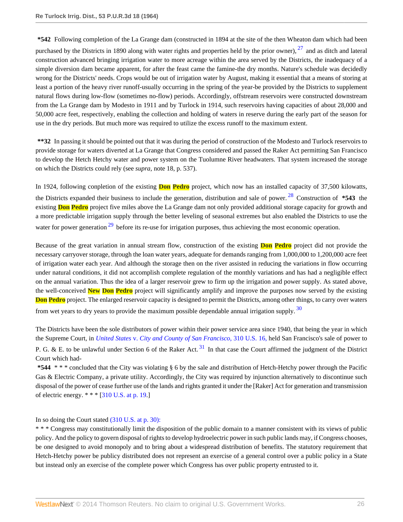<span id="page-25-0"></span>**\*542** Following completion of the La Grange dam (constructed in 1894 at the site of the then Wheaton dam which had been purchased by the Districts in 1890 along with water rights and properties held by the prior owner),  $27$  and as ditch and lateral construction advanced bringing irrigation water to more acreage within the area served by the Districts, the inadequacy of a simple diversion dam became apparent, for after the feast came the famine-the dry months. Nature's schedule was decidedly wrong for the Districts' needs. Crops would be out of irrigation water by August, making it essential that a means of storing at least a portion of the heavy river runoff-usually occurring in the spring of the year-be provided by the Districts to supplement natural flows during low-flow (sometimes no-flow) periods. Accordingly, offstream reservoirs were constructed downstream from the La Grange dam by Modesto in 1911 and by Turlock in 1914, such reservoirs having capacities of about 28,000 and 50,000 acre feet, respectively, enabling the collection and holding of waters in reserve during the early part of the season for use in the dry periods. But much more was required to utilize the excess runoff to the maximum extent.

**\*\*32** In passing it should be pointed out that it was during the period of construction of the Modesto and Turlock reservoirs to provide storage for waters diverted at La Grange that Congress considered and passed the Raker Act permitting San Francisco to develop the Hetch Hetchy water and power system on the Tuolumne River headwaters. That system increased the storage on which the Districts could rely (see *supra*, note 18, p. 537).

<span id="page-25-1"></span>In 1924, following conpletion of the existing **Don Pedro** project, which now has an installed capacity of 37,500 kilowatts, the Districts expanded their business to include the generation, distribution and sale of power. [28](#page-58-4) Construction of **\*543** the existing **Don Pedro** project five miles above the La Grange dam not only provided additional storage capacity for growth and a more predictable irrigation supply through the better leveling of seasonal extremes but also enabled the Districts to use the water for power generation  $29$  before its re-use for irrigation purposes, thus achieving the most economic operation.

<span id="page-25-2"></span>Because of the great variation in annual stream flow, construction of the existing **Don Pedro** project did not provide the necessary carryover storage, through the loan water years, adequate for demands ranging from 1,000,000 to 1,200,000 acre feet of irrigation water each year. And although the storage then on the river assisted in reducing the variations in flow occurring under natural conditions, it did not accomplish complete regulation of the monthly variations and has had a negligible effect on the annual variation. Thus the idea of a larger reservoir grew to firm up the irrigation and power supply. As stated above, the well-conceived **New Don Pedro** project will significantly amplify and improve the purposes now served by the existing **Don Pedro** project. The enlarged reservoir capacity is designed to permit the Districts, among other things, to carry over waters from wet years to dry years to provide the maximum possible dependable annual irrigation supply. [30](#page-59-0)

<span id="page-25-4"></span><span id="page-25-3"></span>The Districts have been the sole distributors of power within their power service area since 1940, that being the year in which the Supreme Court, in *United States* v. *[City and County of San Francisco](http://www.westlaw.com/Link/Document/FullText?findType=Y&serNum=1940124338&pubNum=780&originationContext=document&vr=3.0&rs=cblt1.0&transitionType=DocumentItem&contextData=(sc.Search))*, 310 U.S. 16, held San Francisco's sale of power to P. G. & E. to be unlawful under Section 6 of the Raker Act.  $31$  In that case the Court affirmed the judgment of the District Court which had-

**\*544** \* \* \* concluded that the City was violating § 6 by the sale and distribution of Hetch-Hetchy power through the Pacific Gas & Electric Company, a private utility. Accordingly, the City was required by injunction alternatively to discontinue such disposal of the power of cease further use of the lands and rights granted it under the [Raker] Act for generation and transmission of electric energy. \* \* \* [[310 U.S. at p. 19](http://www.westlaw.com/Link/Document/FullText?findType=Y&serNum=1940124338&pubNum=780&originationContext=document&vr=3.0&rs=cblt1.0&transitionType=DocumentItem&contextData=(sc.Search)#co_pp_sp_780_19).]

In so doing the Court stated [\(310 U.S. at p. 30\):](http://www.westlaw.com/Link/Document/FullText?findType=Y&serNum=1940124338&pubNum=780&originationContext=document&vr=3.0&rs=cblt1.0&transitionType=DocumentItem&contextData=(sc.Search)#co_pp_sp_780_30)

\* \* \* Congress may constitutionally limit the disposition of the public domain to a manner consistent with its views of public policy. And the policy to govern disposal of rights to develop hydroelectric power in such public lands may, if Congress chooses, be one designed to avoid monopoly and to bring about a widespread distribution of benefits. The statutory requirement that Hetch-Hetchy power be publicy distributed does not represent an exercise of a general control over a public policy in a State but instead only an exercise of the complete power which Congress has over public property entrusted to it.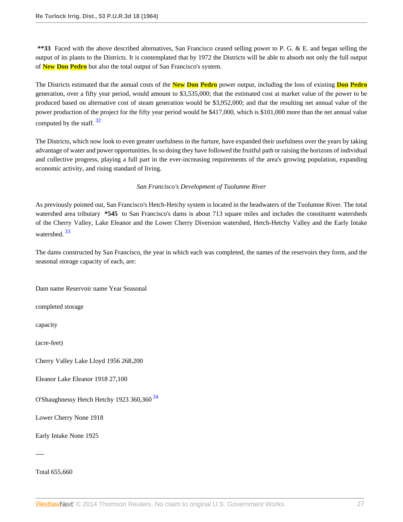**\*\*33** Faced with the above described alternatives, San Francisco ceased selling power to P. G. & E. and began selling the output of its plants to the Districts. It is contemplated that by 1972 the Districts will be able to absorb not only the full output of **New Don Pedro** but also the total output of San Francisco's system.

The Districts estimated that the annual costs of the **New Don Pedro** power output, including the loss of existing **Don Pedro** generation, over a fifty year period, would amount to \$3,535,000; that the estimated cost at market value of the power to be produced based on alternative cost of steam generation would be \$3,952,000; and that the resulting net annual value of the power production of the project for the fifty year period would be \$417,000, which is \$101,000 more than the net annual value computed by the staff.  $32$ 

<span id="page-26-0"></span>The Districts, which now look to even greater usefulness in the furture, have expanded their usefulness over the years by taking advantage of water and power opportunities. In so doing they have followed the fruitful path or raising the horizons of individual and collective progress, playing a full part in the ever-increasing requirements of the area's growing population, expanding economic activity, and rising standard of living.

# *San Francisco's Development of Tuolumne River*

As previously pointed out, San Francisco's Hetch-Hetchy system is located in the headwaters of the Tuolumne River. The total watershed area tributary **\*545** to San Francisco's dams is about 713 square miles and includes the constituent watersheds of the Cherry Valley, Lake Eleanor and the Lower Cherry Diversion watershed, Hetch-Hetchy Valley and the Early Intake watershed. [33](#page-59-3)

<span id="page-26-1"></span>The dams constructed by San Francisco, the year in which each was completed, the names of the reservoirs they form, and the seasonal storage capacity of each, are:

Dam name Reservoir name Year Seasonal

completed storage

capacity

(acre-feet)

Cherry Valley Lake Lloyd 1956 268,200

Eleanor Lake Eleanor 1918 27,100

<span id="page-26-2"></span>O'Shaughnessy Hetch Hetchy 1923 360,360<sup>[34](#page-59-4)</sup>

Lower Cherry None 1918

Early Intake None 1925

----

Total 655,660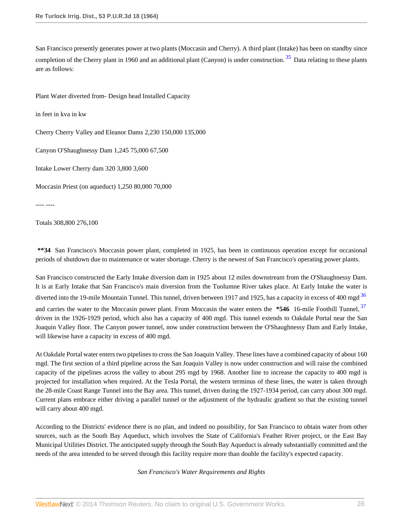<span id="page-27-0"></span>San Francisco presently generates power at two plants (Moccasin and Cherry). A third plant (Intake) has been on standby since completion of the Cherry plant in 1960 and an additional plant (Canyon) is under construction.  $35$  Data relating to these plants are as follows:

Plant Water diverted from- Design head Installed Capacity

in feet in kva in kw

Cherry Cherry Valley and Eleanor Dams 2,230 150,000 135,000

Canyon O'Shaughnessy Dam 1,245 75,000 67,500

Intake Lower Cherry dam 320 3,800 3,600

Moccasin Priest (on aqueduct) 1,250 80,000 70,000

---- ----

Totals 308,800 276,100

**\*\*34** San Francisco's Moccasin power plant, completed in 1925, has been in continuous operation except for occasional periods of shutdown due to maintenance or water shortage. Cherry is the newest of San Francisco's operating power plants.

San Francisco constructed the Early Intake diversion dam in 1925 about 12 miles downstream from the O'Shaughnessy Dam. It is at Early Intake that San Francisco's main diversion from the Tuolumne River takes place. At Early Intake the water is diverted into the 19-mile Mountain Tunnel. This tunnel, driven between 1917 and 1925, has a capacity in excess of 400 mgd<sup>[36](#page-59-6)</sup> and carries the water to the Moccasin power plant. From Moccasin the water enters the **\*546** 16-mile Foothill Tunnel, [37](#page-59-7) driven in the 1926-1929 period, which also has a capacity of 400 mgd. This tunnel extends to Oakdale Portal near the San Joaquin Valley floor. The Canyon power tunnel, now under construction between the O'Shaughnessy Dam and Early Intake, will likewise have a capacity in excess of 400 mgd.

At Oakdale Portal water enters two pipelines to cross the San Joaquin Valley. These lines have a combined capacity of about 160 mgd. The first section of a third pipeline across the San Joaquin Valley is now under construction and will raise the combined capacity of the pipelines across the valley to about 295 mgd by 1968. Another line to increase the capacity to 400 mgd is projected for installation when required. At the Tesla Portal, the western terminus of these lines, the water is taken through the 28-mile Coast Range Tunnel into the Bay area. This tunnel, driven during the 1927-1934 period, can carry about 300 mgd. Current plans embrace either driving a parallel tunnel or the adjustment of the hydraulic gradient so that the existing tunnel will carry about 400 mgd.

According to the Districts' evidence there is no plan, and indeed no possibility, for San Francisco to obtain water from other sources, such as the South Bay Aqueduct, which involves the State of California's Feather River project, or the East Bay Municipal Utilities District. The anticipated supply through the South Bay Aqueduct is already substantially committed and the needs of the area intended to be served through this facility require more than double the facility's expected capacity.

<span id="page-27-2"></span><span id="page-27-1"></span>*San Francisco's Water Requirements and Rights*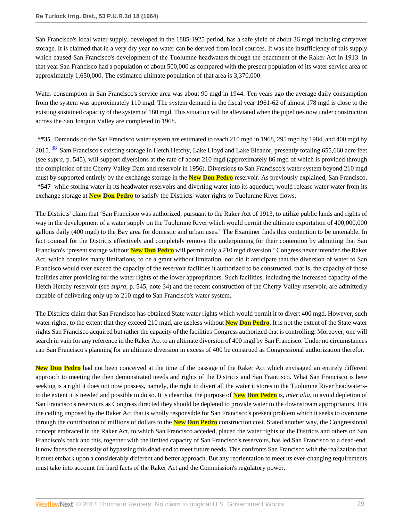San Francisco's local water supply, developed in the 1885-1925 period, has a safe yield of about 36 mgd including carryover storage. It is claimed that in a very dry year no water can be derived from local sources. It was the insufficiency of this supply which caused San Francisco's development of the Tuolumne headwaters through the enactment of the Raker Act in 1913. In that year San Francisco had a population of about 500,000 as compared with the present population of its water service area of approximately 1,650,000. The estimated ultimate population of that area is 3,370,000.

Water consumption in San Francisco's service area was about 90 mgd in 1944. Ten years ago the average daily consumption from the system was approximately 110 mgd. The system demand in the fiscal year 1961-62 of almost 178 mgd is close to the existing sustained capacity of the system of 180 mgd. This situation will be alleviated when the pipelines now under construction across the San Joaquin Valley are completed in 1968.

**\*\*35** Demands on the San Francisco water system are estimated to reach 210 mgd in 1968, 295 mgd by 1984, and 400 mgd by

<span id="page-28-0"></span>2015.<sup>[38](#page-59-8)</sup> Sam Francisco's existing storage in Hetch Hetchy, Lake Lloyd and Lake Eleanor, presently totaling 655,660 acre feet (see *supra*, p. 545), will support diversions at the rate of about 210 mgd (approximately 86 mgd of which is provided through the completion of the Cherry Valley Dam and reservoir in 1956). Diversions to San Francisco's water system beyond 210 mgd must by supported entirely by the exchange storage in the **New Don Pedro** reservoir. As previously explained, San Francisco, **\*547** while storing water in its headwater reservoirs and diverting water into its aqueduct, would release water water from its exchange storage at **New Don Pedro** to satisfy the Districts' water rights to Tuolumne River flows.

The Districts' claim that 'San Francisco was authorized, pursuant to the Raker Act of 1913, to utilize public lands and rights of way in the development of a water supply on the Tuolumne River which would permit the ultimate exportation of 400,000,000 gallons daily (400 mgd) to the Bay area for domestic and urban uses.' The Examiner finds this contention to be untenable. In fact counsel for the Districts effectively and completely remove the underpinning for their contention by admitting that San Francisco's 'present storage without **New Don Pedro** will permit only a 210 mgd diversion.' Congress never intended the Raker Act, which contains many limitations, to be a grant without limitation, nor did it anticipate that the diversion of water to San Francisco would ever exceed the capacity of the reservoir facilities it authorized to be constructed, that is, the capacity of those facilities after providing for the water rights of the lower appropriators. Such facilities, including the increased capacity of the Hetch Hetchy reservoir (see *supra*, p. 545, note 34) and the recent construction of the Cherry Valley reservoir, are admittedly capable of delivering only up to 210 mgd to San Francisco's water system.

The Districts claim that San Francisco has obtained State water rights which would permit it to divert 400 mgd. However, such water rights, to the extent that they exceed 210 mgd, are useless without **New Don Pedro**. It is not the extent of the State water rights San Francisco acquired but rather the capacity of the facilities Congress authorized that is controlling. Moreover, one will search in vain for any reference in the Raker Act to an ultimate diversion of 400 mgd by San Francisco. Under no circumstances can San Francisco's planning for an ultimate diversion in excess of 400 be construed as Congressional authorization therefor.

**New Don Pedro** had not been conceived at the time of the passage of the Raker Act which envisaged an entirely different approach to meeting the then demonstrated needs and rights of the Districts and San Francisco. What San Francisco is here seeking is a right it does not now possess, namely, the right to divert all the water it stores in the Tuolumne River headwatersto the extent it is needed and possible to do so. It is clear that the purpose of **New Don Pedro** is, *inter alia*, to avoid depletion of San Francisco's reservoirs as Congress directed they should be depleted to provide water to the downstream appropriators. It is the ceiling imposed by the Raker Act that is wholly responsible for San Francisco's present problem which it seeks to overcome through the contribution of millions of dollars to the **New Don Pedro** construction cost. Stated another way, the Congressional concept embraced in the Raker Act, to which San Francisco acceded, placed the water rights of the Districts and others on San Francisco's back and this, together with the limited capacity of San Francisco's reservoirs, has led San Francisco to a dead-end. It now faces the necessity of bypassing this dead-end to meet future needs. This confronts San Francisco with the realization that it must embark upon a considerably different and better approach. But any reorientation to meet its ever-changing requirements must take into account the hard facts of the Raker Act and the Commission's regulatory power.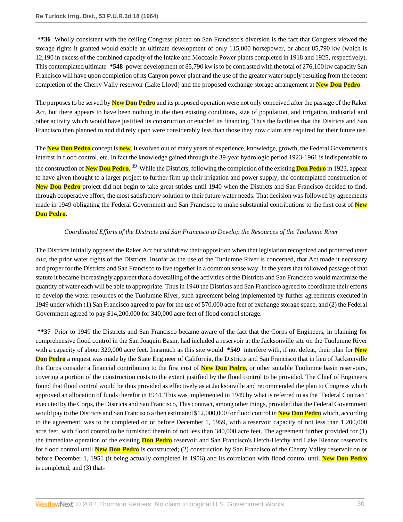**\*\*36** Wholly consistent with the ceiling Congress placed on San Francisco's diversion is the fact that Congress viewed the storage rights it granted would enable an ultimate development of only 115,000 horsepower, or about 85,790 kw (which is 12,190 in excess of the combined capacity of the Intake and Moccasin Power plants completed in 1918 and 1925, respectively). This contemplated ultimate **\*548** power development of 85,790 kw is to be contrasted with the total of 276,100 kw capacity San Francisco will have upon completion of its Canyon power plant and the use of the greater water supply resulting from the recent completion of the Cherry Vally reservoir (Lake Lloyd) and the proposed exchange storage arrangement at **New Don Pedro**.

The purposes to be served by **New Don Pedro** and its proposed operation were not only conceived after the passage of the Raker Act, but there appears to have been nothing in the then existing conditions, size of population, and irrigation, industrial and other activity which would have justified its construction or enabled its financing. Thus the facilities that the Districts and San Francisco then planned to and did rely upon were considerably less than those they now claim are required for their future use.

The **New Don Pedro** concept is **new**. It evolved out of many years of experience, knowledge, growth, the Federal Government's interest in flood control, etc. In fact the knowledge gained through the 39-year hydrologic period 1923-1961 is indispensable to the construction of **New Don Pedro**. [39](#page-59-9) While the Districts, following the completion of the existing **Don Pedro** in 1923, appear to have given thought to a larger project to further firm up their irrigation and power supply, the contemplated construction of **New Don Pedro** project did not begin to take great strides until 1940 when the Districts and San Francisco decided to find, through cooperative effort, the most satisfactory solution to their future water needs. That decision was followed by agreements made in 1949 obligating the Federal Government and San Francisco to make substantial contributions to the first cost of **New Don Pedro**.

# <span id="page-29-0"></span>*Coordinated Efforts of the Districts and San Francisco to Develop the Resources of the Tuolumne River*

The Districts initially opposed the Raker Act but withdrew their opposition when that legislation recognized and protected *inter alia*, the prior water rights of the Districts. Insofar as the use of the Tuolumne River is concerned, that Act made it necessary and proper for the Districts and San Francisco to live together in a common sense way. In the years that followed passage of that statute it became increasingly apparent that a dovetailing of the activities of the Districts and San Francisco would maximize the quantity of water each will be able to appropriate. Thus in 1940 the Districts and San Francisco agreed to coordinate their efforts to develop the water resources of the Tuolumne River, such agreement being implemented by further agreements executed in 1949 under which (1) San Francisco agreed to pay for the use of 570,000 acre feet of exchange storage space, and (2) the Federal Government agreed to pay \$14,200,000 for 340,000 acre feet of flood control storage.

**\*\*37** Prior to 1949 the Districts and San Francisco became aware of the fact that the Corps of Engineers, in planning for comprehensive flood control in the San Joaquin Basin, had included a reservoir at the Jacksonville site on the Tuolumne River with a capacity of about 320,000 acre feet. Inasmuch as this site would **\*549** interfere with, if not defeat, their plan for **New Don Pedro** a request was made by the State Engineer of California, the Districts and San Francisco that in lieu of Jacksonville the Corps consider a financial contribution to the first cost of **New Don Pedro**, or other suitable Tuolumne basin reservoirs, covering a portion of the construction costs to the extent justified by the flood control to be provided. The Chief of Engineers found that flood control would be thus provided as effectively as at Jacksonville and recommended the plan to Congress which approved an allocation of funds therefor in 1944. This was implemented in 1949 by what is referred to as the 'Federal Contract' executed by the Corps, the Districts and San Francisco, This contract, among other things, provided that the Federal Government would pay to the Districts and San Francisco a then estimated \$12,000,000 for flood control in **New Don Pedro** which, according to the agreement, was to be completed on or before December 1, 1959, with a reservoir capacity of not less than 1,200,000 acre feet, with flood control to be furnished therein of not less than 340,000 acre feet. The agreement further provided for (1) the immediate operation of the existing **Don Pedro** reservoir and San Francisco's Hetch-Hetchy and Lake Eleanor reservoirs for flood control until **New Don Pedro** is constructed; (2) construction by San Francisco of the Cherry Valley reservoir on or before December 1, 1951 (it being actually completed in 1956) and its correlation with flood control until **New Don Pedro** is completed; and (3) that-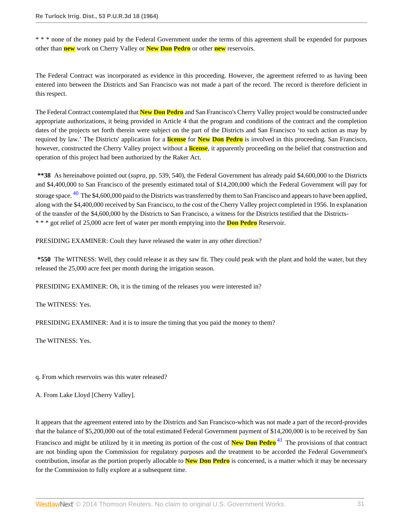\* \* \* none of the money paid by the Federal Government under the terms of this agreement shall be expended for purposes other than **new** work on Cherry Valley or **New Don Pedro** or other **new** reservoirs.

The Federal Contract was incorporated as evidence in this proceeding. However, the agreement referred to as having been entered into between the Districts and San Francisco was not made a part of the record. The record is therefore deficient in this respect.

The Federal Contract contemplated that **New Don Pedro** and San Francisco's Cherry Valley project would be constructed under appropriate authorizations, it being provided in Article 4 that the program and conditions of the contract and the completion dates of the projects set forth therein were subject on the part of the Districts and San Francisco 'to such action as may by required by law.' The Districts' application for a **license** for **New Don Pedro** is involved in this proceeding. San Francisco, however, constructed the Cherry Valley project without a **license**, it apparently proceeding on the belief that construction and operation of this project had been authorized by the Raker Act.

<span id="page-30-0"></span>**\*\*38** As hereinabove pointed out (*supra*, pp. 539, 540), the Federal Government has already paid \$4,600,000 to the Districts and \$4,400,000 to San Francisco of the presently estimated total of \$14,200,000 which the Federal Government will pay for storage space. <sup>[40](#page-60-0)</sup> The \$4,600,000 paid to the Districts was transferred by them to San Francisco and appears to have been applied, along with the \$4,400,000 received by San Francisco, to the cost of the Cherry Valley project completed in 1956. In explanation of the transfer of the \$4,600,000 by the Districts to San Francisco, a witness for the Districts testified that the Districts- \* \* \* got relief of 25,000 acre feet of water per month emptying into the **Don Pedro** Reservoir.

PRESIDING EXAMINER: Coult they have released the water in any other direction?

**\*550** The WITNESS: Well, they could release it as they saw fit. They could peak with the plant and hold the water, but they released the 25,000 acre feet per month during the irrigation season.

PRESIDING EXAMINER: Oh, it is the timing of the releases you were interested in?

The WITNESS: Yes.

PRESIDING EXAMINER: And it is to insure the timing that you paid the money to them?

The WITNESS: Yes.

q. From which reservoirs was this water released?

A. From Lake Lloyd [Cherry Valley].

It appears that the agreement entered into by the Districts and San Francisco-which was not made a part of the record-provides that the balance of \$5,200,000 out of the total estimated Federal Government payment of \$14,200,000 is to be received by San

<span id="page-30-1"></span>Francisco and might be utilized by it in meeting its portion of the cost of **New Don Pedro** [41](#page-60-1) The provisions of that contract are not binding upon the Commission for regulatory purposes and the treatment to be accorded the Federal Government's contribution, insofar as the portion properly allocable to **New Don Pedro** is concerned, is a matter which it may be necessary for the Commission to fully explore at a subsequent time.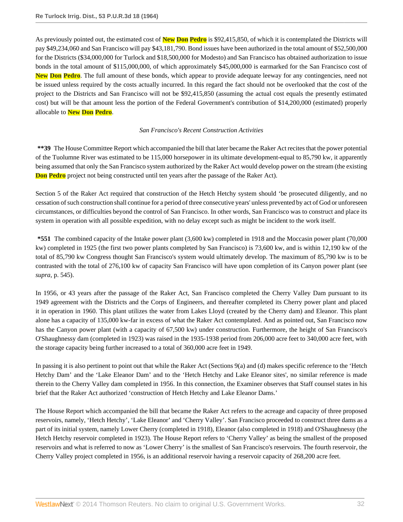As previously pointed out, the estimated cost of **New Don Pedro** is \$92,415,850, of which it is contemplated the Districts will pay \$49,234,060 and San Francisco will pay \$43,181,790. Bond issues have been authorized in the total amount of \$52,500,000 for the Districts (\$34,000,000 for Turlock and \$18,500,000 for Modesto) and San Francisco has obtained authorization to issue bonds in the total amount of \$115,000,000, of which approximately \$45,000,000 is earmarked for the San Francisco cost of **New Don Pedro**. The full amount of these bonds, which appear to provide adequate leeway for any contingencies, need not be issued unless required by the costs actually incurred. In this regard the fact should not be overlooked that the cost of the project to the Districts and San Francisco will not be \$92,415,850 (assuming the actual cost equals the presently estimated cost) but will be that amount less the portion of the Federal Government's contribution of \$14,200,000 (estimated) properly allocable to **New Don Pedro**.

# *San Francisco's Recent Construction Activities*

**\*\*39** The House Committee Report which accompanied the bill that later became the Raker Act recites that the power potential of the Tuolumne River was estimated to be 115,000 horsepower in its ultimate development-equal to 85,790 kw, it apparently being assumed that only the San Francisco system authorized by the Raker Act would develop power on the stream (the existing **Don Pedro** project not being constructed until ten years after the passage of the Raker Act).

Section 5 of the Raker Act required that construction of the Hetch Hetchy system should 'be prosecuted diligently, and no cessation of such construction shall continue for a period of three consecutive years' unless prevented by act of God or unforeseen circumstances, or difficulties beyond the control of San Francisco. In other words, San Francisco was to construct and place its system in operation with all possible expedition, with no delay except such as might be incident to the work itself.

**\*551** The combined capacity of the Intake power plant (3,600 kw) completed in 1918 and the Moccasin power plant (70,000 kw) completed in 1925 (the first two power plants completed by San Francisco) is 73,600 kw, and is within 12,190 kw of the total of 85,790 kw Congress thought San Francisco's system would ultimately develop. The maximum of 85,790 kw is to be contrasted with the total of 276,100 kw of capacity San Francisco will have upon completion of its Canyon power plant (see *supra*, p. 545).

In 1956, or 43 years after the passage of the Raker Act, San Francisco completed the Cherry Valley Dam pursuant to its 1949 agreement with the Districts and the Corps of Engineers, and thereafter completed its Cherry power plant and placed it in operation in 1960. This plant utilizes the water from Lakes Lloyd (created by the Cherry dam) and Eleanor. This plant alone has a capacity of 135,000 kw-far in excess of what the Raker Act contemplated. And as pointed out, San Francisco now has the Canyon power plant (with a capacity of 67,500 kw) under construction. Furthermore, the height of San Francisco's O'Shaughnessy dam (completed in 1923) was raised in the 1935-1938 period from 206,000 acre feet to 340,000 acre feet, with the storage capacity being further increased to a total of 360,000 acre feet in 1949.

In passing it is also pertinent to point out that while the Raker Act (Sections 9(a) and (d) makes specific reference to the 'Hetch Hetchy Dam' and the 'Lake Eleanor Dam' and to the 'Hetch Hetchy and Lake Eleanor sites', no similar reference is made therein to the Cherry Valley dam completed in 1956. In this connection, the Examiner observes that Staff counsel states in his brief that the Raker Act authorized 'construction of Hetch Hetchy and Lake Eleanor Dams.'

The House Report which accompanied the bill that became the Raker Act refers to the acreage and capacity of three proposed reservoirs, namely, 'Hetch Hetchy', 'Lake Eleanor' and 'Cherry Valley'. San Francisco proceeded to construct three dams as a part of its initial system, namely Lower Cherry (completed in 1918), Eleanor (also completed in 1918) and O'Shaughnessy (the Hetch Hetchy reservoir completed in 1923). The House Report refers to 'Cherry Valley' as being the smallest of the proposed reservoirs and what is referred to now as 'Lower Cherry' is the smallest of San Francisco's reservoirs. The fourth reservoir, the Cherry Valley project completed in 1956, is an additional reservoir having a reservoir capacity of 268,200 acre feet.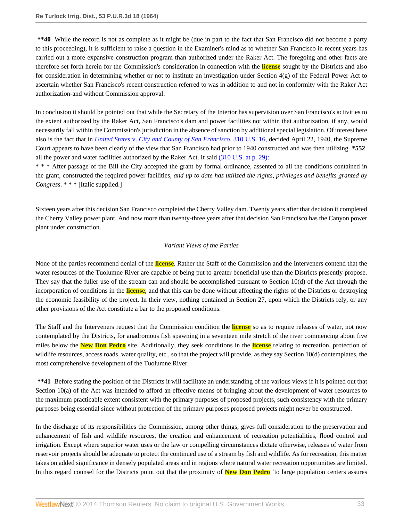**\*\*40** While the record is not as complete as it might be (due in part to the fact that San Francisco did not become a party to this proceeding), it is sufficient to raise a question in the Examiner's mind as to whether San Francisco in recent years has carried out a more expansive construction program than authorized under the Raker Act. The foregoing and other facts are therefore set forth herein for the Commission's consideration in connection with the **license** sought by the Districts and also for consideration in determining whether or not to institute an investigation under Section  $4(g)$  of the Federal Power Act to ascertain whether San Francisco's recent construction referred to was in addition to and not in conformity with the Raker Act authorization-and without Commission approval.

In conclusion it should be pointed out that while the Secretary of the Interior has supervision over San Francisco's activities to the extent authorized by the Raker Act, San Francisco's dam and power facilities not within that authorization, if any, would necessarily fall within the Commission's jurisdiction in the absence of sanction by additional special legislation. Of interest here also is the fact that in *United States* v. *[City and County of San Francisco](http://www.westlaw.com/Link/Document/FullText?findType=Y&serNum=1940124338&pubNum=780&originationContext=document&vr=3.0&rs=cblt1.0&transitionType=DocumentItem&contextData=(sc.Search))*, 310 U.S. 16, decided April 22, 1940, the Supreme Court appears to have been clearly of the view that San Francisco had prior to 1940 constructed and was then utilizing **\*552** all the power and water facilities authorized by the Raker Act. It said [\(310 U.S. at p. 29\):](http://www.westlaw.com/Link/Document/FullText?findType=Y&serNum=1940124338&pubNum=780&originationContext=document&vr=3.0&rs=cblt1.0&transitionType=DocumentItem&contextData=(sc.Search)#co_pp_sp_780_29)

\* \* \* After passage of the Bill the City accepted the grant by formal ordinance, assented to all the conditions contained in the grant, constructed the required power facilities, *and up to date has utilized the rights, privileges and benefits granted by Congress*. \* \* \* [Italic supplied.]

Sixteen years after this decision San Francisco completed the Cherry Valley dam. Twenty years after that decision it completed the Cherry Valley power plant. And now more than twenty-three years after that decision San Francisco has the Canyon power plant under construction.

#### *Variant Views of the Parties*

None of the parties recommend denial of the **license**. Rather the Staff of the Commission and the Interveners contend that the water resources of the Tuolumne River are capable of being put to greater beneficial use than the Districts presently propose. They say that the fuller use of the stream can and should be accomplished pursuant to Section 10(d) of the Act through the incorporation of conditions in the **license**; and that this can be done without affecting the rights of the Districts or destroying the economic feasibility of the project. In their view, nothing contained in Section 27, upon which the Districts rely, or any other provisions of the Act constitute a bar to the proposed conditions.

The Staff and the Interveners request that the Commission condition the **license** so as to require releases of water, not now contemplated by the Districts, for anadromous fish spawning in a seventeen mile stretch of the river commencing about five miles below the **New Don Pedro** site. Additionally, they seek conditions in the **license** relating to recreation, protection of wildlife resources, access roads, water quality, etc., so that the project will provide, as they say Section 10(d) contemplates, the most comprehensive development of the Tuolumne River.

**\*\*41** Before stating the position of the Districts it will facilitate an understanding of the various views if it is pointed out that Section 10(a) of the Act was intended to afford an effective means of bringing about the development of water resources to the maximum practicable extent consistent with the primary purposes of proposed projects, such consistency with the primary purposes being essential since without protection of the primary purposes proposed projects might never be constructed.

In the discharge of its responsibilities the Commission, among other things, gives full consideration to the preservation and enhancement of fish and wildlife resources, the creation and enhancement of recreation potentialities, flood control and irrigation. Except where superior water uses or the law or compelling circumstances dictate otherwise, releases of water from reservoir projects should be adequate to protect the continued use of a stream by fish and wildlife. As for recreation, this matter takes on added significance in densely populated areas and in regions where natural water recreation opportunities are limited. In this regard counsel for the Districts point out that the proximity of **New Don Pedro** 'to large population centers assures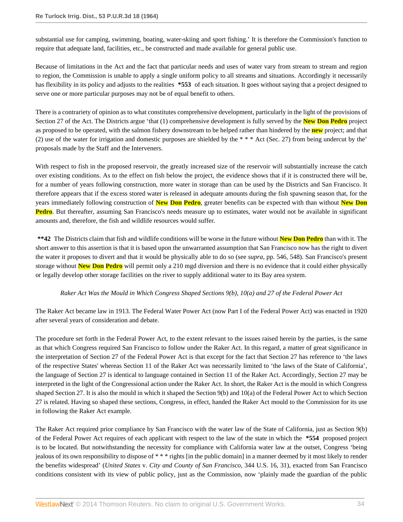substantial use for camping, swimming, boating, water-skiing and sport fishing.' It is therefore the Commission's function to require that adequate land, facilities, etc., be constructed and made available for general public use.

Because of limitations in the Act and the fact that particular needs and uses of water vary from stream to stream and region to region, the Commission is unable to apply a single uniform policy to all streams and situations. Accordingly it necessarily has flexibility in its policy and adjusts to the realities **\*553** of each situation. It goes without saying that a project designed to serve one or more particular purposes may not be of equal benefit to others.

There is a contrariety of opinion as to what constitutes comprehensive development, particularly in the light of the provisions of Section 27 of the Act. The Districts argue 'that (1) comprehensive development is fully served by the **New Don Pedro** project as proposed to be operated, with the salmon fishery downstream to be helped rather than hindered by the **new** project; and that (2) use of the water for irrigation and domestic purposes are shielded by the \* \* \* Act (Sec. 27) from being undercut by the' proposals made by the Staff and the Interveners.

With respect to fish in the proposed reservoir, the greatly increased size of the reservoir will substantially increase the catch over existing conditions. As to the effect on fish below the project, the evidence shows that if it is constructed there will be, for a number of years following construction, more water in storage than can be used by the Districts and San Francisco. It therefore appears that if the excess stored water is released in adequate amounts during the fish spawning season that, for the years immediately following construction of **New Don Pedro**, greater benefits can be expected with than without **New Don Pedro**. But thereafter, assuming San Francisco's needs measure up to estimates, water would not be available in significant amounts and, therefore, the fish and wildlife resources would suffer.

**\*\*42** The Districts claim that fish and wildlife conditions will be worse in the future without **New Don Pedro** than with it. The short answer to this assertion is that it is based upon the unwarranted assumption that San Francisco now has the right to divert the water it proposes to divert and that it would be physically able to do so (see *supra*, pp. 546, 548). San Francisco's present storage without **New Don Pedro** will permit only a 210 mgd diversion and there is no evidence that it could either physically or legally develop other storage facilities on the river to supply additional water to its Bay area system.

# *Raker Act Was the Mould in Which Congress Shaped Sections 9(b), 10(a) and 27 of the Federal Power Act*

The Raker Act became law in 1913. The Federal Water Power Act (now Part I of the Federal Power Act) was enacted in 1920 after several years of consideration and debate.

The procedure set forth in the Federal Power Act, to the extent relevant to the issues raised herein by the parties, is the same as that which Congress required San Francisco to follow under the Raker Act. In this regard, a matter of great significance in the interpretation of Section 27 of the Federal Power Act is that except for the fact that Section 27 has reference to 'the laws of the respective States' whereas Section 11 of the Raker Act was necessarily limited to 'the laws of the State of California', the language of Section 27 is identical to language contained in Section 11 of the Raker Act. Accordingly, Section 27 may be interpreted in the light of the Congressional action under the Raker Act. In short, the Raker Act is the mould in which Congress shaped Section 27. It is also the mould in which it shaped the Section 9(b) and 10(a) of the Federal Power Act to which Section 27 is related. Having so shaped these sections, Congress, in effect, handed the Raker Act mould to the Commission for its use in following the Raker Act example.

The Raker Act required prior compliance by San Francisco with the water law of the State of California, just as Section 9(b) of the Federal Power Act requires of each applicant with respect to the law of the state in which the **\*554** proposed project is to be located. But notwithstanding the necessity for compliance with California water law at the outset, Congress 'being jealous of its own responsibility to dispose of \* \* \* rights [in the public domain] in a manner deemed by it most likely to render the benefits widespread' (*United States* v. *City and County of San Francisco*, 344 U.S. 16, 31), exacted from San Francisco conditions consistent with its view of public policy, just as the Commission, now 'plainly made the guardian of the public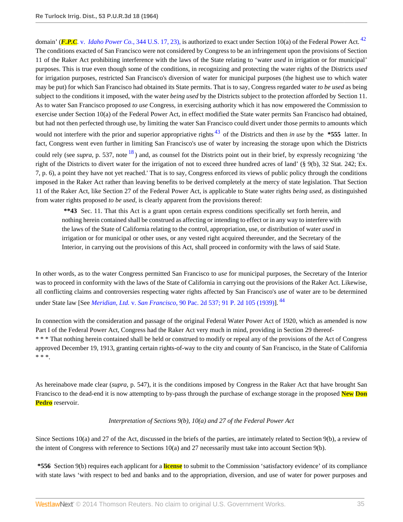<span id="page-34-0"></span>domain' (*F.P.C.* v. *Idaho Power Co.*[, 344 U.S. 17, 23\),](http://www.westlaw.com/Link/Document/FullText?findType=Y&serNum=1952117100&pubNum=780&originationContext=document&vr=3.0&rs=cblt1.0&transitionType=DocumentItem&contextData=(sc.Search)#co_pp_sp_780_23) is authorized to exact under Section 10(a) of the Federal Power Act. [42](#page-60-2) The conditions exacted of San Francisco were not considered by Congress to be an infringement upon the provisions of Section 11 of the Raker Act prohibiting interference with the laws of the State relating to 'water *used* in irrigation or for municipal' purposes. This is true even though some of the conditions, in recognizing and protecting the water rights of the Districts *used* for irrigation purposes, restricted San Francisco's diversion of water for municipal purposes (the highest use to which water may be put) for which San Francisco had obtained its State permits. That is to say, Congress regarded water *to be used* as being subject to the conditions it imposed, with the water *being used* by the Districts subject to the protection afforded by Section 11. As to water San Francisco proposed *to use* Congress, in exercising authority which it has now empowered the Commission to exercise under Section 10(a) of the Federal Power Act, in effect modified the State water permits San Francisco had obtained, but had not then perfected through use, by limiting the water San Francisco could divert under those permits to amounts which would not interfere with the prior and superior appropriative rights [43](#page-60-3) of the Districts and then *in use* by the **\*555** latter. In fact, Congress went even further in limiting San Francisco's use of water by increasing the storage upon which the Districts could rely (see *supra*, p. 537, note <sup>[18](#page-57-2)</sup>) and, as counsel fot the Districts point out in their brief, by expressly recognizing 'the right of the Districts to divert water for the irrigation of not to exceed three hundred acres of land' (§ 9(b), 32 Stat. 242; Ex. 7, p. 6), a point they have not yet reached.' That is to say, Congress enforced its views of public policy through the conditions imposed in the Raker Act rather than leaving benefits to be derived completely at the mercy of state legislation. That Section 11 of the Raker Act, like Section 27 of the Federal Power Act, is applicable to State water rights *being used*, as distinguished from water rights proposed *to be used*, is clearly apparent from the provisions thereof:

<span id="page-34-1"></span>**\*\*43** Sec. 11. That this Act is a grant upon certain express conditions specifically set forth herein, and nothing herein contained shall be construed as affecting or intending to effect or in any way to interfere with the laws of the State of California relating to the control, appropriation, use, or distribution of water *used* in irrigation or for municipal or other uses, or any vested right acquired thereunder, and the Secretary of the Interior, in carrying out the provisions of this Act, shall proceed in conformity with the laws of said State.

In other words, as to the water Congress permitted San Francisco to *use* for municipal purposes, the Secretary of the Interior was to proceed in conformity with the laws of the State of California in carrying out the provisions of the Raker Act. Likewise, all conflicting claims and controversies respecting water rights affected by San Francisco's *use* of water are to be determined under State law [See *Meridian, Ltd.* v. *San Francisco*[, 90 Pac. 2d 537;](http://www.westlaw.com/Link/Document/FullText?findType=Y&serNum=1939118914&pubNum=661&originationContext=document&vr=3.0&rs=cblt1.0&transitionType=DocumentItem&contextData=(sc.Search)) [91 P. 2d 105 \(1939\)](http://www.westlaw.com/Link/Document/FullText?findType=Y&serNum=1939133057&pubNum=661&originationContext=document&vr=3.0&rs=cblt1.0&transitionType=DocumentItem&contextData=(sc.Search))]. [44](#page-60-4)

In connection with the consideration and passage of the original Federal Water Power Act of 1920, which as amended is now Part I of the Federal Power Act, Congress had the Raker Act very much in mind, providing in Section 29 thereof- \* \* \* That nothing herein contained shall be held or construed to modify or repeal any of the provisions of the Act of Congress approved December 19, 1913, granting certain rights-of-way to the city and county of San Francisco, in the State of California \* \* \*.

As hereinabove made clear (*supra*, p. 547), it is the conditions imposed by Congress in the Raker Act that have brought San Francisco to the dead-end it is now attempting to by-pass through the purchase of exchange storage in the proposed **New Don Pedro** reservoir.

# <span id="page-34-2"></span>*Interpretation of Sections 9(b), 10(a) and 27 of the Federal Power Act*

Since Sections 10(a) and 27 of the Act, discussed in the briefs of the parties, are intimately related to Section 9(b), a review of the intent of Congress with reference to Sections 10(a) and 27 necessarily must take into account Section 9(b).

**\*556** Section 9(b) requires each applicant for a **license** to submit to the Commission 'satisfactory evidence' of its compliance with state laws 'with respect to bed and banks and to the appropriation, diversion, and use of water for power purposes and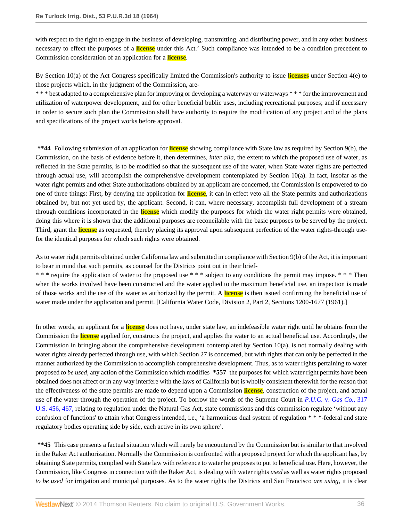with respect to the right to engage in the business of developing, transmitting, and distributing power, and in any other business necessary to effect the purposes of a **license** under this Act.' Such compliance was intended to be a condition precedent to Commission consideration of an application for a **license**.

By Section 10(a) of the Act Congress specifically limited the Commission's authority to issue **licenses** under Section 4(e) to those projects which, in the judgment of the Commission, are-

\* \* \* best adapted to a comprehensive plan for improving or developing a waterway or waterways \* \* \* for the improvement and utilization of waterpower development, and for other beneficial bublic uses, including recreational purposes; and if necessary in order to secure such plan the Commission shall have authority to require the modification of any project and of the plans and specifications of the project works before approval.

**\*\*44** Following submission of an application for **license** showing compliance with State law as required by Section 9(b), the Commission, on the basis of evidence before it, then determines, *inter alia*, the extent to which the proposed use of water, as reflected in the State permits, is to be modified so that the subsequent use of the water, when State water rights are perfected through actual use, will accomplish the comprehensive development contemplated by Section 10(a). In fact, insofar as the water right permits and other State authorizations obtained by an applicant are concerned, the Commission is empowered to do one of three things: First, by denying the application for **license**, it can in effect veto all the State permits and authorizations obtained by, but not yet used by, the applicant. Second, it can, where necessary, accomplish full development of a stream through conditions incorporated in the **license** which modify the purposes for which the water right permits were obtained, doing this where it is shown that the additional purposes are reconcilable with the basic purposes to be served by the project. Third, grant the **license** as requested, thereby placing its approval upon subsequent perfection of the water rights-through usefor the identical purposes for which such rights were obtained.

As to water right permits obtained under California law and submitted in compliance with Section 9(b) of the Act, it is important to bear in mind that such permits, as counsel for the Districts point out in their brief-

\* \* \* require the application of water to the proposed use \* \* \* subject to any conditions the permit may impose. \* \* \* Then when the works involved have been constructed and the water applied to the maximum beneficial use, an inspection is made of those works and the use of the water as authorized by the permit. A **license** is then issued confirming the beneficial use of water made under the application and permit. [California Water Code, Division 2, Part 2, Sections 1200-1677 (1961).]

In other words, an applicant for a **license** does not have, under state law, an indefeasible water right until he obtains from the Commission the **license** applied for, constructs the project, and applies the water to an actual beneficial use. Accordingly, the Commission in bringing about the comprehensive development contemplated by Section 10(a), is not normally dealing with water rights already perfected through use, with which Section 27 is concerned, but with rights that can only be perfected in the manner authorized by the Commission to accomplish comprehensive development. Thus, as to water rights pertaining to water proposed *to be used*, any action of the Commission which modifies **\*557** the purposes for which water right permits have been obtained does not affect or in any way interfere with the laws of California but is wholly consistent therewith for the reason that the effectiveness of the state permits are made to depend upon a Commission **license**, construction of the project, and actual use of the water through the operation of the project. To borrow the words of the Supreme Court in *P.U.C.* v. *[Gas Co.](http://www.westlaw.com/Link/Document/FullText?findType=Y&serNum=1943118824&pubNum=780&originationContext=document&vr=3.0&rs=cblt1.0&transitionType=DocumentItem&contextData=(sc.Search)#co_pp_sp_780_467)*, 317 [U.S. 456, 467,](http://www.westlaw.com/Link/Document/FullText?findType=Y&serNum=1943118824&pubNum=780&originationContext=document&vr=3.0&rs=cblt1.0&transitionType=DocumentItem&contextData=(sc.Search)#co_pp_sp_780_467) relating to regulation under the Natural Gas Act, state commissions and this commission regulate 'without any confusion of functions' to attain what Congress intended, i.e., 'a harmonious dual system of regulation \* \* \*-federal and state regulatory bodies operating side by side, each active in its own sphere'.

**\*\*45** This case presents a factual situation which will rarely be encountered by the Commission but is similar to that involved in the Raker Act authorization. Normally the Commission is confronted with a proposed project for which the applicant has, by obtaining State permits, complied with State law with reference to water he proposes to put to beneficial use. Here, however, the Commission, like Congress in connection with the Raker Act, is dealing with water rights *used* as well as water rights proposed *to be used* for irrigation and municipal purposes. As to the water rights the Districts and San Francisco *are using*, it is clear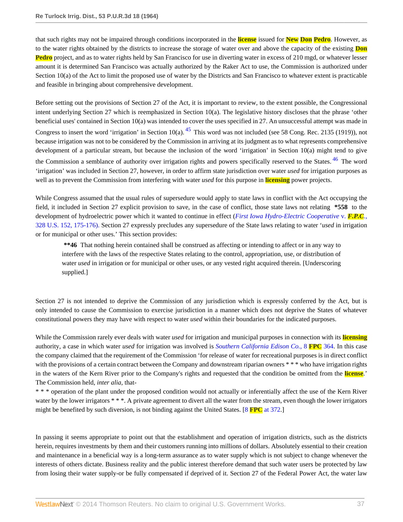that such rights may not be impaired through conditions incorporated in the **license** issued for **New Don Pedro**. However, as to the water rights obtained by the districts to increase the storage of water over and above the capacity of the existing **Don Pedro** project, and as to water rights held by San Francisco for use in diverting water in excess of 210 mgd, or whatever lesser amount it is determined San Francisco was actually authorized by the Raker Act to use, the Commission is authorized under Section 10(a) of the Act to limit the proposed use of water by the Districts and San Francisco to whatever extent is practicable and feasible in bringing about comprehensive development.

<span id="page-36-0"></span>Before setting out the provisions of Section 27 of the Act, it is important to review, to the extent possible, the Congressional intent underlying Section 27 which is reemphasized in Section 10(a). The legislative history discloses that the phrase 'other beneficial uses' contained in Section 10(a) was intended to cover the uses specified in 27. An unsuccessful attempt was made in Congress to insert the word 'irrigation' in Section 10(a).  $45$  This word was not included (see 58 Cong. Rec. 2135 (1919)), not because irrigation was not to be considered by the Commission in arriving at its judgment as to what represents comprehensive development of a particular stream, but because the inclusion of the word 'irrigation' in Section 10(a) might tend to give the Commission a semblance of authority over irrigation rights and powers specifically reserved to the States. <sup>[46](#page-60-6)</sup> The word 'irrigation' was included in Section 27, however, in order to affirm state jurisdiction over water *used* for irrigation purposes as well as to prevent the Commission from interfering with water *used* for this purpose in **licensing** power projects.

While Congress assumed that the usual rules of supersedure would apply to state laws in conflict with the Act occupying the field, it included in Section 27 explicit provision to save, in the case of conflict, those state laws not relating **\*558** to the development of hydroelectric power which it wanted to continue in effect (*[First Iowa Hydro-Electric Cooperative](http://www.westlaw.com/Link/Document/FullText?findType=Y&serNum=1946113541&pubNum=780&originationContext=document&vr=3.0&rs=cblt1.0&transitionType=DocumentItem&contextData=(sc.Search)#co_pp_sp_780_175)* v. *F.P.C.*, [328 U.S. 152, 175-176\).](http://www.westlaw.com/Link/Document/FullText?findType=Y&serNum=1946113541&pubNum=780&originationContext=document&vr=3.0&rs=cblt1.0&transitionType=DocumentItem&contextData=(sc.Search)#co_pp_sp_780_175) Section 27 expressly precludes any supersedure of the State laws relating to water '*used* in irrigation or for municipal or other uses.' This section provides:

<span id="page-36-1"></span>**\*\*46** That nothing herein contained shall be construed as affecting or intending to affect or in any way to interfere with the laws of the respective States relating to the control, appropriation, use, or distribution of water *used* in irrigation or for municipal or other uses, or any vested right acquired therein. [Underscoring supplied.]

Section 27 is not intended to deprive the Commission of any jurisdiction which is expressly conferred by the Act, but is only intended to cause the Commission to exercise jurisdiction in a manner which does not deprive the States of whatever constitutional powers they may have with respect to water *used* within their boundaries for the indicated purposes.

While the Commission rarely ever deals with water *used* for irrigation and municipal purposes in connection with its **licensing** authority, a case in which water *used* for irrigation was involved is *[Southern California Edison Co.](http://www.westlaw.com/Link/Document/FullText?findType=Y&serNum=1949035093&pubNum=0000921&originationContext=document&vr=3.0&rs=cblt1.0&transitionType=DocumentItem&contextData=(sc.Search))*, 8 **FPC** 364. In this case the company claimed that the requirement of the Commission 'for release of water for recreational purposes is in direct conflict with the provisions of a certain contract between the Company and downstream riparian owners \* \* \* who have irrigation rights in the waters of the Kern River prior to the Company's rights and requested that the condition be omitted from the **license**.' The Commission held, *inter alia*, that-

\* \* \* operation of the plant under the proposed condition would not actually or inferentially affect the use of the Kern River water by the lower irrigators \* \* \*. A private agreement to divert all the water from the stream, even though the lower irrigators might be benefited by such diversion, is not binding against the United States. [8 **FPC** [at 372](http://www.westlaw.com/Link/Document/FullText?findType=Y&serNum=1949035093&pubNum=0000921&originationContext=document&vr=3.0&rs=cblt1.0&transitionType=DocumentItem&contextData=(sc.Search)#co_pp_sp_921_372).]

In passing it seems appropriate to point out that the establishment and operation of irrigation districts, such as the districts herein, requires investments by them and their customers running into millions of dollars. Absolutely essential to their creation and maintenance in a beneficial way is a long-term assurance as to water supply which is not subject to change whenever the interests of others dictate. Business reality and the public interest therefore demand that such water users be protected by law from losing their water supply-or be fully compensated if deprived of it. Section 27 of the Federal Power Act, the water law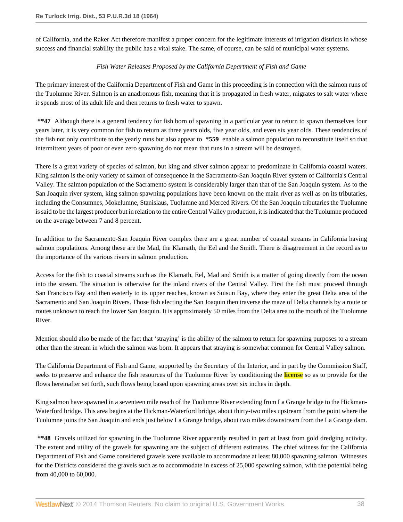of California, and the Raker Act therefore manifest a proper concern for the legitimate interests of irrigation districts in whose success and financial stability the public has a vital stake. The same, of course, can be said of municipal water systems.

# *Fish Water Releases Proposed by the California Department of Fish and Game*

The primary interest of the California Department of Fish and Game in this proceeding is in connection with the salmon runs of the Tuolumne River. Salmon is an anadromous fish, meaning that it is propagated in fresh water, migrates to salt water where it spends most of its adult life and then returns to fresh water to spawn.

**\*\*47** Although there is a general tendency for fish born of spawning in a particular year to return to spawn themselves four years later, it is very common for fish to return as three years olds, five year olds, and even six year olds. These tendencies of the fish not only contribute to the yearly runs but also appear to **\*559** enable a salmon population to reconstitute itself so that intermittent years of poor or even zero spawning do not mean that runs in a stream will be destroyed.

There is a great variety of species of salmon, but king and silver salmon appear to predominate in California coastal waters. King salmon is the only variety of salmon of consequence in the Sacramento-San Joaquin River system of California's Central Valley. The salmon population of the Sacramento system is considerably larger than that of the San Joaquin system. As to the San Joaquin river system, king salmon spawning populations have been known on the main river as well as on its tributaries, including the Consumnes, Mokelumne, Stanislaus, Tuolumne and Merced Rivers. Of the San Joaquin tributaries the Tuolumne is said to be the largest producer but in relation to the entire Central Valley production, it is indicated that the Tuolumne produced on the average between 7 and 8 percent.

In addition to the Sacramento-San Joaquin River complex there are a great number of coastal streams in California having salmon populations. Among these are the Mad, the Klamath, the Eel and the Smith. There is disagreement in the record as to the importance of the various rivers in salmon production.

Access for the fish to coastal streams such as the Klamath, Eel, Mad and Smith is a matter of going directly from the ocean into the stream. The situation is otherwise for the inland rivers of the Central Valley. First the fish must proceed through San Francisco Bay and then easterly to its upper reaches, known as Suisun Bay, where they enter the great Delta area of the Sacramento and San Joaquin Rivers. Those fish electing the San Joaquin then traverse the maze of Delta channels by a route or routes unknown to reach the lower San Joaquin. It is approximately 50 miles from the Delta area to the mouth of the Tuolumne River.

Mention should also be made of the fact that 'straying' is the ability of the salmon to return for spawning purposes to a stream other than the stream in which the salmon was born. It appears that straying is somewhat common for Central Valley salmon.

The California Department of Fish and Game, supported by the Secretary of the Interior, and in part by the Commission Staff, seeks to preserve and enhance the fish resources of the Tuolumne River by conditioning the **license** so as to provide for the flows hereinafter set forth, such flows being based upon spawning areas over six inches in depth.

King salmon have spawned in a seventeen mile reach of the Tuolumne River extending from La Grange bridge to the Hickman-Waterford bridge. This area begins at the Hickman-Waterford bridge, about thirty-two miles upstream from the point where the Tuolumne joins the San Joaquin and ends just below La Grange bridge, about two miles downstream from the La Grange dam.

**\*\*48** Gravels utilized for spawning in the Tuolumne River apparently resulted in part at least from gold dredging activity. The extent and utility of the gravels for spawning are the subject of different estimates. The chief witness for the California Department of Fish and Game considered gravels were available to accommodate at least 80,000 spawning salmon. Witnesses for the Districts considered the gravels such as to accommodate in excess of 25,000 spawning salmon, with the potential being from 40,000 to 60,000.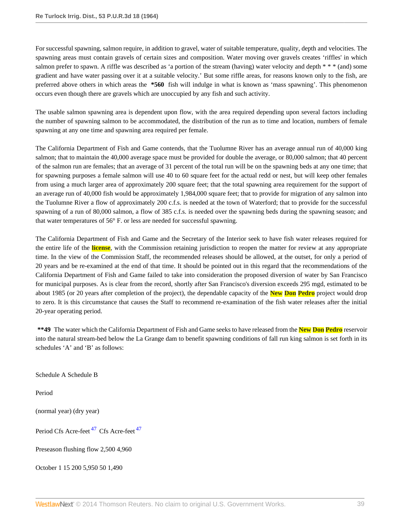For successful spawning, salmon require, in addition to gravel, water of suitable temperature, quality, depth and velocities. The spawning areas must contain gravels of certain sizes and composition. Water moving over gravels creates 'riffles' in which salmon prefer to spawn. A riffle was described as 'a portion of the stream (having) water velocity and depth  $* * * (and)$  some gradient and have water passing over it at a suitable velocity.' But some riffle areas, for reasons known only to the fish, are preferred above others in which areas the **\*560** fish will indulge in what is known as 'mass spawning'. This phenomenon occurs even though there are gravels which are unoccupied by any fish and such activity.

The usable salmon spawning area is dependent upon flow, with the area required depending upon several factors including the number of spawning salmon to be accommodated, the distribution of the run as to time and location, numbers of female spawning at any one time and spawning area required per female.

The California Department of Fish and Game contends, that the Tuolumne River has an average annual run of 40,000 king salmon; that to maintain the 40,000 average space must be provided for double the average, or 80,000 salmon; that 40 percent of the salmon run are females; that an average of 31 percent of the total run will be on the spawning beds at any one time; that for spawning purposes a female salmon will use 40 to 60 square feet for the actual redd or nest, but will keep other females from using a much larger area of approximately 200 square feet; that the total spawning area requirement for the support of an average run of 40,000 fish would be approximately 1,984,000 square feet; that to provide for migration of any salmon into the Tuolumne River a flow of approximately 200 c.f.s. is needed at the town of Waterford; that to provide for the successful spawning of a run of 80,000 salmon, a flow of 385 c.f.s. is needed over the spawning beds during the spawning season; and that water temperatures of 56° F. or less are needed for successful spawning.

The California Department of Fish and Game and the Secretary of the Interior seek to have fish water releases required for the entire life of the **license**, with the Commission retaining jurisdiction to reopen the matter for review at any appropriate time. In the view of the Commission Staff, the recommended releases should be allowed, at the outset, for only a period of 20 years and be re-examined at the end of that time. It should be pointed out in this regard that the recommendations of the California Department of Fish and Game failed to take into consideration the proposed diversion of water by San Francisco for municipal purposes. As is clear from the record, shortly after San Francisco's diversion exceeds 295 mgd, estimated to be about 1985 (or 20 years after completion of the project), the dependable capacity of the **New Don Pedro** project would drop to zero. It is this circumstance that causes the Staff to recommend re-examination of the fish water releases after the initial 20-year operating period.

**\*\*49** The water which the California Department of Fish and Game seeks to have released from the **New Don Pedro** reservoir into the natural stream-bed below the La Grange dam to benefit spawning conditions of fall run king salmon is set forth in its schedules 'A' and 'B' as follows:

Schedule A Schedule B

Period

(normal year) (dry year)

<span id="page-38-0"></span>Period Cfs Acre-feet<sup>[47](#page-60-7)</sup> Cfs Acre-feet<sup>47</sup>

Preseason flushing flow 2,500 4,960

October 1 15 200 5,950 50 1,490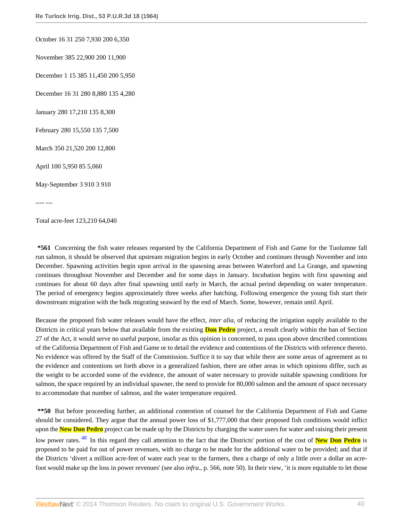October 16 31 250 7,930 200 6,350

November 385 22,900 200 11,900

December 1 15 385 11,450 200 5,950

December 16 31 280 8,880 135 4,280

January 280 17,210 135 8,300

February 280 15,550 135 7,500

March 350 21,520 200 12,800

April 100 5,950 85 5,060

May-September 3 910 3 910

---- ---

Total acre-feet 123,210 64,040

**\*561** Concerning the fish water releases requested by the California Department of Fish and Game for the Tuolumne fall run salmon, it should be observed that upstream migration begins in early October and continues through November and into December. Spawning activities begin upon arrival in the spawning areas between Waterford and La Grange, and spawning continues throughout November and December and for some days in January. Incubation begins with first spawning and continues for about 60 days after final spawning until early in March, the actual period depending on water temperature. The period of emergency begins approximately three weeks after hatching. Following emergence the young fish start their downstream migration with the bulk migrating seaward by the end of March. Some, however, remain until April.

Because the proposed fish water releases would have the effect, *inter alia*, of reducing the irrigation supply available to the Districts in critical years below that available from the existing **Don Pedro** project, a result clearly within the ban of Section 27 of the Act, it would serve no useful purpose, insofar as this opinion is concerned, to pass upon above described contentions of the California Department of Fish and Game or to detail the evidence and contentions of the Districts with reference thereto. No evidence was offered by the Staff of the Commission. Suffice it to say that while there are some areas of agreement as to the evidence and contentions set forth above in a generalized fashion, there are other areas in which opinions differ, such as the weight to be accorded some of the evidence, the amount of water necessary to provide suitable spawning conditions for salmon, the space required by an individual spawner, the need to provide for 80,000 salmon and the amount of space necessary to accommodate that number of salmon, and the water temperature required.

<span id="page-39-0"></span>**\*\*50** But before proceeding further, an additional contention of counsel for the California Department of Fish and Game should be considered. They argue that the annual power loss of \$1,777,000 that their proposed fish conditions would inflict upon the **New Don Pedro** project can be made up by the Districts by charging the water users for water and raising their present low power rates. [48](#page-60-8) In this regard they call attention to the fact that the Districts' portion of the cost of **New Don Pedro** is proposed to be paid for out of power revenues, with no charge to be made for the additional water to be provided; and that if the Districts 'divert a million acre-feet of water each year to the farmers, then a charge of only a little over a dollar an acrefoot would make up the loss in power revenues' (see also *infra.*, p. 566, note 50). In their view, 'it is more equitable to let those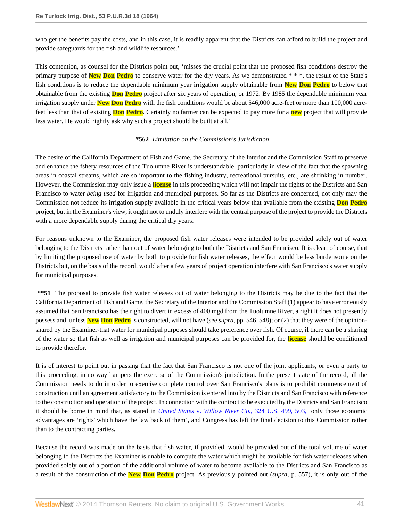who get the benefits pay the costs, and in this case, it is readily apparent that the Districts can afford to build the project and provide safeguards for the fish and wildlife resources.'

This contention, as counsel for the Districts point out, 'misses the crucial point that the proposed fish conditions destroy the primary purpose of **New Don Pedro** to conserve water for the dry years. As we demonstrated \* \* \*, the result of the State's fish conditions is to reduce the dependable minimum year irrigation supply obtainable from **New Don Pedro** to below that obtainable from the existing **Don Pedro** project after six years of operation, or 1972. By 1985 the dependable minimum year irrigation supply under **New Don Pedro** with the fish conditions would be about 546,000 acre-feet or more than 100,000 acrefeet less than that of existing **Don Pedro**. Certainly no farmer can be expected to pay more for a **new** project that will provide less water. He would rightly ask why such a project should be built at all.'

### **\*562** *Limitation on the Commission's Jurisdiction*

The desire of the California Department of Fish and Game, the Secretary of the Interior and the Commission Staff to preserve and enhance the fshery resources of the Tuolumne River is understandable, particularly in view of the fact that the spawning areas in coastal streams, which are so important to the fishing industry, recreational pursuits, etc., are shrinking in number. However, the Commission may only issue a **license** in this proceeding which will not impair the rights of the Districts and San Francisco to water *being used* for irrigation and municipal purposes. So far as the Districts are concerned, not only may the Commission not reduce its irrigation supply available in the critical years below that available from the existing **Don Pedro** project, but in the Examiner's view, it ought not to unduly interfere with the central purpose of the project to provide the Districts with a more dependable supply during the critical dry years.

For reasons unknown to the Examiner, the proposed fish water releases were intended to be provided solely out of water belonging to the Districts rather than out of water belonging to both the Districts and San Francisco. It is clear, of course, that by limiting the proposed use of water by both to provide for fish water releases, the effect would be less burdensome on the Districts but, on the basis of the record, would after a few years of project operation interfere with San Francisco's water supply for municipal purposes.

**\*\*51** The proposal to provide fish water releases out of water belonging to the Districts may be due to the fact that the California Department of Fish and Game, the Secretary of the Interior and the Commission Staff (1) appear to have erroneously assumed that San Francisco has the right to divert in excess of 400 mgd from the Tuolumne River, a right it does not presently possess and, unless **New Don Pedro** is constructed, will not have (see *supra*, pp. 546, 548); or (2) that they were of the opinionshared by the Examiner-that water for municipal purposes should take preference over fish. Of course, if there can be a sharing of the water so that fish as well as irrigation and municipal purposes can be provided for, the **license** should be conditioned to provide therefor.

It is of interest to point out in passing that the fact that San Francisco is not one of the joint applicants, or even a party to this proceeding, in no way hampers the exercise of the Commission's jurisdiction. In the present state of the record, all the Commission needs to do in order to exercise complete control over San Francisco's plans is to prohibit commencement of construction until an agreement satisfactory to the Commission is entered into by the Districts and San Francisco with reference to the construction and operation of the project. In connection with the contract to be executed by the Districts and San Francisco it should be borne in mind that, as stated in *United States* v. *Willow River Co.*[, 324 U.S. 499, 503,](http://www.westlaw.com/Link/Document/FullText?findType=Y&serNum=1945116863&pubNum=780&originationContext=document&vr=3.0&rs=cblt1.0&transitionType=DocumentItem&contextData=(sc.Search)#co_pp_sp_780_503) 'only those economic advantages are 'rights' which have the law back of them', and Congress has left the final decision to this Commission rather than to the contracting parties.

Because the record was made on the basis that fish water, if provided, would be provided out of the total volume of water belonging to the Districts the Examiner is unable to compute the water which might be available for fish water releases when provided solely out of a portion of the additional volume of water to become available to the Districts and San Francisco as a result of the construction of the **New Don Pedro** project. As previously pointed out (*supra*, p. 557), it is only out of the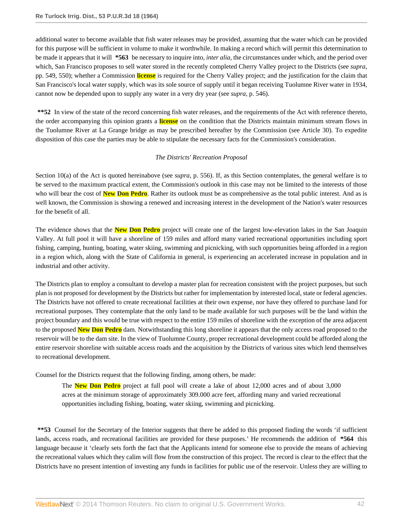additional water to become available that fish water releases may be provided, assuming that the water which can be provided for this purpose will be sufficient in volume to make it worthwhile. In making a record which will permit this determination to be made it appears that it will **\*563** be necessary to inquire into, *inter alia*, the circumstances under which, and the period over which, San Francisco proposes to sell water stored in the recently completed Cherry Valley project to the Districts (see *supra*, pp. 549, 550); whether a Commission **license** is required for the Cherry Valley project; and the justification for the claim that San Francisco's local water supply, which was its sole source of supply until it began receiving Tuolumne River water in 1934, cannot now be depended upon to supply any water in a very dry year (see *supra*, p. 546).

**\*\*52** In view of the state of the record concerning fish water releases, and the requirements of the Act with reference thereto, the order accompanying this opinion grants a **license** on the condition that the Districts maintain minimum stream flows in the Tuolumne River at La Grange bridge as may be prescribed hereafter by the Commission (see Article 30). To expedite disposition of this case the parties may be able to stipulate the necessary facts for the Commission's consideration.

# *The Districts' Recreation Proposal*

Section 10(a) of the Act is quoted hereinabove (see *supra*, p. 556). If, as this Section contemplates, the general welfare is to be served to the maximum practical extent, the Commission's outlook in this case may not be limited to the interests of those who will bear the cost of **New Don Pedro**. Rather its outlook must be as comprehensive as the total public interest. And as is well known, the Commission is showing a renewed and increasing interest in the development of the Nation's water resources for the benefit of all.

The evidence shows that the **New Don Pedro** project will create one of the largest low-elevation lakes in the San Joaquin Valley. At full pool it will have a shoreline of 159 miles and afford many varied recreational opportunities including sport fishing, camping, hunting, boating, water skiing, swimming and picnicking, with such opportunities being afforded in a region in a region which, along with the State of California in general, is experiencing an accelerated increase in population and in industrial and other activity.

The Districts plan to employ a consultant to develop a master plan for recreation consistent with the project purposes, but such plan is not proposed for development by the Districts but rather for implementation by interested local, state or federal agencies. The Districts have not offered to create recreational facilities at their own expense, nor have they offered to purchase land for recreational purposes. They contemplate that the only land to be made available for such purposes will be the land within the project boundary and this would be true with respect to the entire 159 miles of shoreline with the exception of the area adjacent to the proposed **New Don Pedro** dam. Notwithstanding this long shoreline it appears that the only access road proposed to the reservoir will be to the dam site. In the view of Tuolumne County, proper recreational development could be afforded along the entire reservoir shoreline with suitable access roads and the acquisition by the Districts of various sites which lend themselves to recreational development.

Counsel for the Districts request that the following finding, among others, be made:

The **New Don Pedro** project at full pool will create a lake of about 12,000 acres and of about 3,000 acres at the minimum storage of approximately 309.000 acre feet, affording many and varied recreational opportunities including fishing, boating, water skiing, swimming and picnicking.

\*\*53 Counsel for the Secretary of the Interior suggests that there be added to this proposed finding the words 'if sufficient lands, access roads, and recreational facilities are provided for these purposes.' He recommends the addition of **\*564** this language because it 'clearly sets forth the fact that the Applicants intend for someone else to provide the means of achieving the recreational values which they calim will flow from the construction of this project. The record is clear to the effect that the Districts have no present intention of investing any funds in facilities for public use of the reservoir. Unless they are willing to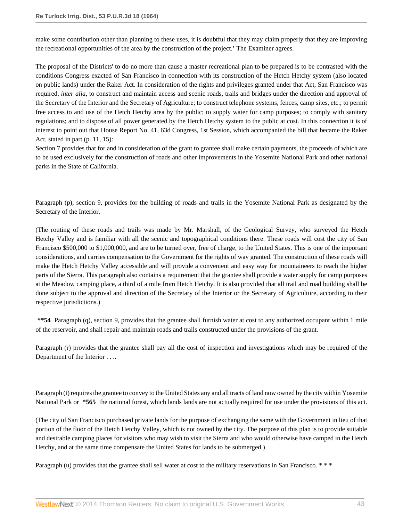make some contribution other than planning to these uses, it is doubtful that they may claim properly that they are improving the recreational opportunities of the area by the construction of the project.' The Examiner agrees.

The proposal of the Districts' to do no more than cause a master recreational plan to be prepared is to be contrasted with the conditions Congress exacted of San Francisco in connection with its construction of the Hetch Hetchy system (also located on public lands) under the Raker Act. In consideration of the rights and privileges granted under that Act, San Francisco was required, *inter alia*, to construct and maintain access and scenic roads, trails and bridges under the direction and approval of the Secretary of the Interior and the Secretary of Agriculture; to construct telephone systems, fences, camp sites, etc.; to permit free access to and use of the Hetch Hetchy area by the public; to supply water for camp purposes; to comply with sanitary regulations; and to dispose of all power generated by the Hetch Hetchy system to the public at cost. In this connection it is of interest to point out that House Report No. 41, 63d Congress, 1st Session, which accompanied the bill that became the Raker Act, stated in part (p. 11, 15):

Section 7 provides that for and in consideration of the grant to grantee shall make certain payments, the proceeds of which are to be used exclusively for the construction of roads and other improvements in the Yosemite National Park and other national parks in the State of California.

Paragraph (p), section 9, provides for the building of roads and trails in the Yosemite National Park as designated by the Secretary of the Interior.

(The routing of these roads and trails was made by Mr. Marshall, of the Geological Survey, who surveyed the Hetch Hetchy Valley and is familiar with all the scenic and topographical conditions there. These roads will cost the city of San Francisco \$500,000 to \$1,000,000, and are to be turned over, free of charge, to the United States. This is one of the important considerations, and carries compensation to the Government for the rights of way granted. The construction of these roads will make the Hetch Hetchy Valley accessible and will provide a convenient and easy way for mountaineers to reach the higher parts of the Sierra. This paragraph also contains a requirement that the grantee shall provide a water supply for camp purposes at the Meadow camping place, a third of a mile from Hetch Hetchy. It is also provided that all trail and road building shall be done subject to the approval and direction of the Secretary of the Interior or the Secretary of Agriculture, according to their respective jurisdictions.)

**\*\*54** Paragraph (q), section 9, provides that the grantee shall furnish water at cost to any authorized occupant within 1 mile of the reservoir, and shall repair and maintain roads and trails constructed under the provisions of the grant.

Paragraph (r) provides that the grantee shall pay all the cost of inspection and investigations which may be required of the Department of the Interior . . ..

Paragraph (t) requires the grantee to convey to the United States any and all tracts of land now owned by the city within Yosemite National Park or **\*565** the national forest, which lands lands are not actually required for use under the provisions of this act.

(The city of San Francisco purchased private lands for the purpose of exchanging the same with the Government in lieu of that portion of the floor of the Hetch Hetchy Valley, which is not owned by the city. The purpose of this plan is to provide suitable and desirable camping places for visitors who may wish to visit the Sierra and who would otherwise have camped in the Hetch Hetchy, and at the same time compensate the United States for lands to be submerged.)

Paragraph (u) provides that the grantee shall sell water at cost to the military reservations in San Francisco. \* \* \*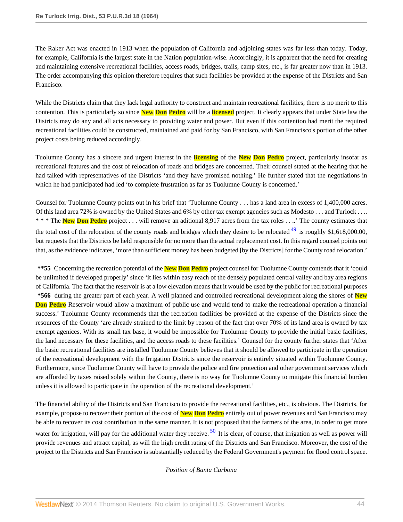The Raker Act was enacted in 1913 when the population of California and adjoining states was far less than today. Today, for example, California is the largest state in the Nation population-wise. Accordingly, it is apparent that the need for creating and maintaining extensive recreational facilities, access roads, bridges, trails, camp sites, etc., is far greater now than in 1913. The order accompanying this opinion therefore requires that such facilities be provided at the expense of the Districts and San Francisco.

While the Districts claim that they lack legal authority to construct and maintain recreational facilities, there is no merit to this contention. This is particularly so since **New Don Pedro** will be a **licensed** project. It clearly appears that under State law the Districts may do any and all acts necessary to providing water and power. But even if this contention had merit the required recreational facilities could be constructed, maintained and paid for by San Francisco, with San Francisco's portion of the other project costs being reduced accordingly.

Tuolumne County has a sincere and urgent interest in the **licensing** of the **New Don Pedro** project, particularly insofar as recreational features and the cost of relocation of roads and bridges are concerned. Their counsel stated at the hearing that he had talked with representatives of the Districts 'and they have promised nothing.' He further stated that the negotiations in which he had participated had led 'to complete frustration as far as Tuolumne County is concerned.'

<span id="page-43-0"></span>Counsel for Tuolumne County points out in his brief that 'Tuolumne County . . . has a land area in excess of 1,400,000 acres. Of this land area 72% is owned by the United States and 6% by other tax exempt agencies such as Modesto . . . and Turlock . . .. \* \* \* The **New Don Pedro** project . . . will remove an aditional 8,917 acres from the tax roles . . ..' The county estimates that the total cost of the relocation of the county roads and bridges which they desire to be relocated  $^{49}$  $^{49}$  $^{49}$  is roughly \$1,618,000.00, but requests that the Districts be held responsible for no more than the actual replacement cost. In this regard counsel points out that, as the evidence indicates, 'more than sufficient money has been budgeted [by the Districts] for the County road relocation.'

**\*\*55** Concerning the recreation potential of the **New Don Pedro** project counsel for Tuolumne County contends that it 'could be unlimited if developed properly' since 'it lies within easy reach of the densely populated central valley and bay area regions of California. The fact that the reservoir is at a low elevation means that it would be used by the public for recreational purposes **\*566** during the greater part of each year. A well planned and controlled recreational development along the shores of **New Don Pedro** Reservoir would allow a maximum of public use and would tend to make the recreational operation a financial success.' Tuolumne County recommends that the recreation facilities be provided at the expense of the Districts since the resources of the County 'are already strained to the limit by reason of the fact that over 70% of its land area is owned by tax exempt agenices. With its small tax base, it would be impossible for Tuolumne County to provide the initial basic facilities, the land necessary for these facilities, and the access roads to these facilities.' Counsel for the county further states that 'After the basic recreational facilities are installed Tuolumne County believes that it should be allowed to participate in the operation of the recreational development with the Irrigation Districts since the reservoir is entirely situated within Tuolumne County. Furthermore, since Tuolumne County will have to provide the police and fire protection and other government services which are afforded by taxes raised solely within the County, there is no way for Tuolumne County to mitigate this financial burden unless it is allowed to participate in the operation of the recreational development.'

The financial ability of the Districts and San Francisco to provide the recreational facilities, etc., is obvious. The Districts, for example, propose to recover their portion of the cost of **New Don Pedro** entirely out of power revenues and San Francisco may be able to recover its cost contribution in the same manner. It is not proposed that the farmers of the area, in order to get more water for irrigation, will pay for the additional water they receive.  $50$  It is clear, of course, that irrigation as well as power will provide revenues and attract capital, as will the high credit rating of the Districts and San Francisco. Moreover, the cost of the project to the Districts and San Francisco is substantially reduced by the Federal Government's payment for flood control space.

# <span id="page-43-1"></span>*Position of Banta Carbona*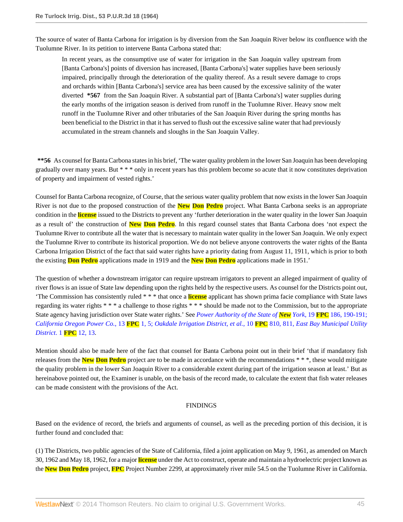The source of water of Banta Carbona for irrigation is by diversion from the San Joaquin River below its confluence with the Tuolumne River. In its petition to intervene Banta Carbona stated that:

In recent years, as the consumptive use of water for irrigation in the San Joaquin valley upstream from [Banta Carbona's] points of diversion has increased, [Banta Carbona's] water supplies have been seriously impaired, principally through the deterioration of the quality thereof. As a result severe damage to crops and orchards within [Banta Carbona's] service area has been caused by the excessive salinity of the water diverted **\*567** from the San Joaquin River. A substantial part of [Banta Carbona's] water supplies during the early months of the irrigation season is derived from runoff in the Tuolumne River. Heavy snow melt runoff in the Tuolumne River and other tributaries of the San Joaquin River during the spring months has been beneficial to the District in that it has served to flush out the excessive saline water that had previously accumulated in the stream channels and sloughs in the San Joaquin Valley.

**\*\*56** As counsel for Banta Carbona states in his brief, 'The water quality problem in the lower San Joaquin has been developing gradually over many years. But \* \* \* only in recent years has this problem become so acute that it now constitutes deprivation of property and impairment of vested rights.'

Counsel for Banta Carbona recognize, of Course, that the serious water quality problem that now exists in the lower San Joaquin River is not due to the proposed construction of the **New Don Pedro** project. What Banta Carbona seeks is an appropriate condition in the **license** issued to the Districts to prevent any 'further deterioration in the water quality in the lower San Joaquin as a result of' the construction of **New Don Pedro**. In this regard counsel states that Banta Carbona does 'not expect the Tuolumne River to contribute all the water that is necessary to maintain water quality in the lower San Joaquin. We only expect the Tuolumne River to contribute its historical proportion. We do not believe anyone controverts the water rights of the Banta Carbona Irrigation District of the fact that said water rights have a priority dating from August 11, 1911, which is prior to both the existing **Don Pedro** applications made in 1919 and the **New Don Pedro** applications made in 1951.'

The question of whether a downstream irrigator can require upstream irrigators to prevent an alleged impairment of quality of river flows is an issue of State law depending upon the rights held by the respective users. As counsel for the Districts point out, 'The Commission has consistently ruled \* \* \* that once a **license** applicant has shown prima facie compliance with State laws regarding its water rights \* \* \* a challenge to those rights \* \* \* should be made not to the Commission, but to the appropriate State agency having jurisdiction over State water rights.' See *[Power Authority of the State of](http://www.westlaw.com/Link/Document/FullText?findType=Y&serNum=1958055516&pubNum=921&originationContext=document&vr=3.0&rs=cblt1.0&transitionType=DocumentItem&contextData=(sc.Search)#co_pp_sp_921_190) New York*, 19 **FPC** 186, 190-191; *[California Oregon Power Co.](http://www.westlaw.com/Link/Document/FullText?findType=Y&serNum=2006448586&pubNum=921&originationContext=document&vr=3.0&rs=cblt1.0&transitionType=DocumentItem&contextData=(sc.Search)#co_pp_sp_921_5)*, 13 **FPC** 1, 5; *[Oakdale Irrigation District, et al.](http://www.westlaw.com/Link/Document/FullText?findType=Y&serNum=1951043373&pubNum=921&originationContext=document&vr=3.0&rs=cblt1.0&transitionType=DocumentItem&contextData=(sc.Search)#co_pp_sp_921_811)*, 10 **FPC** 810, 811, *[East Bay Municipal Utility](http://www.westlaw.com/Link/Document/FullText?findType=Y&serNum=1932032457&pubNum=0000921&originationContext=document&vr=3.0&rs=cblt1.0&transitionType=DocumentItem&contextData=(sc.Search)#co_pp_sp_921_13) [District](http://www.westlaw.com/Link/Document/FullText?findType=Y&serNum=1932032457&pubNum=0000921&originationContext=document&vr=3.0&rs=cblt1.0&transitionType=DocumentItem&contextData=(sc.Search)#co_pp_sp_921_13)*. 1 **FPC** 12, 13.

Mention should also be made here of the fact that counsel for Banta Carbona point out in their brief 'that if mandatory fish releases from the **New Don Pedro** project are to be made in accordance with the recommendations \* \* \*, these would mitigate the quality problem in the lower San Joaquin River to a considerable extent during part of the irrigation season at least.' But as hereinabove pointed out, the Examiner is unable, on the basis of the record made, to calculate the extent that fish water releases can be made consistent with the provisions of the Act.

### FINDINGS

Based on the evidence of record, the briefs and arguments of counsel, as well as the preceding portion of this decision, it is further found and concluded that:

(1) The Districts, two public agencies of the State of California, filed a joint application on May 9, 1961, as amended on March 30, 1962 and May 18, 1962, for a major **license** under the Act to construct, operate and maintain a hydroelectric project known as the **New Don Pedro** project, **FPC** Project Number 2299, at approximately river mile 54.5 on the Tuolumne River in California.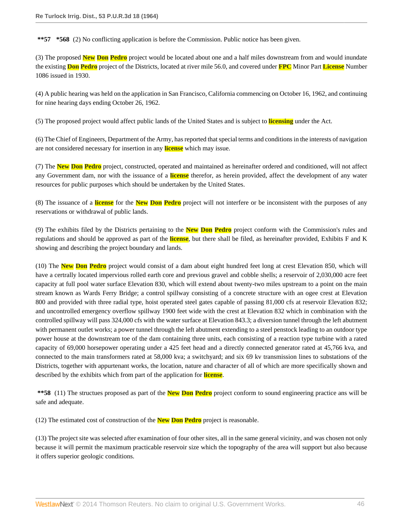**\*\*57 \*568** (2) No conflicting application is before the Commission. Public notice has been given.

(3) The proposed **New Don Pedro** project would be located about one and a half miles downstream from and would inundate the existing **Don Pedro** project of the Districts, located at river mile 56.0, and covered under **FPC** Minor Part **License** Number 1086 issued in 1930.

(4) A public hearing was held on the application in San Francisco, California commencing on October 16, 1962, and continuing for nine hearing days ending October 26, 1962.

(5) The proposed project would affect public lands of the United States and is subject to **licensing** under the Act.

(6) The Chief of Engineers, Department of the Army, has reported that special terms and conditions in the interests of navigation are not considered necessary for insertion in any **license** which may issue.

(7) The **New Don Pedro** project, constructed, operated and maintained as hereinafter ordered and conditioned, will not affect any Government dam, nor with the issuance of a **license** therefor, as herein provided, affect the development of any water resources for public purposes which should be undertaken by the United States.

(8) The issuance of a **license** for the **New Don Pedro** project will not interfere or be inconsistent with the purposes of any reservations or withdrawal of public lands.

(9) The exhibits filed by the Districts pertaining to the **New Don Pedro** project conform with the Commission's rules and regulations and should be approved as part of the **license**, but there shall be filed, as hereinafter provided, Exhibits F and K showing and describing the project boundary and lands.

(10) The **New Don Pedro** project would consist of a dam about eight hundred feet long at crest Elevation 850, which will have a certrally located impervious rolled earth core and previous gravel and cobble shells; a reservoir of 2,030,000 acre feet capacity at full pool water surface Elevation 830, which will extend about twenty-two miles upstream to a point on the main stream known as Wards Ferry Bridge; a control spillway consisting of a concrete structure with an ogee crest at Elevation 800 and provided with three radial type, hoist operated steel gates capable of passing 81,000 cfs at reservoir Elevation 832; and uncontrolled emergency overflow spillway 1900 feet wide with the crest at Elevation 832 which in combination with the controlled spillway will pass 324,000 cfs with the water surface at Elevation 843.3; a diversion tunnel through the left abutment with permanent outlet works; a power tunnel through the left abutment extending to a steel penstock leading to an outdoor type power house at the downstream toe of the dam containing three units, each consisting of a reaction type turbine with a rated capacity of 69,000 horsepower operating under a 425 feet head and a directly connected generator rated at 45,766 kva, and connected to the main transformers rated at 58,000 kva; a switchyard; and six 69 kv transmission lines to substations of the Districts, together with appurtenant works, the location, nature and character of all of which are more specifically shown and described by the exhibits which from part of the application for **license**.

**\*\*58** (11) The structues proposed as part of the **New Don Pedro** project conform to sound engineering practice ans will be safe and adequate.

(12) The estimated cost of construction of the **New Don Pedro** project is reasonable.

(13) The project site was selected after examination of four other sites, all in the same general vicinity, and was chosen not only because it will permit the maximum practicable reservoir size which the topography of the area will support but also because it offers superior geologic conditions.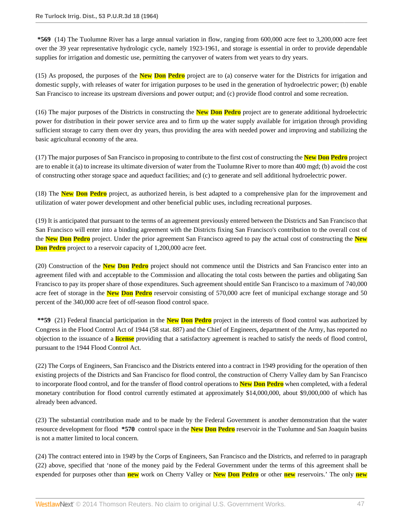**\*569** (14) The Tuolumne River has a large annual variation in flow, ranging from 600,000 acre feet to 3,200,000 acre feet over the 39 year representative hydrologic cycle, namely 1923-1961, and storage is essential in order to provide dependable supplies for irrigation and domestic use, permitting the carryover of waters from wet years to dry years.

(15) As proposed, the purposes of the **New Don Pedro** project are to (a) conserve water for the Districts for irrigation and domestic supply, with releases of water for irrigation purposes to be used in the generation of hydroelectric power; (b) enable San Francisco to increase its upstream diversions and power output; and (c) provide flood control and some recreation.

(16) The major purposes of the Districts in constructing the **New Don Pedro** project are to generate additional hydroelectric power for distribution in their power service area and to firm up the water supply available for irrigation through providing sufficient storage to carry them over dry years, thus providing the area with needed power and improving and stabilizing the basic agricultural economy of the area.

(17) The major purposes of San Francisco in proposing to contribute to the first cost of constructing the **New Don Pedro** project are to enable it (a) to increase its ultimate diversion of water from the Tuolumne River to more than 400 mgd; (b) avoid the cost of constructing other storage space and aqueduct facilities; and (c) to generate and sell additional hydroelectric power.

(18) The **New Don Pedro** project, as authorized herein, is best adapted to a comprehensive plan for the improvement and utilization of water power development and other beneficial public uses, including recreational purposes.

(19) It is anticipated that pursuant to the terms of an agreement previously entered between the Districts and San Francisco that San Francisco will enter into a binding agreement with the Districts fixing San Francisco's contribution to the overall cost of the **New Don Pedro** project. Under the prior agreement San Francisco agreed to pay the actual cost of constructing the **New Don Pedro** project to a reservoir capacity of 1,200,000 acre feet.

(20) Construction of the **New Don Pedro** project should not commence until the Districts and San Francisco enter into an agreement filed with and acceptable to the Commission and allocating the total costs between the parties and obligating San Francisco to pay its proper share of those expenditures. Such agreement should entitle San Francisco to a maximum of 740,000 acre feet of storage in the **New Don Pedro** reservoir consisting of 570,000 acre feet of municipal exchange storage and 50 percent of the 340,000 acre feet of off-season flood control space.

**\*\*59** (21) Federal financial participation in the **New Don Pedro** project in the interests of flood control was authorized by Congress in the Flood Control Act of 1944 (58 stat. 887) and the Chief of Engineers, department of the Army, has reported no objection to the issuance of a **license** providing that a satisfactory agreement is reached to satisfy the needs of flood control, pursuant to the 1944 Flood Control Act.

(22) The Corps of Engineers, San Francisco and the Districts entered into a contract in 1949 providing for the operation of then existing projects of the Districts and San Francisco for flood control, the construction of Cherry Valley dam by San Francisco to incorporate flood control, and for the transfer of flood control operations to **New Don Pedro** when completed, with a federal monetary contribution for flood control currently estimated at approximately \$14,000,000, about \$9,000,000 of which has already been advanced.

(23) The substantial contribution made and to be made by the Federal Government is another demonstration that the water resource development for flood **\*570** control space in the **New Don Pedro** reservoir in the Tuolumne and San Joaquin basins is not a matter limited to local concern.

(24) The contract entered into in 1949 by the Corps of Engineers, San Francisco and the Districts, and referred to in paragraph (22) above, specified that 'none of the money paid by the Federal Government under the terms of this agreement shall be expended for purposes other than **new** work on Cherry Valley or **New Don Pedro** or other **new** reservoirs.' The only **new**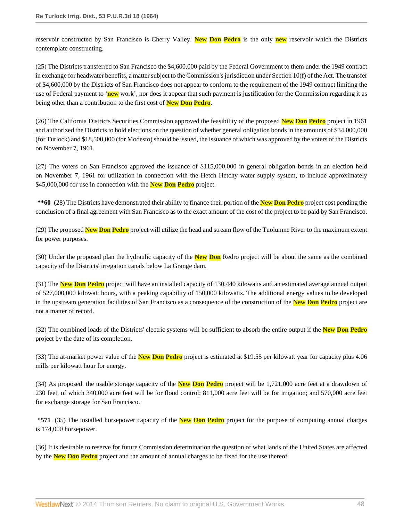reservoir constructed by San Francisco is Cherry Valley. **New Don Pedro** is the only **new** reservoir which the Districts contemplate constructing.

(25) The Districts transferred to San Francisco the \$4,600,000 paid by the Federal Government to them under the 1949 contract in exchange for headwater benefits, a matter subject to the Commission's jurisdiction under Section 10(f) of the Act. The transfer of \$4,600,000 by the Districts of San Francisco does not appear to conform to the requirement of the 1949 contract limiting the use of Federal payment to '**new** work', nor does it appear that such payment is justification for the Commission regarding it as being other than a contribution to the first cost of **New Don Pedro**.

(26) The California Districts Securities Commission approved the feasibility of the proposed **New Don Pedro** project in 1961 and authorized the Districts to hold elections on the question of whether general obligation bonds in the amounts of \$34,000,000 (for Turlock) and \$18,500,000 (for Modesto) should be issued, the issuance of which was approved by the voters of the Districts on November 7, 1961.

(27) The voters on San Francisco approved the issuance of \$115,000,000 in general obligation bonds in an election held on November 7, 1961 for utilization in connection with the Hetch Hetchy water supply system, to include approximately \$45,000,000 for use in connection with the **New Don Pedro** project.

**\*\*60** (28) The Districts have demonstrated their ability to finance their portion of the **New Don Pedro** project cost pending the conclusion of a final agreement with San Francisco as to the exact amount of the cost of the project to be paid by San Francisco.

(29) The proposed **New Don Pedro** project will utilize the head and stream flow of the Tuolumne River to the maximum extent for power purposes.

(30) Under the proposed plan the hydraulic capacity of the **New Don** Redro project will be about the same as the combined capacity of the Districts' irregation canals below La Grange dam.

(31) The **New Don Pedro** project will have an installed capacity of 130,440 kilowatts and an estimated average annual output of 527,000,000 kilowatt hours, with a peaking capability of 150,000 kilowatts. The additional energy values to be developed in the upstream generation facilities of San Francisco as a consequence of the construction of the **New Don Pedro** project are not a matter of record.

(32) The combined loads of the Districts' electric systems will be sufficient to absorb the entire output if the **New Don Pedro** project by the date of its completion.

(33) The at-market power value of the **New Don Pedro** project is estimated at \$19.55 per kilowatt year for capacity plus 4.06 mills per kilowatt hour for energy.

(34) As proposed, the usable storage capacity of the **New Don Pedro** project will be 1,721,000 acre feet at a drawdown of 230 feet, of which 340,000 acre feet will be for flood control; 811,000 acre feet will be for irrigation; and 570,000 acre feet for exchange storage for San Francisco.

**\*571** (35) The installed horsepower capacity of the **New Don Pedro** project for the purpose of computing annual charges is 174,000 horsepower.

(36) It is desirable to reserve for future Commission determination the question of what lands of the United States are affected by the **New Don Pedro** project and the amount of annual charges to be fixed for the use thereof.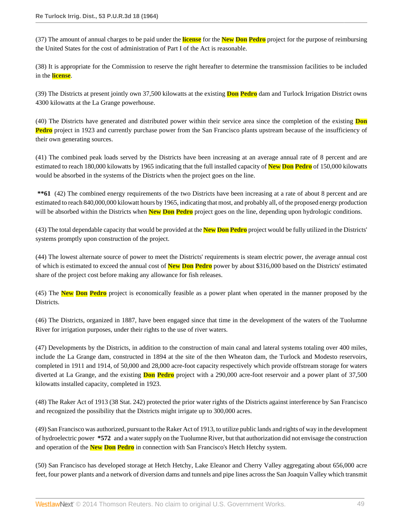(37) The amount of annual charges to be paid under the **license** for the **New Don Pedro** project for the purpose of reimbursing the United States for the cost of administration of Part I of the Act is reasonable.

(38) It is appropriate for the Commission to reserve the right hereafter to determine the transmission facilities to be included in the **license**.

(39) The Districts at present jointly own 37,500 kilowatts at the existing **Don Pedro** dam and Turlock Irrigation District owns 4300 kilowatts at the La Grange powerhouse.

(40) The Districts have generated and distributed power within their service area since the completion of the existing **Don Pedro** project in 1923 and currently purchase power from the San Francisco plants upstream because of the insufficiency of their own generating sources.

(41) The combined peak loads served by the Districts have been increasing at an average annual rate of 8 percent and are estimated to reach 180,000 kilowatts by 1965 indicating that the full installed capacity of **New Don Pedro** of 150,000 kilowatts would be absorbed in the systems of the Districts when the project goes on the line.

\*\* **61** (42) The combined energy requirements of the two Districts have been increasing at a rate of about 8 percent and are estimated to reach 840,000,000 kilowatt hours by 1965, indicating that most, and probably all, of the proposed energy production will be absorbed within the Districts when **New Don Pedro** project goes on the line, depending upon hydrologic conditions.

(43) The total dependable capacity that would be provided at the **New Don Pedro** project would be fully utilized in the Districts' systems promptly upon construction of the project.

(44) The lowest alternate source of power to meet the Districts' requirements is steam electric power, the average annual cost of which is estimated to exceed the annual cost of **New Don Pedro** power by about \$316,000 based on the Districts' estimated share of the project cost before making any allowance for fish releases.

(45) The **New Don Pedro** project is economically feasible as a power plant when operated in the manner proposed by the Districts.

(46) The Districts, organized in 1887, have been engaged since that time in the development of the waters of the Tuolumne River for irrigation purposes, under their rights to the use of river waters.

(47) Developments by the Districts, in addition to the construction of main canal and lateral systems totaling over 400 miles, include the La Grange dam, constructed in 1894 at the site of the then Wheaton dam, the Turlock and Modesto reservoirs, completed in 1911 and 1914, of 50,000 and 28,000 acre-foot capacity respectively which provide offstream storage for waters diverted at La Grange, and the existing **Don Pedro** project with a 290,000 acre-foot reservoir and a power plant of 37,500 kilowatts installed capacity, completed in 1923.

(48) The Raker Act of 1913 (38 Stat. 242) protected the prior water rights of the Districts against interference by San Francisco and recognized the possibility that the Districts might irrigate up to 300,000 acres.

(49) San Francisco was authorized, pursuant to the Raker Act of 1913, to utilize public lands and rights of way in the development of hydroelectric power **\*572** and a water supply on the Tuolumne River, but that authorization did not envisage the construction and operation of the **New Don Pedro** in connection with San Francisco's Hetch Hetchy system.

(50) San Francisco has developed storage at Hetch Hetchy, Lake Eleanor and Cherry Valley aggregating about 656,000 acre feet, four power plants and a network of diversion dams and tunnels and pipe lines across the San Joaquin Valley which transmit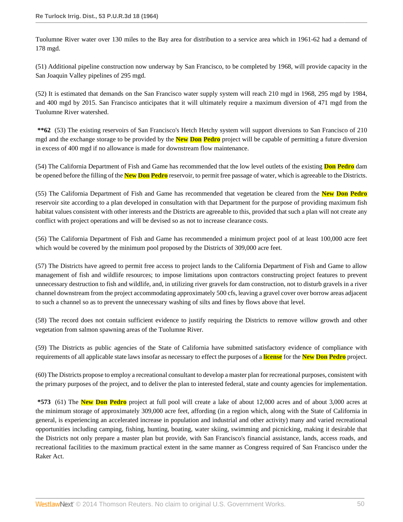Tuolumne River water over 130 miles to the Bay area for distribution to a service area which in 1961-62 had a demand of 178 mgd.

(51) Additional pipeline construction now underway by San Francisco, to be completed by 1968, will provide capacity in the San Joaquin Valley pipelines of 295 mgd.

(52) It is estimated that demands on the San Francisco water supply system will reach 210 mgd in 1968, 295 mgd by 1984, and 400 mgd by 2015. San Francisco anticipates that it will ultimately require a maximum diversion of 471 mgd from the Tuolumne River watershed.

**\*\*62** (53) The existing reservoirs of San Francisco's Hetch Hetchy system will support diversions to San Francisco of 210 mgd and the exchange storage to be provided by the **New Don Pedro** project will be capable of permitting a future diversion in excess of 400 mgd if no allowance is made for downstream flow maintenance.

(54) The California Department of Fish and Game has recommended that the low level outlets of the existing **Don Pedro** dam be opened before the filling of the **New Don Pedro** reservoir, to permit free passage of water, which is agreeable to the Districts.

(55) The California Department of Fish and Game has recommended that vegetation be cleared from the **New Don Pedro** reservoir site according to a plan developed in consultation with that Department for the purpose of providing maximum fish habitat values consistent with other interests and the Districts are agreeable to this, provided that such a plan will not create any conflict with project operations and will be devised so as not to increase clearance costs.

(56) The California Department of Fish and Game has recommended a minimum project pool of at least 100,000 acre feet which would be covered by the minimum pool proposed by the Districts of 309,000 acre feet.

(57) The Districts have agreed to permit free access to project lands to the California Department of Fish and Game to allow management of fish and wildlife resources; to impose limitations upon contractors constructing project features to prevent unnecessary destruction to fish and wildlife, and, in utilizing river gravels for dam construction, not to disturb gravels in a river channel downstream from the project accommodating approximately 500 cfs, leaving a gravel cover over borrow areas adjacent to such a channel so as to prevent the unnecessary washing of silts and fines by flows above that level.

(58) The record does not contain sufficient evidence to justify requiring the Districts to remove willow growth and other vegetation from salmon spawning areas of the Tuolumne River.

(59) The Districts as public agencies of the State of California have submitted satisfactory evidence of compliance with requirements of all applicable state laws insofar as necessary to effect the purposes of a **license** for the **New Don Pedro** project.

(60) The Districts propose to employ a recreational consultant to develop a master plan for recreational purposes, consistent with the primary purposes of the project, and to deliver the plan to interested federal, state and county agencies for implementation.

**\*573** (61) The **New Don Pedro** project at full pool will create a lake of about 12,000 acres and of about 3,000 acres at the minimum storage of approximately 309,000 acre feet, affording (in a region which, along with the State of California in general, is experiencing an accelerated increase in population and industrial and other activity) many and varied recreational opportunities including camping, fishing, hunting, boating, water skiing, swimming and picnicking, making it desirable that the Districts not only prepare a master plan but provide, with San Francisco's financial assistance, lands, access roads, and recreational facilities to the maximum practical extent in the same manner as Congress required of San Francisco under the Raker Act.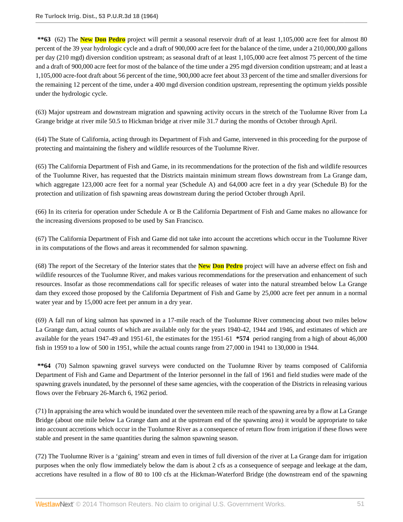**\*\*63** (62) The **New Don Pedro** project will permit a seasonal reservoir draft of at least 1,105,000 acre feet for almost 80 percent of the 39 year hydrologic cycle and a draft of 900,000 acre feet for the balance of the time, under a 210,000,000 gallons per day (210 mgd) diversion condition upstream; as seasonal draft of at least 1,105,000 acre feet almost 75 percent of the time and a draft of 900,000 acre feet for most of the balance of the time under a 295 mgd diversion condition upstream; and at least a 1,105,000 acre-foot draft about 56 percent of the time, 900,000 acre feet about 33 percent of the time and smaller diversions for the remaining 12 percent of the time, under a 400 mgd diversion condition upstream, representing the optimum yields possible under the hydrologic cycle.

(63) Major upstream and downstream migration and spawning activity occurs in the stretch of the Tuolumne River from La Grange bridge at river mile 50.5 to Hickman bridge at river mile 31.7 during the months of October through April.

(64) The State of California, acting through its Department of Fish and Game, intervened in this proceeding for the purpose of protecting and maintaining the fishery and wildlife resources of the Tuolumne River.

(65) The California Department of Fish and Game, in its recommendations for the protection of the fish and wildlife resources of the Tuolumne River, has requested that the Districts maintain minimum stream flows downstream from La Grange dam, which aggregate 123,000 acre feet for a normal year (Schedule A) and 64,000 acre feet in a dry year (Schedule B) for the protection and utilization of fish spawning areas downstream during the period October through April.

(66) In its criteria for operation under Schedule A or B the California Department of Fish and Game makes no allowance for the increasing diversions proposed to be used by San Francisco.

(67) The California Department of Fish and Game did not take into account the accretions which occur in the Tuolumne River in its computations of the flows and areas it recommended for salmon spawning.

(68) The report of the Secretary of the Interior states that the **New Don Pedro** project will have an adverse effect on fish and wildlife resources of the Tuolumne River, and makes various recommendations for the preservation and enhancement of such resources. Insofar as those recommendations call for specific releases of water into the natural streambed below La Grange dam they exceed those proposed by the California Department of Fish and Game by 25,000 acre feet per annum in a normal water year and by 15,000 acre feet per annum in a dry year.

(69) A fall run of king salmon has spawned in a 17-mile reach of the Tuolumne River commencing about two miles below La Grange dam, actual counts of which are available only for the years 1940-42, 1944 and 1946, and estimates of which are available for the years 1947-49 and 1951-61, the estimates for the 1951-61 **\*574** period ranging from a high of about 46,000 fish in 1959 to a low of 500 in 1951, while the actual counts range from 27,000 in 1941 to 130,000 in 1944.

**\*\*64** (70) Salmon spawning gravel surveys were conducted on the Tuolumne River by teams composed of California Department of Fish and Game and Department of the Interior personnel in the fall of 1961 and field studies were made of the spawning gravels inundated, by the personnel of these same agencies, with the cooperation of the Districts in releasing various flows over the February 26-March 6, 1962 period.

(71) In appraising the area which would be inundated over the seventeen mile reach of the spawning area by a flow at La Grange Bridge (about one mile below La Grange dam and at the upstream end of the spawning area) it would be appropriate to take into account accretions which occur in the Tuolumne River as a consequence of return flow from irrigation if these flows were stable and present in the same quantities during the salmon spawning season.

(72) The Tuolumne River is a 'gaining' stream and even in times of full diversion of the river at La Grange dam for irrigation purposes when the only flow immediately below the dam is about 2 cfs as a consequence of seepage and leekage at the dam, accretions have resulted in a flow of 80 to 100 cfs at the Hickman-Waterford Bridge (the downstream end of the spawning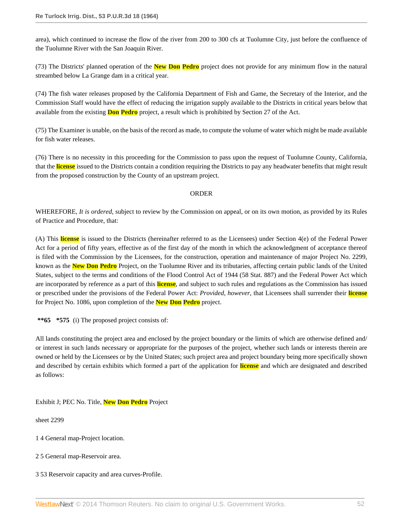area), which continued to increase the flow of the river from 200 to 300 cfs at Tuolumne City, just before the confluence of the Tuolumne River with the San Joaquin River.

(73) The Districts' planned operation of the **New Don Pedro** project does not provide for any minimum flow in the natural streambed below La Grange dam in a critical year.

(74) The fish water releases proposed by the California Department of Fish and Game, the Secretary of the Interior, and the Commission Staff would have the effect of reducing the irrigation supply available to the Districts in critical years below that available from the existing **Don Pedro** project, a result which is prohibited by Section 27 of the Act.

(75) The Examiner is unable, on the basis of the record as made, to compute the volume of water which might be made available for fish water releases.

(76) There is no necessity in this proceeding for the Commission to pass upon the request of Tuolumne County, California, that the **license** issued to the Districts contain a condition requiring the Districts to pay any headwater benefits that might result from the proposed construction by the County of an upstream project.

### ORDER

WHEREFORE, *It is ordered*, subject to review by the Commission on appeal, or on its own motion, as provided by its Rules of Practice and Procedure, that:

(A) This **license** is issued to the Districts (hereinafter referred to as the Licensees) under Section 4(e) of the Federal Power Act for a period of fifty years, effective as of the first day of the month in which the acknowledgment of acceptance thereof is filed with the Commission by the Licensees, for the construction, operation and maintenance of major Project No. 2299, known as the **New Don Pedro** Project, on the Tuolumne River and its tributaries, affecting certain public lands of the United States, subject to the terms and conditions of the Flood Control Act of 1944 (58 Stat. 887) and the Federal Power Act which are incorporated by reference as a part of this **license**, and subject to such rules and regulations as the Commission has issued or prescribed under the provisions of the Federal Power Act: *Provided, however*, that Licensees shall surrender their **license** for Project No. 1086, upon completion of the **New Don Pedro** project.

**\*\*65 \*575** (i) The proposed project consists of:

All lands constituting the project area and enclosed by the project boundary or the limits of which are otherwise defined and/ or interest in such lands necessary or appropriate for the purposes of the project, whether such lands or interests therein are owned or held by the Licensees or by the United States; such project area and project boundary being more specifically shown and described by certain exhibits which formed a part of the application for **license** and which are designated and described as follows:

# Exhibit J; PEC No. Title, **New Don Pedro** Project

sheet 2299

- 1 4 General map-Project location.
- 2 5 General map-Reservoir area.
- 3 53 Reservoir capacity and area curves-Profile.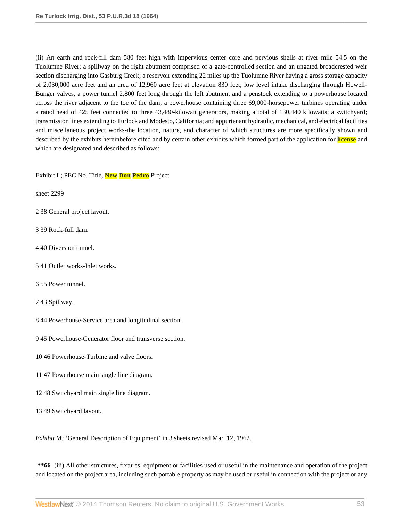(ii) An earth and rock-fill dam 580 feet high with impervious center core and pervious shells at river mile 54.5 on the Tuolumne River; a spillway on the right abutment comprised of a gate-controlled section and an ungated broadcrested weir section discharging into Gasburg Creek; a reservoir extending 22 miles up the Tuolumne River having a gross storage capacity of 2,030,000 acre feet and an area of 12,960 acre feet at elevation 830 feet; low level intake discharging through Howell-Bunger valves, a power tunnel 2,800 feet long through the left abutment and a penstock extending to a powerhouse located across the river adjacent to the toe of the dam; a powerhouse containing three 69,000-horsepower turbines operating under a rated head of 425 feet connected to three 43,480-kilowatt generators, making a total of 130,440 kilowatts; a switchyard; transmission lines extending to Turlock and Modesto, California; and appurtenant hydraulic, mechanical, and electrical facilities and miscellaneous project works-the location, nature, and character of which structures are more specifically shown and described by the exhibits hereinbefore cited and by certain other exhibits which formed part of the application for **license** and which are designated and described as follows:

### Exhibit L; PEC No. Title, **New Don Pedro** Project

sheet 2299

- 2 38 General project layout.
- 3 39 Rock-full dam.
- 4 40 Diversion tunnel.
- 5 41 Outlet works-Inlet works.
- 6 55 Power tunnel.
- 7 43 Spillway.
- 8 44 Powerhouse-Service area and longitudinal section.
- 9 45 Powerhouse-Generator floor and transverse section.
- 10 46 Powerhouse-Turbine and valve floors.
- 11 47 Powerhouse main single line diagram.
- 12 48 Switchyard main single line diagram.
- 13 49 Switchyard layout.

*Exhibit M:* 'General Description of Equipment' in 3 sheets revised Mar. 12, 1962.

**\*\*66** (iii) All other structures, fixtures, equipment or facilities used or useful in the maintenance and operation of the project and located on the project area, including such portable property as may be used or useful in connection with the project or any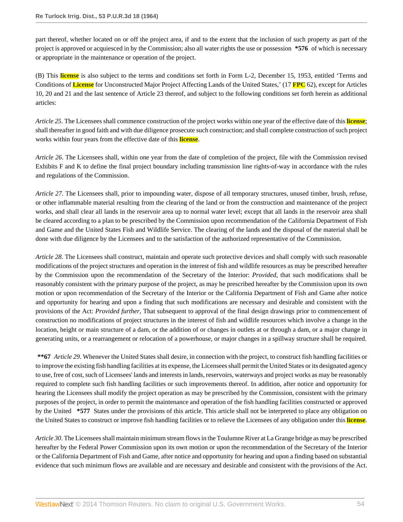part thereof, whether located on or off the project area, if and to the extent that the inclusion of such property as part of the project is approved or acquiesced in by the Commission; also all water rights the use or possession **\*576** of which is necessary or appropriate in the maintenance or operation of the project.

(B) This **license** is also subject to the terms and conditions set forth in Form L-2, December 15, 1953, entitled 'Terms and Conditions of **License** for Unconstructed Major Project Affecting Lands of the United States,' (17 **FPC** 62), except for Articles 10, 20 and 21 and the last sentence of Article 23 thereof, and subject to the following conditions set forth herein as additional articles:

*Article 25*. The Licensees shall commence construction of the project works within one year of the effective date of this **license**; shall thereafter in good faith and with due diligence prosecute such construction; and shall complete construction of such project works within four years from the effective date of this **license**.

*Article 26*. The Licensees shall, within one year from the date of completion of the project, file with the Commission revised Exhibits F and K to define the final project boundary including transmission line rights-of-way in accordance with the rules and regulations of the Commission.

*Article 27*. The Licensees shall, prior to impounding water, dispose of all temporary structures, unused timber, brush, refuse, or other inflammable material resulting from the clearing of the land or from the construction and maintenance of the project works, and shall clear all lands in the reservoir area up to normal water level; except that all lands in the reservoir area shall be cleared according to a plan to be prescribed by the Commission upon recommendation of the California Department of Fish and Game and the United States Fish and Wildlife Service. The clearing of the lands and the disposal of the material shall be done with due diligence by the Licensees and to the satisfaction of the authorized representative of the Commission.

*Article 28*. The Licensees shall construct, maintain and operate such protective devices and shall comply with such reasonable modifications of the project structures and operation in the interest of fish and wildlife resources as may be prescribed hereafter by the Commission upon the recommendation of the Secretary of the Interior: *Provided*, that such modifications shall be reasonably consistent with the primary purpose of the project, as may be prescribed hereafter by the Commission upon its own motion or upon recommendation of the Secretary of the Interior or the California Department of Fish and Game after notice and opportunity for hearing and upon a finding that such modifications are necessary and desirable and consistent with the provisions of the Act: *Provided further*, That subsequent to approval of the final design drawings prior to commencement of construction no modifications of project structures in the interest of fish and wildlife resources which involve a change in the location, height or main structure of a dam, or the addition of or changes in outlets at or through a dam, or a major change in generating units, or a rearrangement or relocation of a powerhouse, or major changes in a spillway structure shall be required.

**\*\*67** *Article 29*. Whenever the United States shall desire, in connection with the project, to construct fish handling facilities or to improve the existing fish handling facilities at its expense, the Licensees shall permit the United States or its designated agency to use, free of cost, such of Licensees' lands and interests in lands, reservoirs, waterways and project works as may be reasonably required to complete such fish handling facilities or such improvements thereof. In addition, after notice and opportunity for hearing the Licensees shall modify the project operation as may be prescribed by the Commission, consistent with the primary purposes of the project, in order to permit the maintenance and operation of the fish handling facilities constructed or approved by the United **\*577** States under the provisions of this article. This article shall not be interpreted to place any obligation on the United States to construct or improve fish handling facilities or to relieve the Licensees of any obligation under this **license**.

*Article 30*. The Licensees shall maintain minimum stream flows in the Toulumne River at La Grange bridge as may be prescribed hereafter by the Federal Power Commission upon its own motion or upon the recommendation of the Secretary of the Interior or the California Department of Fish and Game, after notice and opportunity for hearing and upon a finding based on substantial evidence that such minimum flows are available and are necessary and desirable and consistent with the provisions of the Act.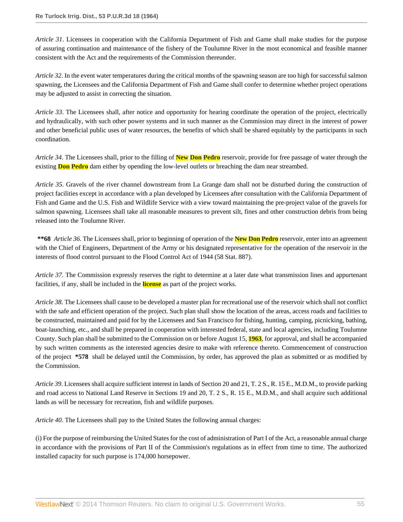*Article 31*. Licensees in cooperation with the California Department of Fish and Game shall make studies for the purpose of assuring continuation and maintenance of the fishery of the Toulumne River in the most economical and feasible manner consistent with the Act and the requirements of the Commission thereunder.

*Article 32*. In the event water temperatures during the critical months of the spawning season are too high for successful salmon spawning, the Licensees and the California Department of Fish and Game shall confer to determine whether project operations may be adjusted to assist in correcting the situation.

*Article 33*. The Licensees shall, after notice and opportunity for hearing coordinate the operation of the project, electrically and hydraulically, with such other power systems and in such manner as the Commission may direct in the interest of power and other beneficial public uses of water resources, the benefits of which shall be shared equitably by the participants in such coordination.

*Article 34*. The Licensees shall, prior to the filling of **New Don Pedro** reservoir, provide for free passage of water through the existing **Don Pedro** dam either by opending the low-level outlets or breaching the dam near streambed.

*Article 35*. Gravels of the river channel downstream from La Grange dam shall not be disturbed during the construction of project facilities except in accordance with a plan developed by Licensees after consultation with the California Department of Fish and Game and the U.S. Fish and Wildlife Service with a view toward maintaining the pre-project value of the gravels for salmon spawning. Licensees shall take all reasonable measures to prevent silt, fines and other construction debris from being released into the Toulumne River.

**\*\*68** *Article 36*. The Licensees shall, prior to beginning of operation of the **New Don Pedro** reservoir, enter into an agreement with the Chief of Engineers, Department of the Army or his designated representative for the operation of the reservoir in the interests of flood control pursuant to the Flood Control Act of 1944 (58 Stat. 887).

*Article 37*. The Commission expressly reserves the right to determine at a later date what transmission lines and appurtenant facilities, if any, shall be included in the **license** as part of the project works.

*Article 38*. The Licensees shall cause to be developed a master plan for recreational use of the reservoir which shall not conflict with the safe and efficient operation of the project. Such plan shall show the location of the areas, access roads and facilities to be constructed, maintained and paid for by the Licensees and San Francisco for fishing, hunting, camping, picnicking, bathing, boat-launching, etc., and shall be prepared in cooperation with interested federal, state and local agencies, including Toulumne County. Such plan shall be submitted to the Commission on or before August 15, **1963**, for approval, and shall be accompanied by such written comments as the interested agencies desire to make with reference thereto. Commencement of construction of the project **\*578** shall be delayed until the Commission, by order, has approved the plan as submitted or as modified by the Commission.

*Article 39*. Licensees shall acquire sufficient interest in lands of Section 20 and 21, T. 2 S., R. 15 E., M.D.M., to provide parking and road access to National Land Reserve in Sections 19 and 20, T. 2 S., R. 15 E., M.D.M., and shall acquire such additional lands as will be necessary for recreation, fish and wildlife purposes.

*Article 40*. The Licensees shall pay to the United States the following annual charges:

(i) For the purpose of reimbursing the United States for the cost of administration of Part I of the Act, a reasonable annual charge in accordance with the provisions of Part II of the Commission's regulations as in effect from time to time. The authorized installed capacity for such purpose is 174,000 horsepower.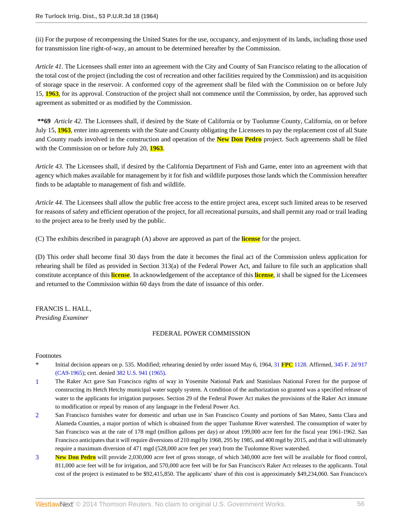(ii) For the purpose of recompensing the United States for the use, occupancy, and enjoyment of its lands, including those used for transmission line right-of-way, an amount to be determined hereafter by the Commission.

*Article 41*. The Licensees shall enter into an agreement with the City and County of San Francisco relating to the allocation of the total cost of the project (including the cost of recreation and other facilities required by the Commission) and its acquisition of storage space in the reservoir. A conformed copy of the agreement shall be filed with the Commission on or before July 15, **1963**, for its approval. Construction of the project shall not commence until the Commission, by order, has approved such agreement as submitted or as modified by the Commission.

**\*\*69** *Article 42*. The Licensees shall, if desired by the State of California or by Tuolumne County, California, on or before July 15, **1963**, enter into agreements with the State and County obligating the Licensees to pay the replacement cost of all State and County roads involved in the construction and operation of the **New Don Pedro** project. Such agreements shall be filed with the Commission on or before July 20, **1963**.

*Article 43*. The Licensees shall, if desired by the California Department of Fish and Game, enter into an agreement with that agency which makes available for management by it for fish and wildlife purposes those lands which the Commission hereafter finds to be adaptable to management of fish and wildlife.

*Article 44*. The Licensees shall allow the public free access to the entire project area, except such limited areas to be reserved for reasons of safety and efficient operation of the project, for all recreational pursuits, and shall permit any road or trail leading to the project area to be freely used by the public.

(C) The exhibits described in paragraph (A) above are approved as part of the **license** for the project.

(D) This order shall become final 30 days from the date it becomes the final act of the Commission unless application for rehearing shall be filed as provided in Section 313(a) of the Federal Power Act, and failure to file such an application shall constitute acceptance of this **license**. In acknowledgement of the acceptance of this **license**, it shall be signed for the Licensees and returned to the Commission within 60 days from the date of issuance of this order.

# FRANCIS L. HALL,

*Presiding Examiner*

# FEDERAL POWER COMMISSION

# Footnotes

- \* Initial decision appears on p. 535. Modified; rehearing denied by order issued May 6, 1964, 31 **FPC** [1128](http://www.westlaw.com/Link/Document/FullText?findType=Y&serNum=1964060169&pubNum=0000921&originationContext=document&vr=3.0&rs=cblt1.0&transitionType=DocumentItem&contextData=(sc.Search)). Affirmed, [345 F. 2d 917](http://www.westlaw.com/Link/Document/FullText?findType=Y&serNum=1965113615&pubNum=350&originationContext=document&vr=3.0&rs=cblt1.0&transitionType=DocumentItem&contextData=(sc.Search)) [\(CA9-1965\);](http://www.westlaw.com/Link/Document/FullText?findType=Y&serNum=1965113615&pubNum=350&originationContext=document&vr=3.0&rs=cblt1.0&transitionType=DocumentItem&contextData=(sc.Search)) cert. denied [382 U.S. 941 \(1965\).](http://www.westlaw.com/Link/Document/FullText?findType=Y&pubNum=780&cite=382US941&originationContext=document&vr=3.0&rs=cblt1.0&transitionType=DocumentItem&contextData=(sc.Search))
- <span id="page-55-0"></span>[1](#page-0-0) The Raker Act gave San Francisco rights of way in Yosemite National Park and Stanislaus National Forest for the purpose of constructing its Hetch Hetchy municipal water supply system. A condition of the authorization so granted was a specified release of water to the applicants for irrigation purposes. Section 29 of the Federal Power Act makes the provisions of the Raker Act immune to modification or repeal by reason of any language in the Federal Power Act.
- <span id="page-55-1"></span>[2](#page-0-1) San Francisco furnishes water for domestic and urban use in San Francisco County and portions of San Mateo, Santa Clara and Alameda Counties, a major portion of which is obtained from the upper Tuolumne River watershed. The consumption of water by San Francisco was at the rate of 178 mgd (million gallons per day) or about 199,000 acre feet for the fiscal year 1961-1962. San Francisco anticipates that it will require diversions of 210 mgd by 1968, 295 by 1985, and 400 mgd by 2015, and that it will ultimately require a maximum diversion of 471 mgd (528,000 acre feet per year) from the Tuolomne River watershed.
- <span id="page-55-2"></span>[3](#page-0-2) **New Don Pedro** will provide 2,030,000 acre feet of gross storage, of which 340,000 acre feet will be available for flood control, 811,000 acre feet will be for irrigation, and 570,000 acre feet will be for San Francisco's Raker Act releases to the applicants. Total cost of the project is estimated to be \$92,415,850. The applicants' share of this cost is approximately \$49,234,060. San Francisco's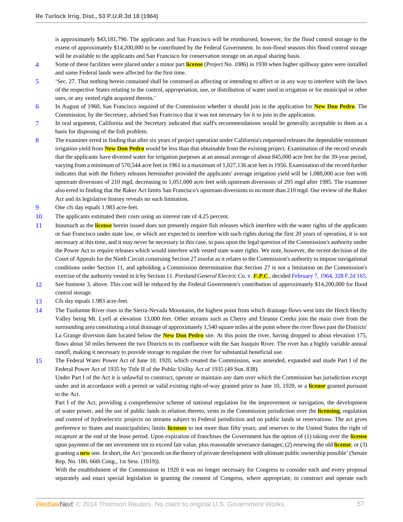is approximately \$43,181,790. The applicants and San Francisco will be reimbursed, however, for the flood control storage to the extent of approximately \$14,200,000 to be contributed by the Federal Government. In non-flood seasons this flood control storage will be available to the applicants and San Francisco for conservation storage on an equal sharing basis.

- <span id="page-56-0"></span>[4](#page-0-3) Some of these facilities were placed under a minor part **license** (Project No. 1086) in 1930 when higher spillway gates were installed and some Federal lands were affected for the first time.
- <span id="page-56-1"></span>[5](#page-1-0) 'Sec. 27. That nothing herein contained shall be construed as affecting or intending to affect or in any way to interfere with the laws of the respective States relating to the control, appropriation, use, or distribution of water used in irrigation or for municipal or other uses, or any vested right acquired therein.'
- <span id="page-56-2"></span>[6](#page-2-0) In August of 1960, San Francisco inquired of the Commission whether it should join in the application for **New Don Pedro**. The Commission, by the Secretary, advised San Francisco that it was not necessary for it to join in the application.
- <span id="page-56-3"></span>[7](#page-3-0) In oral argument, California and the Secretary indicated that staff's recommendations would be generally acceptable to them as a basis for disposing of the fish problem.
- <span id="page-56-4"></span>[8](#page-3-1) The examiner erred in finding that after six years of project operation under California's requested releases the dependable minimum irrigation yield from **New Don Pedro** would be less than that obtainable from the existing project. Examination of the record reveals that the applicants have diverted water for irrigation purposes at an annual average of about 845,000 acre feet for the 39-year period, varying from a minimum of 570,544 acre feet in 1961 to a maximum of 1,027,136 acre feet in 1956. Examination of the record further indicates that with the fishery releases hereinafter provided the applicants' average irrigation yield will be 1,088,000 acre feet with upstream diversions of 210 mgd, decreasing to 1,051,000 acre feet with upstream diversions of 295 mgd after 1985. The examiner also erred in finding that the Raker Act limits San Francisco's upstream diversions to no more than 210 mgd. Our review of the Raker Act and its legislative history reveals no such limitation.
- <span id="page-56-5"></span>[9](#page-4-0) One cfs day equals 1.983 acre-feet.
- <span id="page-56-6"></span>[10](#page-7-0) The applicants estimated their costs using an interest rate of 4.25 percent.
- <span id="page-56-7"></span>[11](#page-7-1) Inasmuch as the **license** herein issued does not presently require fish releases which interfere with the water rights of the applicants or San Francisco under state law, or which are expected to interfere with such rights during the first 20 years of operation, it is not necessary at this time, and it may never be necessary in this case, to pass upon the legal question of the Commission's authority under the Power Act to require releases which would interfere with vested state water rights. We note, however, the recent decision of the Court of Appeals for the Ninth Circuit construing Section 27 insofar as it relates to the Commission's authority to impose navigational conditions under Section 11, and upholding a Commission determination that Section 27 is not a limitation on the Commission's exercise of the authority vested in it by Section 11. *Portland General Electric Co.* v. *F.P.C.*, decided [February 7, 1964, 328 F.2d 165.](http://www.westlaw.com/Link/Document/FullText?findType=Y&serNum=1964113269&pubNum=350&originationContext=document&vr=3.0&rs=cblt1.0&transitionType=DocumentItem&contextData=(sc.Search))
- <span id="page-56-8"></span>[12](#page-8-0) See footnote 3, above. This cost will be reduced by the Federal Government's contribution of approximately \$14,200,000 for flood control storage.
- <span id="page-56-9"></span>[13](#page-13-0) Cfs day equals 1.983 acre-feet.
- <span id="page-56-10"></span>[14](#page-21-0) The Tuolumne River rises in the Sierra-Nevada Mountains, the highest point from which drainage flows west into the Hetch Hetchy Valley being Mt. Lyell at elevation 13,000 feet. Other streams such as Cherry and Eleanor Creeks join the main river from the surrounding area constituting a total drainage of approximately 1,540 square miles at the point where the river flows past the Districts' La Grange diversion dam located below the **New Don Pedro** site. At this point the river, having dropped to about elevation 175, flows about 50 miles between the two Districts to its confluence with the San Joaquin River. The river has a highly variable annual runoff, making it necessary to provide storage to regulate the river for substantial beneficial use.
- <span id="page-56-11"></span>[15](#page-21-1) The Federal Water Power Act of June 10, 1920, which created the Commission, was amended, expanded and made Part I of the Federal Power Act of 1935 by Title II of the Public Utility Act of 1935 (49 Stat. 838).

Under Part I of the Act it is unlawful to construct, operate or maintain any dam over which the Commission has jurisdiction except under and in accordance with a permit or valid existing right-of-way granted prior to June 10, 1920, or a **license** granted pursuant to the Act.

Part I of the Act, providing a comprehensive scheme of national regulation for the improvement or navigation, the development of water power, and the use of public lands in relation thereto, vests in the Commission jurisdiction over the **licensing**, regulation and control of hydroelectric projects on streams subject to Federal jurisdiction and on public lands or reservations. The act gives preference to States and municipalities; limits **licenses** to not more than fifty years; and reserves to the United States the right of recapture at the end of the lease period. Upon expiration of franchises the Government has the option of (1) taking over the **license** upon payment of the net investment not to exceed fair value, plus reasonable severance damages; (2) renewing the old **license**; or (3) granting a **new** one. In short, the Act 'proceeds on the theory of private development with ultimate public ownership possible' (Senate Rep. No. 180, 66th Cong., 1st Sess. (1919)).

With the establishment of the Commission in 1920 it was no longer necessary for Congress to consider each and every proposal separately and enact special legislation in granting the consent of Congress, where appropriate, to construct and operate each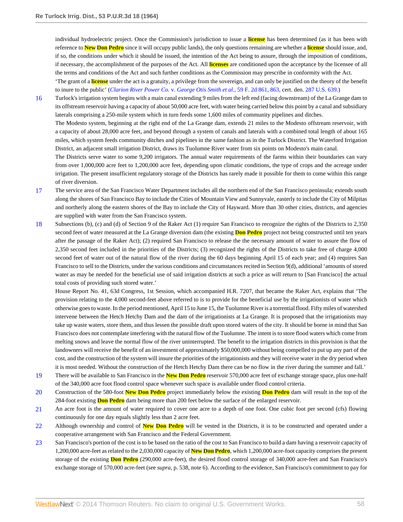individual hydroelectric project. Once the Commission's jurisdiction to issue a **license** has been determined (as it has been with reference to **New Don Pedro** since it will occupy public lands), the only questions remaining are whether a **license** should issue, and, if so, the conditions under which it should be issued, the intention of the Act being to assure, through the imposition of conditions, if necessary, the accomplishment of the purposes of the Act. All **licenses** are conditioned upon the acceptance by the licensee of all the terms and conditions of the Act and such further conditions as the Commission may prescribe in conformity with the Act.

'The grant of a **license** under the act is a gratuity, a privilege from the sovereign, and can only be justified on the theory of the benefit to inure to the public' (*[Clarion River Power Co.](http://www.westlaw.com/Link/Document/FullText?findType=Y&serNum=1932129673&pubNum=350&originationContext=document&vr=3.0&rs=cblt1.0&transitionType=DocumentItem&contextData=(sc.Search)#co_pp_sp_350_863)* v. *George Otis Smith et al.*, 59 F. 2d 861, 863, cert. den. [287 U.S. 639.](http://www.westlaw.com/Link/Document/FullText?findType=Y&serNum=1932202307&pubNum=780&originationContext=document&vr=3.0&rs=cblt1.0&transitionType=DocumentItem&contextData=(sc.Search)))

<span id="page-57-0"></span>[16](#page-21-2) Turlock's irrigation system begins with a main canal extending 9 miles from the left end (facing downstream) of the La Grange dam to its offstream reservoir having a capacity of about 50,000 acre feet, with water being carried below this point by a canal and subsidiary laterals comprising a 250-mile system which in turn feeds some 1,600 miles of community pipelines and ditches.

The Modesto system, beginning at the right end of the La Grange dam, extends 21 miles to the Modesto offstream reservoir, with a capacity of about 28,000 acre feet, and beyond through a system of canals and laterals with a combined total length of about 165 miles, which system feeds community ditches and pipelines in the same fashion as in the Turlock District. The Waterford Irrigation District, an adjacent small irrigation District, draws its Tuolumne River water from six points on Modesto's main canal.

The Districts serve water to some 9,200 irrigators. The annual water requirements of the farms within their boundaries can vary from over 1,000,000 acre feet to 1,200,000 acre feet, depending upon climatic conditions, the type of crops and the acreage under irrigation. The present insufficient regulatory storage of the Districts has rarely made it possible for them to come within this range of river diversion.

- <span id="page-57-1"></span>[17](#page-21-3) The service area of the San Francisco Water Department includes all the northern end of the San Francisco peninsula; extends south along the shores of San Francisco Bay to include the Cities of Mountain View and Sunnyvale, easterly to include the City of Milpitas and northerly along the eastern shores of the Bay to include the City of Hayward. More than 30 other cities, districts, and agencies are supplied with water from the San Francisco system.
- <span id="page-57-2"></span>[18](#page-21-4) Subsections (b), (c) and (d) of Section 9 of the Raker Act (1) require San Francisco to recognize the rights of the Districts to 2,350 second feet of water measured at the La Grange diversion dam (the existing **Don Pedro** project not being constructed until ten years after the passage of the Raker Act); (2) required San Francisco to release the the necessary amount of water to assure the flow of 2,350 second feet included in the priorities of the Districts; (3) recognized the rights of the Districts to take free of charge 4,000 second feet of water out of the natural flow of the river during the 60 days beginning April 15 of each year; and (4) requires San Francisco to sell to the Districts, under the various conditions and circumstances recited in Section 9(d), additional 'amounts of stored water as may be needed for the beneficial use of said irrigation districts at such a price as will return to [San Francisco] the actual total costs of providing such stored water.'

House Report No. 41, 63d Congress, 1st Session, which accompanied H.R. 7207, that became the Raker Act, explains that 'The provision relating to the 4,000 second-feet above referred to is to provide for the beneficial use by the irrigationists of water which otherwise goes to waste. In the period mentioned, April 15 to June 15, the Tuolumne River is a torrential flood. Fifty miles of watershed intervene between the Hetch Hetchy Dam and the dam of the irrigationists at La Grange. It is proposed that the irrigationists may take up waste waters, store them, and thus lessen the possible draft upon stored waters of the city. It should be borne in mind that San Francisco does not contemplate interfering with the natural flow of the Tuolumne. The intent is to store flood waters which come from melting snows and leave the normal flow of the river uninterrupted. The benefit to the irrigation districts in this provision is that the landowners will receive the benefit of an investment of approximately \$50,000,000 without being compelled to put up any part of the cost, and the construction of the system will insure the priorities of the irrigationists and they will receive water in the dry period when it is most needed. Without the construction of the Hetch Hetchy Dam there can be no flow in the river during the summer and fall.'

- <span id="page-57-3"></span>[19](#page-22-0) There will be available to San Francisco in the **New Don Pedro** reservoir 570,000 acre feet of exchange storage space, plus one-half of the 340,000 acre foot flood control space whenever such space is available under flood control criteria.
- <span id="page-57-4"></span>[20](#page-22-1) Construction of the 580-foot **New Don Pedro** project immediately below the existing **Don Pedro** dam will result in the top of the 284-foot existing **Don Pedro** dam being more than 200 feet below the surface of the enlarged reservoir.
- <span id="page-57-5"></span>[21](#page-23-0) An acre foot is the amount of water required to cover one acre to a depth of one foot. One cubic foot per second (cfs) flowing continuously for one day equals slightly less than 2 acre feet.
- <span id="page-57-6"></span>[22](#page-23-1) Although ownership and control of **New Don Pedro** will be vested in the Districts, it is to be constructed and operated under a cooperative arrangement with San Francisco and the Federal Government.
- <span id="page-57-7"></span>[23](#page-23-2) San Francisco's portion of the cost is to be based on the ratio of the cost to San Francisco to build a dam having a reservoir capacity of 1,200,000 acre-feet as related to the 2,030,000 capacity of **New Don Pedro**, which 1,200,000 acre-foot capacity comprises the present storage of the existing **Don Pedro** (290,000 acre-feet), the desired flood control storage of 340,000 acre-feet and San Francisco's exchange storage of 570,000 acre-feet (see *supra*, p. 538, note 6). According to the evidence, San Francisco's commitment to pay for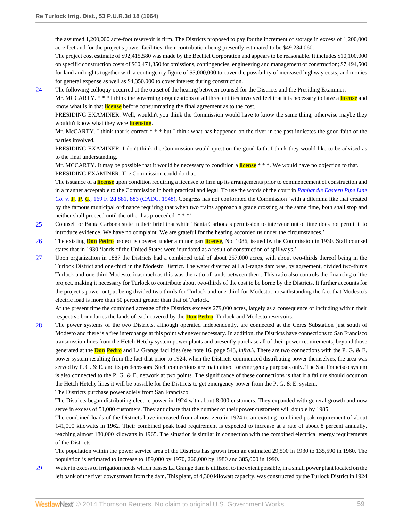the assumed 1,200,000 acre-foot reservoir is firm. The Districts proposed to pay for the increment of storage in excess of 1,200,000 acre feet and for the project's power facilities, their contribution being presently estimated to be \$49,234.060.

The project cost estimate of \$92,415,580 was made by the Bechtel Corporation and appears to be reasonable. It includes \$10,100,000 on specific construction costs of \$60,471,350 for omissions, contingencies, engineering and management of construction; \$7,494,500 for land and rights together with a contingency figure of \$5,000,000 to cover the possibility of increased highway costs; and monies for general expense as well as \$4,350,000 to cover interest during construction.

<span id="page-58-0"></span>[24](#page-23-3) The following colloquy occurred at the outset of the hearing between counsel for the Districts and the Presiding Examiner:

Mr. MCCARTY. \* \* \* I think the governing organizations of all three entities involved feel that it is necessary to have a **license** and know what is in that **license** before consummating the final agreement as to the cost.

PRESIDING EXAMINER. Well, wouldn't you think the Commission would have to know the same thing, otherwise maybe they wouldn't know what they were **licensing**.

Mr. McCARTY. I think that is correct \* \* \* but I think what has happened on the river in the past indicates the good faith of the parties involved.

PRESIDING EXAMINER. I don't think the Commission would question the good faith. I think they would like to be advised as to the final understanding.

Mr. MCCARTY. It may be possible that it would be necessary to condition a **license** \* \* \*. We would have no objection to that. PRESIDING EXAMINER. The Commission could do that.

The issuance of a **license** upon condition requiring a licensee to firm up its arrangements prior to commencement of construction and in a manner acceptable to the Commission in both practical and legal. To use the words of the court in *[Panhandle Eastern Pipe Line](http://www.westlaw.com/Link/Document/FullText?findType=Y&serNum=1947116306&pubNum=350&originationContext=document&vr=3.0&rs=cblt1.0&transitionType=DocumentItem&contextData=(sc.Search)#co_pp_sp_350_883) Co.* v. *F. P. C.*[, 169 F. 2d 881, 883 \(CADC, 1948\),](http://www.westlaw.com/Link/Document/FullText?findType=Y&serNum=1947116306&pubNum=350&originationContext=document&vr=3.0&rs=cblt1.0&transitionType=DocumentItem&contextData=(sc.Search)#co_pp_sp_350_883) Congress has not confornted the Commission 'with a dilemma like that created by the famous municipal ordinance requiring that when two trains approach a grade crossing at the same time, both shall stop and neither shall proceed until the other has proceeded. \* \* \*'

- <span id="page-58-1"></span>[25](#page-24-0) Counsel for Banta Carbona state in their brief that while 'Banta Carbona's permission to intervene out of time does not permit it to introduce evidence. We have no complaint. We are grateful for the hearing accorded us under the circumstances.'
- <span id="page-58-2"></span>[26](#page-24-1) The existing **Don Pedro** project is covered under a minor part **license**, No. 1086, issued by the Commission in 1930. Staff counsel states that in 1930 'lands of the United States were inundated as a result of construction of spillways.'
- <span id="page-58-3"></span>[27](#page-25-0) Upon organization in 1887 the Districts had a combined total of about 257,000 acres, with about two-thirds thereof being in the Turlock District and one-third in the Modesto District. The water diverted at La Grange dam was, by agreement, divided two-thirds Turlock and one-third Modesto, inasmuch as this was the ratio of lands between them. This ratio also controls the financing of the project, making it necessary for Turlock to contribute about two-thirds of the cost to be borne by the Districts. It further accounts for the project's power output being divided two-thirds for Turlock and one-third for Modesto, notwithstanding the fact that Modesto's electric load is more than 50 percent greater than that of Turlock.

At the present time the combined acreage of the Districts exceeds 279,000 acres, largely as a consequence of including within their respective boundaries the lands of each covered by the **Don Pedro**, Turlock and Modesto reservoirs.

<span id="page-58-4"></span>[28](#page-25-1) The power systems of the two Districts, although operated independently, are connected at the Ceres Substation just south of Modesto and there is a free interchange at this point whenever necessary. In addition, the Districts have connections to San Francisco transmission lines from the Hetch Hetchy system power plants and presently purchase all of their power requirements, beyond those generated at the **Don Pedro** and La Grange facilities (see note 16, page 543, *infra*.). There are two connections with the P. G. & E. power system resulting from the fact that prior to 1924, when the Districts commenced distributing power themselves, the area was served by P. G. & E. and its predecessors. Such connections are maintained for emergency purposes only. The San Francisco system is also connected to the P. G.  $\&$  E. network at two points. The significance of these connections is that if a failure should occur on the Hetch Hetchy lines it will be possible for the Districts to get emergency power from the P. G. & E. system.

The Districts purchase power solely from San Francisco.

The Districts began distributing electric power in 1924 with about 8,000 customers. They expanded with general growth and now serve in excess of 51,000 customers. They anticipate that the number of their power customers will double by 1985.

The combined loads of the Districts have increased from almost zero in 1924 to an existing combined peak requirement of about 141,000 kilowatts in 1962. Their combined peak load requirement is expected to increase at a rate of about 8 percent annually, reaching almost 180,000 kilowatts in 1965. The situation is similar in connection with the combined electrical energy requirements of the Districts.

The population within the power service area of the Districts has grown from an estimated 29,500 in 1930 to 135,590 in 1960. The population is estimated to increase to 189,000 by 1970, 260,000 by 1980 and 385,000 in 1990.

<span id="page-58-5"></span>[29](#page-25-2) Water in excess of irrigation needs which passes La Grange dam is utilized, to the extent possible, in a small power plant located on the left bank of the river downstream from the dam. This plant, of 4,300 kilowatt capacity, was constructed by the Turlock District in 1924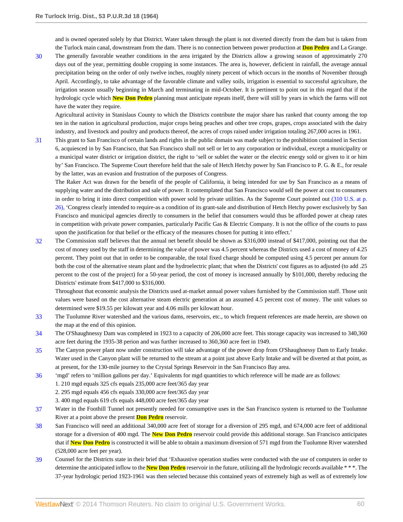and is owned operated solely by that District. Water taken through the plant is not diverted directly from the dam but is taken from the Turlock main canal, downstream from the dam. There is no connection between power production at **Don Pedro** and La Grange.

<span id="page-59-0"></span>[30](#page-25-3) The generally favorable weather conditions in the area irrigated by the Districts allow a growing season of approximately 270 days out of the year, permitting double cropping in some instances. The area is, however, deficient in rainfall, the average annual precipitation being on the order of only twelve inches, roughly ninety percent of which occurs in the months of November through April. Accordingly, to take advantage of the favorable climate and valley soils, irrigation is essential to successful agriculture, the irrigation season usually beginning in March and terminating in mid-October. It is pertinent to point out in this regard that if the hydrologic cycle which **New Don Pedro** planning must anticipate repeats itself, there will still by years in which the farms will not have the water they require.

Agricultural activity in Stanislaus County to which the Districts contribute the major share has ranked that county among the top ten in the nation in agricultural production, major crops being peaches and other tree crops, grapes, crops associated with the dairy industry, and livestock and poultry and products thereof, the acres of crops raised under irrigation totaling 267,000 acres in 1961.

<span id="page-59-1"></span>[31](#page-25-4) This grant to San Francisco of certain lands and rights in the public domain was made subject to the prohibition contained in Section 6, acquiesced in by San Francisco, that San Francisco shall not sell or let to any corporation or individual, except a municipality or a municipal water district or irrigation district, the right to 'sell or sublet the water or the electric energy sold or given to it or him by' San Francisco. The Supreme Court therefore held that the sale of Hetch Hetchy power by San Francisco to P. G. & E., for resale by the latter, was an evasion and frustration of the purposes of Congress.

The Raker Act was drawn for the benefit of the people of California, it being intended for use by San Francisco as a means of supplying water and the distribution and sale of power. It contemplated that San Francisco would sell the power at cost to consumers in order to bring it into direct competition with power sold by private utilities. As the Supreme Court pointed out [\(310 U.S. at p.](http://www.westlaw.com/Link/Document/FullText?findType=Y&serNum=1940124338&pubNum=780&originationContext=document&vr=3.0&rs=cblt1.0&transitionType=DocumentItem&contextData=(sc.Search)#co_pp_sp_780_26) [26\),](http://www.westlaw.com/Link/Document/FullText?findType=Y&serNum=1940124338&pubNum=780&originationContext=document&vr=3.0&rs=cblt1.0&transitionType=DocumentItem&contextData=(sc.Search)#co_pp_sp_780_26) 'Congress clearly intended to require-as a condition of its grant-sale and distribution of Hetch Hetchy power exclusively by San Francisco and municipal agencies directly to consumers in the belief that consumers would thus be afforded power at cheap rates in competition with private power companies, particularly Pacific Gas & Electric Company. It is not the office of the courts to pass upon the justification for that belief or the efficacy of the measures chosen for putting it into effect.'

<span id="page-59-2"></span>[32](#page-26-0) The Commission staff believes that the annual net benefit should be shown as \$316,000 instead of \$417,000, pointing out that the cost of money used by the staff in determining the value of power was 4.5 percent whereas the Districts used a cost of money of 4.25 percent. They point out that in order to be comparable, the total fixed charge should be computed using 4.5 percent per annum for both the cost of the alternative steam plant and the hydroelectric plant; that when the Districts' cost figures as to adjusted (to add .25 percent to the cost of the project) for a 50-year period, the cost of money is increased annually by \$101,000, thereby reducing the Districts' estimate from \$417,000 to \$316,000.

Throughout that economic analysis the Districts used at-market annual power values furnished by the Commission staff. Those unit values were based on the cost alternative steam electric generation at an assumed 4.5 percent cost of money. The unit values so determined were \$19.55 per kilowatt year and 4.06 mills per kilowatt hour.

- <span id="page-59-3"></span>[33](#page-26-1) The Tuolumne River watershed and the various dams, reservoirs, etc., to which frequent references are made herein, are shown on the map at the end of this opinion.
- <span id="page-59-4"></span>[34](#page-26-2) The O'Shaughnessy Dam was completed in 1923 to a capacity of 206,000 acre feet. This storage capacity was increased to 340,360 acre feet during the 1935-38 perion and was further increased to 360,360 acre feet in 1949.
- <span id="page-59-5"></span>[35](#page-27-0) The Canyon power plant now under construction will take advantage of the power drop from O'Shaughnessy Dam to Early Intake. Water used in the Canyon plant will be returned to the stream at a point just above Early Intake and will be diverted at that point, as at present, for the 130-mile journey to the Crystal Springs Reservoir in the San Francisco Bay area.
- <span id="page-59-6"></span>[36](#page-27-1) 'mgd' refers to 'million gallons per day.' Equivalents for mgd quantities to which reference will be made are as follows:

1. 210 mgd equals 325 cfs equals 235,000 acre feet/365 day year

2. 295 mgd equals 456 cfs equals 330,000 acre feet/365 day year

3. 400 mgd equals 619 cfs equals 448,000 acre feet/365 day year

- <span id="page-59-7"></span>[37](#page-27-2) Water in the Foothill Tunnel not presently needed for consumptive uses in the San Francisco system is returned to the Tuolumne River at a point above the present **Don Pedro** reservoir.
- <span id="page-59-8"></span>[38](#page-28-0) San Francisco will need an additional 340,000 acre feet of storage for a diversion of 295 mgd, and 674,000 acre feet of additional storage for a diversion of 400 mgd. The **New Don Pedro** reservoir could provide this additional storage. San Francisco anticipates that if **New Don Pedro** is constructed it will be able to obtain a maximum diversion of 571 mgd from the Tuolumne River watershed (528,000 acre feet per year).
- <span id="page-59-9"></span>[39](#page-29-0) Counsel for the Districts state in their brief that 'Exhaustive operation studies were conducted with the use of computers in order to determine the anticipated inflow to the **New Don Pedro** reservoir in the future, utilizing all the hydrologic records available \* \* \*. The 37-year hydrologic period 1923-1961 was then selected because this contained years of extremely high as well as of extremely low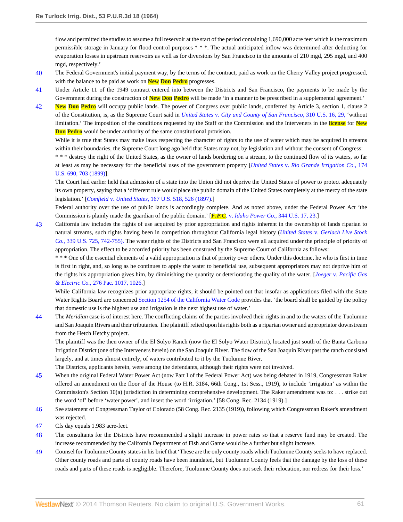flow and permitted the studies to assume a full reservoir at the start of the period containing 1,690,000 acre feet which is the maximum permissible storage in January for flood control purposes \* \* \*. The actual anticipated inflow was determined after deducting for evaporation losses in upstream reservoirs as well as for diversions by San Francisco in the amounts of 210 mgd, 295 mgd, and 400 mgd, respectively.'

- <span id="page-60-0"></span>[40](#page-30-0) The Federal Government's initial payment way, by the terms of the contract, paid as work on the Cherry Valley project progressed, with the balance to be paid as work on **New Don Pedro** progresses.
- <span id="page-60-1"></span>[41](#page-30-1) Under Article 11 of the 1949 contract entered into between the Districts and San Francisco, the payments to be made by the Government during the construction of **New Don Pedro** will be made 'in a manner to be prescribed in a supplemental agreement.'
- <span id="page-60-2"></span>[42](#page-34-0) **New Don Pedro** will occupy public lands. The power of Congress over public lands, conferred by Article 3, section 1, clause 2 of the Constitution, is, as the Supreme Court said in *United States* v. *[City and County of San Francisco](http://www.westlaw.com/Link/Document/FullText?findType=Y&serNum=1940124338&pubNum=780&originationContext=document&vr=3.0&rs=cblt1.0&transitionType=DocumentItem&contextData=(sc.Search)#co_pp_sp_780_29)*, 310 U.S. 16, 29, 'without limitation.' The imposition of the conditions requested by the Staff or the Commission and the Interveners in the **license** for **New Don Pedro** would be under authority of the same constitutional provision.

While it is true that States may make laws respecting the character of rights to the use of water which may be acquired in streams within their boundaries, the Supreme Court long ago held that States may not, by legislation and without the consent of Congress:

\* \* \* destroy the right of the United States, as the owner of lands bordering on a stream, to the continued flow of its waters, so far at least as may be necessary for the beneficial uses of the government property [*United States* v. *[Rio Grande Irrigation Co.](http://www.westlaw.com/Link/Document/FullText?findType=Y&serNum=1899180067&pubNum=780&originationContext=document&vr=3.0&rs=cblt1.0&transitionType=DocumentItem&contextData=(sc.Search)#co_pp_sp_780_703)*, 174 [U.S. 690, 703 \(1899\)\]](http://www.westlaw.com/Link/Document/FullText?findType=Y&serNum=1899180067&pubNum=780&originationContext=document&vr=3.0&rs=cblt1.0&transitionType=DocumentItem&contextData=(sc.Search)#co_pp_sp_780_703).

The Court had earlier held that admission of a state into the Union did not deprive the United States of power to protect adequately its own property, saying that a 'different rule would place the public domain of the United States completely at the mercy of the state legislation.' [*Comfield* v. *United States*[, 167 U.S. 518, 526 \(1897\).](http://www.westlaw.com/Link/Document/FullText?findType=Y&serNum=1897180144&pubNum=780&originationContext=document&vr=3.0&rs=cblt1.0&transitionType=DocumentItem&contextData=(sc.Search)#co_pp_sp_780_526)]

Federal authority over the use of public lands is accordingly complete. And as noted above, under the Federal Power Act 'the Commission is plainly made the guardian of the public domain.' [*F.P.C.* v. *[Idaho Power Co.](http://www.westlaw.com/Link/Document/FullText?findType=Y&serNum=1952117100&pubNum=780&originationContext=document&vr=3.0&rs=cblt1.0&transitionType=DocumentItem&contextData=(sc.Search)#co_pp_sp_780_23)*, 344 U.S. 17, 23.]

<span id="page-60-3"></span>[43](#page-34-1) California law includes the rights of use acquired by prior appropriation and rights inherent in the ownership of lands riparian to natural streams, such rights having been in competition throughout California legal history (*United States* v. *[Gerlach Live Stock](http://www.westlaw.com/Link/Document/FullText?findType=Y&serNum=1950119611&pubNum=780&originationContext=document&vr=3.0&rs=cblt1.0&transitionType=DocumentItem&contextData=(sc.Search)#co_pp_sp_780_742) Co.*[, 339 U.S. 725, 742-755\).](http://www.westlaw.com/Link/Document/FullText?findType=Y&serNum=1950119611&pubNum=780&originationContext=document&vr=3.0&rs=cblt1.0&transitionType=DocumentItem&contextData=(sc.Search)#co_pp_sp_780_742) The water rights of the Districts and San Francisco were all acquired under the principle of priority of appropriation. The effect to be accorded priority has been construed by the Supreme Court of California as follows:

\* \* \* One of the essential elements of a valid appropriation is that of priority over others. Under this doctrine, he who is first in time is first in right, and, so long as he continues to apply the water to beneficial use, subsequent appropriators may not deprive him of the rights his appropriation gives him, by diminishing the quantity or deteriorating the quality of the water. [*Joeger* v. *[Pacific Gas](http://www.westlaw.com/Link/Document/FullText?findType=Y&serNum=1929119049&pubNum=660&originationContext=document&vr=3.0&rs=cblt1.0&transitionType=DocumentItem&contextData=(sc.Search)#co_pp_sp_660_1026) & Electric Co.*[, 276 Pac. 1017, 1026.](http://www.westlaw.com/Link/Document/FullText?findType=Y&serNum=1929119049&pubNum=660&originationContext=document&vr=3.0&rs=cblt1.0&transitionType=DocumentItem&contextData=(sc.Search)#co_pp_sp_660_1026)]

While California law recognizes prior appropriate rights, it should be pointed out that insofar as applications filed with the State Water Rights Board are concerned [Section 1254 of the California Water Code](http://www.westlaw.com/Link/Document/FullText?findType=L&pubNum=1000226&cite=CAWAS1254&originatingDoc=Ie418767d391011dbbb4d83d7c3c3a165&refType=LQ&originationContext=document&vr=3.0&rs=cblt1.0&transitionType=DocumentItem&contextData=(sc.Search)) provides that 'the board shall be guided by the policy that domestic use is the highest use and irrigation is the next highest use of water.'

<span id="page-60-4"></span>[44](#page-34-2) The *Meridian* case is of interest here. The conflicting claims of the parties involved their rights in and to the waters of the Tuolumne and San Joaquin Rivers and their tributaries. The plaintiff relied upon his rights both as a riparian owner and appropriator downstream from the Hetch Hetchy project.

The plaintiff was the then owner of the El Solyo Ranch (now the El Solyo Water District), located just south of the Banta Carbona Irrigation District (one of the Interveners herein) on the San Joaquin River. The flow of the San Joaquin River past the ranch consisted largely, and at times almost entirely, of waters contributed to it by the Tuolumne River.

The Districts, applicants herein, were among the defendants, although their rights were not involved.

- <span id="page-60-5"></span>[45](#page-36-0) When the original Federal Water Power Act (now Part I of the Federal Power Act) was being debated in 1919, Congressman Raker offered an amendment on the floor of the House (to H.R. 3184, 66th Cong., 1st Sess., 1919), to include 'irrigation' as within the Commission's Section 10(a) jurisdiction in determining comprehensive development. The Raker amendment was to: . . . strike out the word 'of' before 'water power', and insert the word 'irrigation.' [58 Cong. Rec. 2134 (1919).]
- <span id="page-60-6"></span>[46](#page-36-1) See statement of Congressman Taylor of Colorado (58 Cong. Rec. 2135 (1919)), following which Congressman Raker's amendment was rejected.
- <span id="page-60-7"></span>[47](#page-38-0) Cfs day equals 1.983 acre-feet.
- <span id="page-60-8"></span>[48](#page-39-0) The consultants for the Districts have recommended a slight increase in power rates so that a reserve fund may be created. The increase recommended by the California Department of Fish and Game would be a further but slight increase.
- <span id="page-60-9"></span>[49](#page-43-0) Counsel for Tuolumne County states in his brief that 'These are the only county roads which Tuolumne County seeks to have replaced. Other county roads and parts of county roads have been inundated, but Tuolumne County feels that the damage by the loss of these roads and parts of these roads is negligible. Therefore, Tuolumne County does not seek their relocation, nor redress for their loss.'